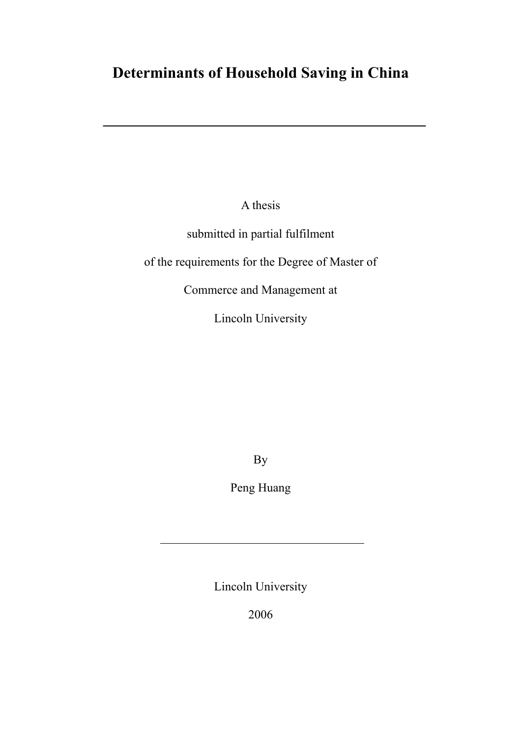# **Determinants of Household Saving in China**

A thesis

submitted in partial fulfilment

of the requirements for the Degree of Master of

Commerce and Management at

Lincoln University

By

Peng Huang

Lincoln University

2006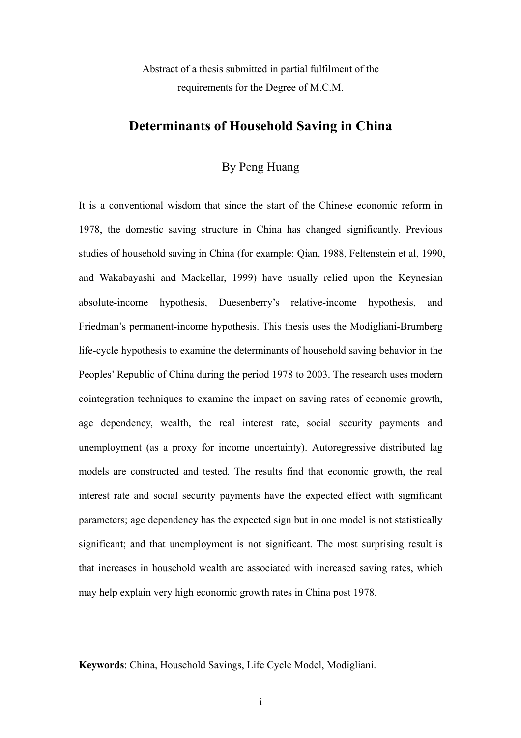Abstract of a thesis submitted in partial fulfilment of the requirements for the Degree of M.C.M.

## **Determinants of Household Saving in China**

## By Peng Huang

It is a conventional wisdom that since the start of the Chinese economic reform in 1978, the domestic saving structure in China has changed significantly. Previous studies of household saving in China (for example: Qian, 1988, Feltenstein et al, 1990, and Wakabayashi and Mackellar, 1999) have usually relied upon the Keynesian absolute-income hypothesis, Duesenberry's relative-income hypothesis, and Friedman's permanent-income hypothesis. This thesis uses the Modigliani-Brumberg life-cycle hypothesis to examine the determinants of household saving behavior in the Peoples' Republic of China during the period 1978 to 2003. The research uses modern cointegration techniques to examine the impact on saving rates of economic growth, age dependency, wealth, the real interest rate, social security payments and unemployment (as a proxy for income uncertainty). Autoregressive distributed lag models are constructed and tested. The results find that economic growth, the real interest rate and social security payments have the expected effect with significant parameters; age dependency has the expected sign but in one model is not statistically significant; and that unemployment is not significant. The most surprising result is that increases in household wealth are associated with increased saving rates, which may help explain very high economic growth rates in China post 1978.

**Keywords**: China, Household Savings, Life Cycle Model, Modigliani.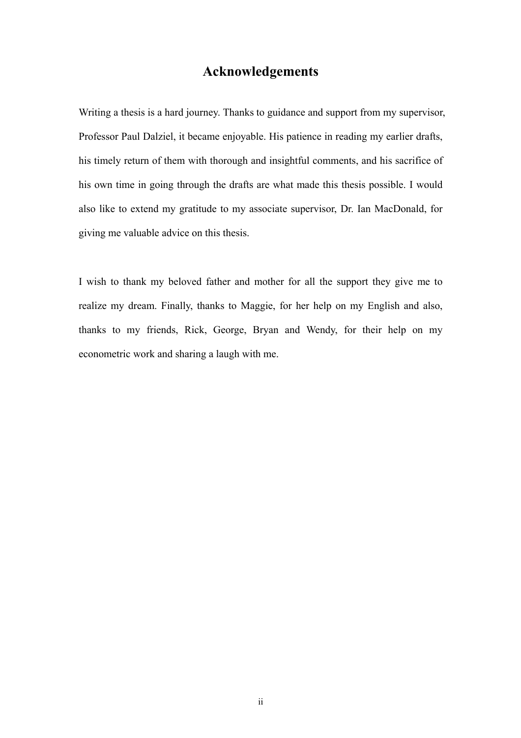## **Acknowledgements**

Writing a thesis is a hard journey. Thanks to guidance and support from my supervisor, Professor Paul Dalziel, it became enjoyable. His patience in reading my earlier drafts, his timely return of them with thorough and insightful comments, and his sacrifice of his own time in going through the drafts are what made this thesis possible. I would also like to extend my gratitude to my associate supervisor, Dr. Ian MacDonald, for giving me valuable advice on this thesis.

I wish to thank my beloved father and mother for all the support they give me to realize my dream. Finally, thanks to Maggie, for her help on my English and also, thanks to my friends, Rick, George, Bryan and Wendy, for their help on my econometric work and sharing a laugh with me.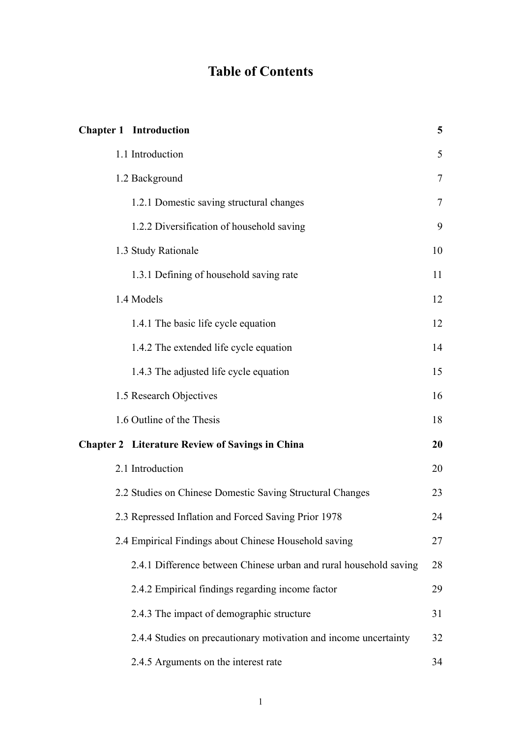# **Table of Contents**

| <b>Chapter 1</b> Introduction                                     | 5              |
|-------------------------------------------------------------------|----------------|
| 1.1 Introduction                                                  | 5              |
| 1.2 Background                                                    | $\overline{7}$ |
| 1.2.1 Domestic saving structural changes                          | 7              |
| 1.2.2 Diversification of household saving                         | 9              |
| 1.3 Study Rationale                                               | 10             |
| 1.3.1 Defining of household saving rate                           | 11             |
| 1.4 Models                                                        | 12             |
| 1.4.1 The basic life cycle equation                               | 12             |
| 1.4.2 The extended life cycle equation                            | 14             |
| 1.4.3 The adjusted life cycle equation                            | 15             |
| 1.5 Research Objectives                                           | 16             |
| 1.6 Outline of the Thesis                                         | 18             |
| <b>Chapter 2</b> Literature Review of Savings in China            | 20             |
| 2.1 Introduction                                                  | 20             |
| 2.2 Studies on Chinese Domestic Saving Structural Changes         | 23             |
| 2.3 Repressed Inflation and Forced Saving Prior 1978              | 24             |
| 2.4 Empirical Findings about Chinese Household saving             | 27             |
| 2.4.1 Difference between Chinese urban and rural household saving | 28             |
| 2.4.2 Empirical findings regarding income factor                  | 29             |
| 2.4.3 The impact of demographic structure                         | 31             |
| 2.4.4 Studies on precautionary motivation and income uncertainty  | 32             |
| 2.4.5 Arguments on the interest rate                              | 34             |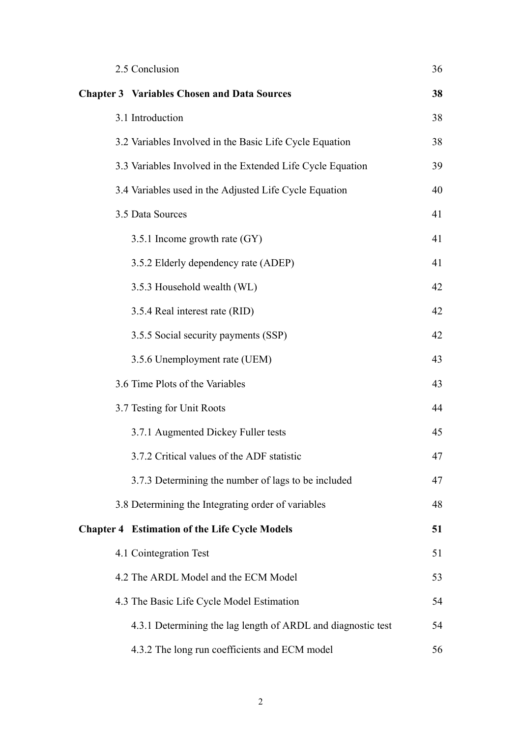| 2.5 Conclusion                                               | 36 |
|--------------------------------------------------------------|----|
| <b>Chapter 3 Variables Chosen and Data Sources</b>           | 38 |
| 3.1 Introduction                                             | 38 |
| 3.2 Variables Involved in the Basic Life Cycle Equation      | 38 |
| 3.3 Variables Involved in the Extended Life Cycle Equation   | 39 |
| 3.4 Variables used in the Adjusted Life Cycle Equation       | 40 |
| 3.5 Data Sources                                             | 41 |
| 3.5.1 Income growth rate (GY)                                | 41 |
| 3.5.2 Elderly dependency rate (ADEP)                         | 41 |
| 3.5.3 Household wealth (WL)                                  | 42 |
| 3.5.4 Real interest rate (RID)                               | 42 |
| 3.5.5 Social security payments (SSP)                         | 42 |
| 3.5.6 Unemployment rate (UEM)                                | 43 |
| 3.6 Time Plots of the Variables                              | 43 |
| 3.7 Testing for Unit Roots                                   | 44 |
| 3.7.1 Augmented Dickey Fuller tests                          | 45 |
| 3.7.2 Critical values of the ADF statistic                   | 47 |
| 3.7.3 Determining the number of lags to be included          | 47 |
| 3.8 Determining the Integrating order of variables           | 48 |
| <b>Chapter 4 Estimation of the Life Cycle Models</b>         | 51 |
| 4.1 Cointegration Test                                       | 51 |
| 4.2 The ARDL Model and the ECM Model                         | 53 |
| 4.3 The Basic Life Cycle Model Estimation                    | 54 |
| 4.3.1 Determining the lag length of ARDL and diagnostic test | 54 |
| 4.3.2 The long run coefficients and ECM model                | 56 |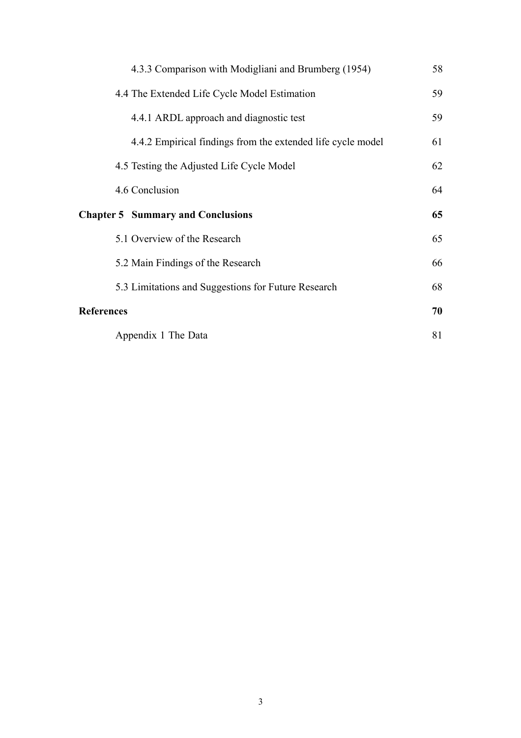|                   | 4.3.3 Comparison with Modigliani and Brumberg (1954)        | 58 |
|-------------------|-------------------------------------------------------------|----|
|                   | 4.4 The Extended Life Cycle Model Estimation                | 59 |
|                   | 4.4.1 ARDL approach and diagnostic test                     | 59 |
|                   | 4.4.2 Empirical findings from the extended life cycle model | 61 |
|                   | 4.5 Testing the Adjusted Life Cycle Model                   | 62 |
|                   | 4.6 Conclusion                                              | 64 |
|                   |                                                             |    |
|                   | <b>Chapter 5 Summary and Conclusions</b>                    | 65 |
|                   | 5.1 Overview of the Research                                | 65 |
|                   | 5.2 Main Findings of the Research                           | 66 |
|                   | 5.3 Limitations and Suggestions for Future Research         | 68 |
| <b>References</b> |                                                             | 70 |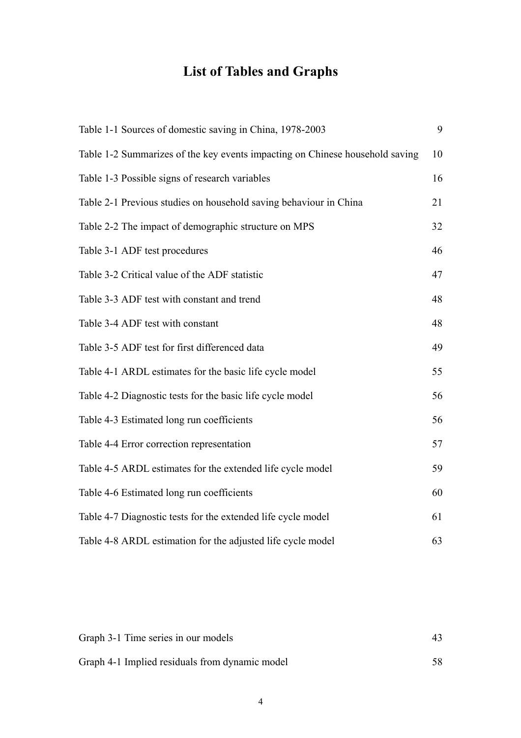# **List of Tables and Graphs**

| Table 1-1 Sources of domestic saving in China, 1978-2003                     | 9  |
|------------------------------------------------------------------------------|----|
| Table 1-2 Summarizes of the key events impacting on Chinese household saving | 10 |
| Table 1-3 Possible signs of research variables                               | 16 |
| Table 2-1 Previous studies on household saving behaviour in China            | 21 |
| Table 2-2 The impact of demographic structure on MPS                         | 32 |
| Table 3-1 ADF test procedures                                                | 46 |
| Table 3-2 Critical value of the ADF statistic                                | 47 |
| Table 3-3 ADF test with constant and trend                                   | 48 |
| Table 3-4 ADF test with constant                                             | 48 |
| Table 3-5 ADF test for first differenced data                                | 49 |
| Table 4-1 ARDL estimates for the basic life cycle model                      | 55 |
| Table 4-2 Diagnostic tests for the basic life cycle model                    | 56 |
| Table 4-3 Estimated long run coefficients                                    | 56 |
| Table 4-4 Error correction representation                                    | 57 |
| Table 4-5 ARDL estimates for the extended life cycle model                   | 59 |
| Table 4-6 Estimated long run coefficients                                    | 60 |
| Table 4-7 Diagnostic tests for the extended life cycle model                 | 61 |
| Table 4-8 ARDL estimation for the adjusted life cycle model                  | 63 |

| Graph 3-1 Time series in our models            |    |
|------------------------------------------------|----|
| Graph 4-1 Implied residuals from dynamic model | 58 |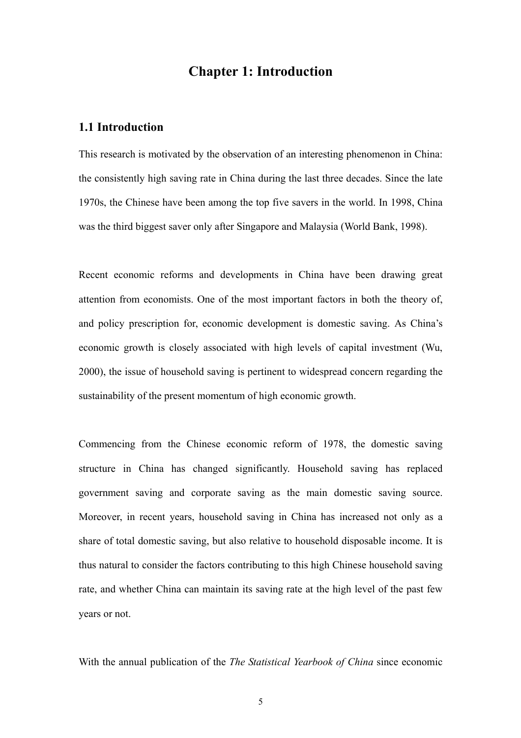# **Chapter 1: Introduction**

## <span id="page-7-0"></span>**1.1 Introduction**

This research is motivated by the observation of an interesting phenomenon in China: the consistently high saving rate in China during the last three decades. Since the late 1970s, the Chinese have been among the top five savers in the world. In 1998, China was the third biggest saver only after Singapore and Malaysia (World Bank, 1998).

Recent economic reforms and developments in China have been drawing great attention from economists. One of the most important factors in both the theory of, and policy prescription for, economic development is domestic saving. As China's economic growth is closely associated with high levels of capital investment (Wu, 2000), the issue of household saving is pertinent to widespread concern regarding the sustainability of the present momentum of high economic growth.

Commencing from the Chinese economic reform of 1978, the domestic saving structure in China has changed significantly. Household saving has replaced government saving and corporate saving as the main domestic saving source. Moreover, in recent years, household saving in China has increased not only as a share of total domestic saving, but also relative to household disposable income. It is thus natural to consider the factors contributing to this high Chinese household saving rate, and whether China can maintain its saving rate at the high level of the past few years or not.

With the annual publication of the *The Statistical Yearbook of China* since economic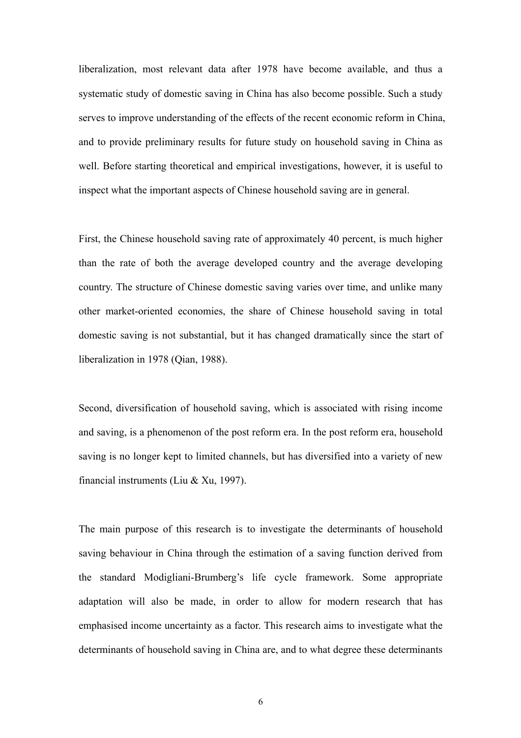liberalization, most relevant data after 1978 have become available, and thus a systematic study of domestic saving in China has also become possible. Such a study serves to improve understanding of the effects of the recent economic reform in China, and to provide preliminary results for future study on household saving in China as well. Before starting theoretical and empirical investigations, however, it is useful to inspect what the important aspects of Chinese household saving are in general.

First, the Chinese household saving rate of approximately 40 percent, is much higher than the rate of both the average developed country and the average developing country. The structure of Chinese domestic saving varies over time, and unlike many other market-oriented economies, the share of Chinese household saving in total domestic saving is not substantial, but it has changed dramatically since the start of liberalization in 1978 (Qian, 1988).

Second, diversification of household saving, which is associated with rising income and saving, is a phenomenon of the post reform era. In the post reform era, household saving is no longer kept to limited channels, but has diversified into a variety of new financial instruments (Liu & Xu, 1997).

The main purpose of this research is to investigate the determinants of household saving behaviour in China through the estimation of a saving function derived from the standard Modigliani-Brumberg's life cycle framework. Some appropriate adaptation will also be made, in order to allow for modern research that has emphasised income uncertainty as a factor. This research aims to investigate what the determinants of household saving in China are, and to what degree these determinants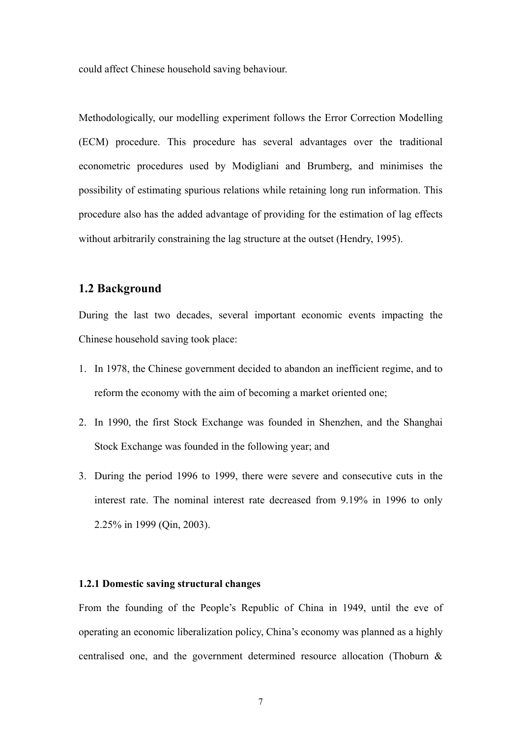<span id="page-9-0"></span>could affect Chinese household saving behaviour.

Methodologically, our modelling experiment follows the Error Correction Modelling (ECM) procedure. This procedure has several advantages over the traditional econometric procedures used by Modigliani and Brumberg, and minimises the possibility of estimating spurious relations while retaining long run information. This procedure also has the added advantage of providing for the estimation of lag effects without arbitrarily constraining the lag structure at the outset (Hendry, 1995).

## **1.2 Background**

During the last two decades, several important economic events impacting the Chinese household saving took place:

- 1. In 1978, the Chinese government decided to abandon an inefficient regime, and to reform the economy with the aim of becoming a market oriented one;
- 2. In 1990, the first Stock Exchange was founded in Shenzhen, and the Shanghai Stock Exchange was founded in the following year; and
- 3. During the period 1996 to 1999, there were severe and consecutive cuts in the interest rate. The nominal interest rate decreased from 9.19% in 1996 to only 2.25% in 1999 (Qin, 2003).

### **1.2.1 Domestic saving structural changes**

From the founding of the People's Republic of China in 1949, until the eve of operating an economic liberalization policy, China's economy was planned as a highly centralised one, and the government determined resource allocation (Thoburn &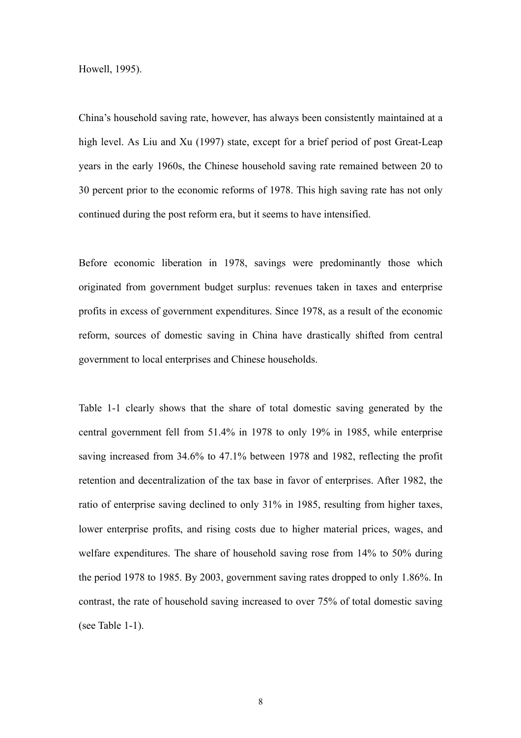Howell, 1995).

China's household saving rate, however, has always been consistently maintained at a high level. As Liu and Xu (1997) state, except for a brief period of post Great-Leap years in the early 1960s, the Chinese household saving rate remained between 20 to 30 percent prior to the economic reforms of 1978. This high saving rate has not only continued during the post reform era, but it seems to have intensified.

Before economic liberation in 1978, savings were predominantly those which originated from government budget surplus: revenues taken in taxes and enterprise profits in excess of government expenditures. Since 1978, as a result of the economic reform, sources of domestic saving in China have drastically shifted from central government to local enterprises and Chinese households.

Table 1-1 clearly shows that the share of total domestic saving generated by the central government fell from 51.4% in 1978 to only 19% in 1985, while enterprise saving increased from 34.6% to 47.1% between 1978 and 1982, reflecting the profit retention and decentralization of the tax base in favor of enterprises. After 1982, the ratio of enterprise saving declined to only 31% in 1985, resulting from higher taxes, lower enterprise profits, and rising costs due to higher material prices, wages, and welfare expenditures. The share of household saving rose from 14% to 50% during the period 1978 to 1985. By 2003, government saving rates dropped to only 1.86%. In contrast, the rate of household saving increased to over 75% of total domestic saving (see Table 1-1).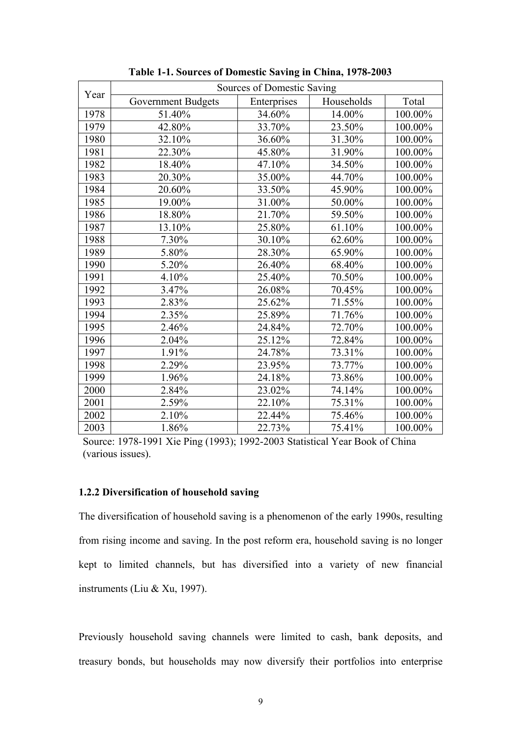<span id="page-11-0"></span>

|      | Sources of Domestic Saving |             |            |         |
|------|----------------------------|-------------|------------|---------|
| Year | <b>Government Budgets</b>  | Enterprises | Households | Total   |
| 1978 | 51.40%                     | 34.60%      | 14.00%     | 100.00% |
| 1979 | 42.80%                     | 33.70%      | 23.50%     | 100.00% |
| 1980 | 32.10%                     | 36.60%      | 31.30%     | 100.00% |
| 1981 | 22.30%                     | 45.80%      | 31.90%     | 100.00% |
| 1982 | 18.40%                     | 47.10%      | 34.50%     | 100.00% |
| 1983 | 20.30%                     | 35.00%      | 44.70%     | 100.00% |
| 1984 | 20.60%                     | 33.50%      | 45.90%     | 100.00% |
| 1985 | 19.00%                     | 31.00%      | 50.00%     | 100.00% |
| 1986 | 18.80%                     | 21.70%      | 59.50%     | 100.00% |
| 1987 | 13.10%                     | 25.80%      | 61.10%     | 100.00% |
| 1988 | 7.30%                      | 30.10%      | 62.60%     | 100.00% |
| 1989 | 5.80%                      | 28.30%      | 65.90%     | 100.00% |
| 1990 | 5.20%                      | 26.40%      | 68.40%     | 100.00% |
| 1991 | 4.10%                      | 25.40%      | 70.50%     | 100.00% |
| 1992 | 3.47%                      | 26.08%      | 70.45%     | 100.00% |
| 1993 | 2.83%                      | 25.62%      | 71.55%     | 100.00% |
| 1994 | 2.35%                      | 25.89%      | 71.76%     | 100.00% |
| 1995 | 2.46%                      | 24.84%      | 72.70%     | 100.00% |
| 1996 | 2.04%                      | 25.12%      | 72.84%     | 100.00% |
| 1997 | 1.91%                      | 24.78%      | 73.31%     | 100.00% |
| 1998 | 2.29%                      | 23.95%      | 73.77%     | 100.00% |
| 1999 | 1.96%                      | 24.18%      | 73.86%     | 100.00% |
| 2000 | 2.84%                      | 23.02%      | 74.14%     | 100.00% |
| 2001 | 2.59%                      | 22.10%      | 75.31%     | 100.00% |
| 2002 | 2.10%                      | 22.44%      | 75.46%     | 100.00% |
| 2003 | 1.86%                      | 22.73%      | 75.41%     | 100.00% |

**Table 1-1. Sources of Domestic Saving in China, 1978-2003** 

Source: 1978-1991 Xie Ping (1993); 1992-2003 Statistical Year Book of China (various issues).

#### **1.2.2 Diversification of household saving**

The diversification of household saving is a phenomenon of the early 1990s, resulting from rising income and saving. In the post reform era, household saving is no longer kept to limited channels, but has diversified into a variety of new financial instruments (Liu & Xu, 1997).

Previously household saving channels were limited to cash, bank deposits, and treasury bonds, but households may now diversify their portfolios into enterprise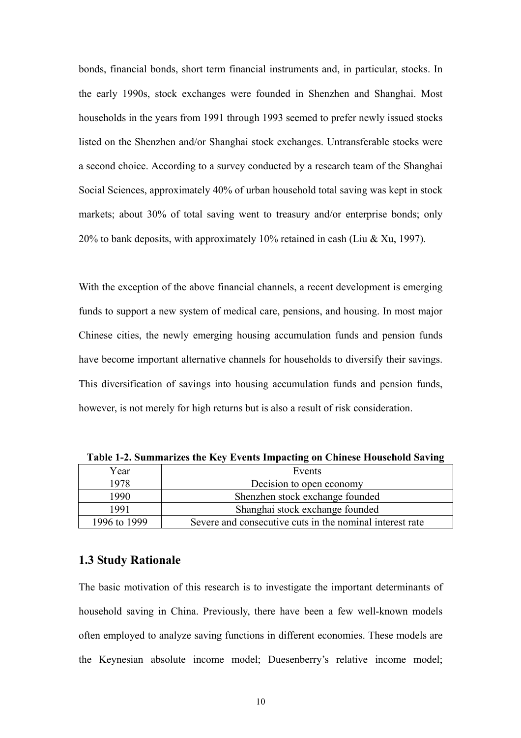<span id="page-12-0"></span>bonds, financial bonds, short term financial instruments and, in particular, stocks. In the early 1990s, stock exchanges were founded in Shenzhen and Shanghai. Most households in the years from 1991 through 1993 seemed to prefer newly issued stocks listed on the Shenzhen and/or Shanghai stock exchanges. Untransferable stocks were a second choice. According to a survey conducted by a research team of the Shanghai Social Sciences, approximately 40% of urban household total saving was kept in stock markets; about 30% of total saving went to treasury and/or enterprise bonds; only 20% to bank deposits, with approximately 10% retained in cash (Liu & Xu, 1997).

With the exception of the above financial channels, a recent development is emerging funds to support a new system of medical care, pensions, and housing. In most major Chinese cities, the newly emerging housing accumulation funds and pension funds have become important alternative channels for households to diversify their savings. This diversification of savings into housing accumulation funds and pension funds, however, is not merely for high returns but is also a result of risk consideration.

| Year         | Events                                                   |  |  |
|--------------|----------------------------------------------------------|--|--|
| 1978         | Decision to open economy                                 |  |  |
| 1990         | Shenzhen stock exchange founded                          |  |  |
| 1991         | Shanghai stock exchange founded                          |  |  |
| 1996 to 1999 | Severe and consecutive cuts in the nominal interest rate |  |  |

**Table 1-2. Summarizes the Key Events Impacting on Chinese Household Saving** 

## **1.3 Study Rationale**

The basic motivation of this research is to investigate the important determinants of household saving in China. Previously, there have been a few well-known models often employed to analyze saving functions in different economies. These models are the Keynesian absolute income model; Duesenberry's relative income model;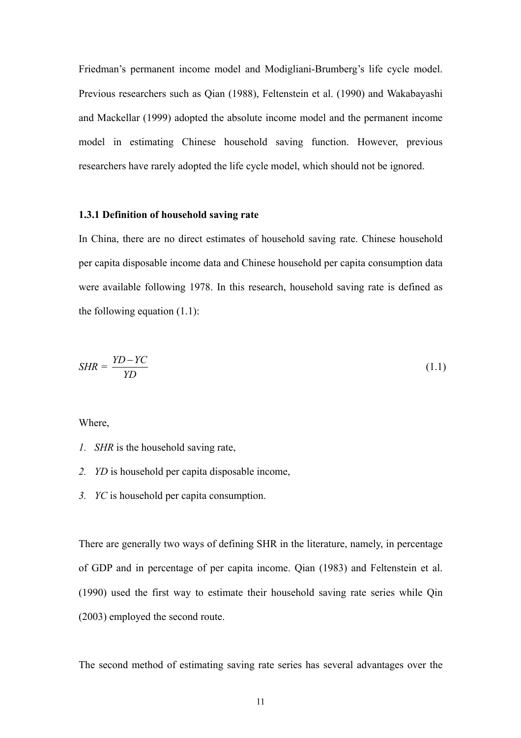Friedman's permanent income model and Modigliani-Brumberg's life cycle model. Previous researchers such as Qian (1988), Feltenstein et al. (1990) and Wakabayashi and Mackellar (1999) adopted the absolute income model and the permanent income model in estimating Chinese household saving function. However, previous researchers have rarely adopted the life cycle model, which should not be ignored.

#### **1.3.1 Definition of household saving rate**

In China, there are no direct estimates of household saving rate. Chinese household per capita disposable income data and Chinese household per capita consumption data were available following 1978. In this research, household saving rate is defined as the following equation  $(1.1)$ :

$$
SHR = \frac{YD - YC}{YD} \tag{1.1}
$$

Where,

- *1. SHR* is the household saving rate,
- *2. YD* is household per capita disposable income,
- *3. YC* is household per capita consumption.

There are generally two ways of defining SHR in the literature, namely, in percentage of GDP and in percentage of per capita income. Qian (1983) and Feltenstein et al. (1990) used the first way to estimate their household saving rate series while Qin (2003) employed the second route.

The second method of estimating saving rate series has several advantages over the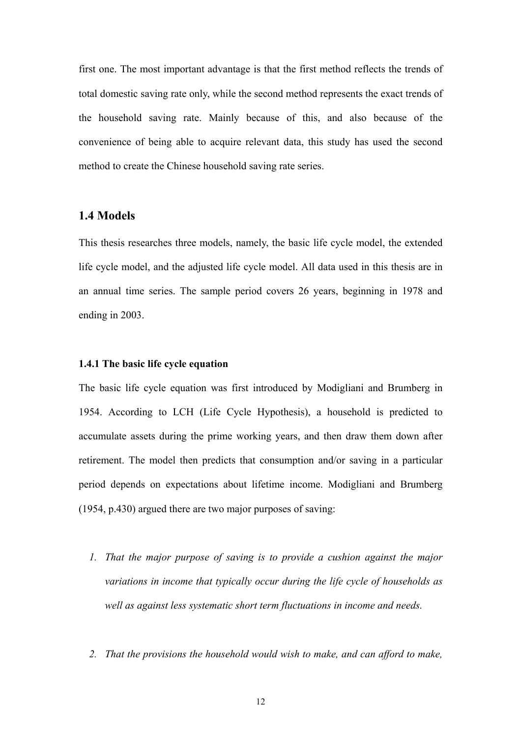<span id="page-14-0"></span>first one. The most important advantage is that the first method reflects the trends of total domestic saving rate only, while the second method represents the exact trends of the household saving rate. Mainly because of this, and also because of the convenience of being able to acquire relevant data, this study has used the second method to create the Chinese household saving rate series.

## **1.4 Models**

This thesis researches three models, namely, the basic life cycle model, the extended life cycle model, and the adjusted life cycle model. All data used in this thesis are in an annual time series. The sample period covers 26 years, beginning in 1978 and ending in 2003.

#### **1.4.1 The basic life cycle equation**

The basic life cycle equation was first introduced by Modigliani and Brumberg in 1954. According to LCH (Life Cycle Hypothesis), a household is predicted to accumulate assets during the prime working years, and then draw them down after retirement. The model then predicts that consumption and/or saving in a particular period depends on expectations about lifetime income. Modigliani and Brumberg (1954, p.430) argued there are two major purposes of saving:

- *1. That the major purpose of saving is to provide a cushion against the major variations in income that typically occur during the life cycle of households as well as against less systematic short term fluctuations in income and needs.*
- *2. That the provisions the household would wish to make, and can afford to make,*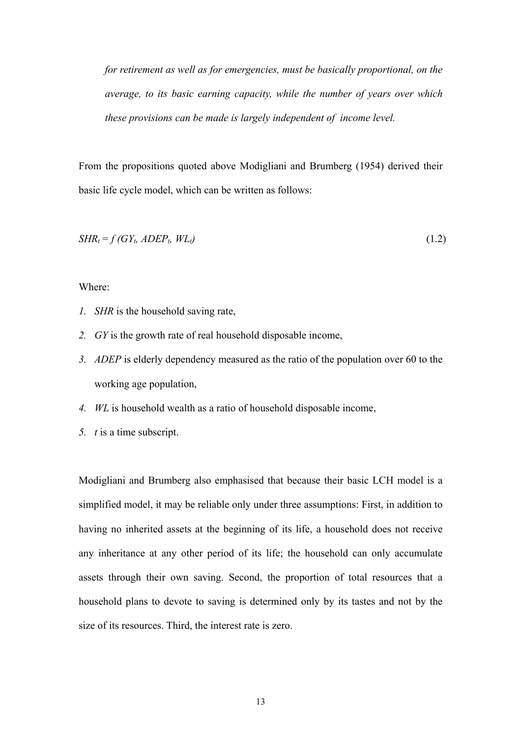*for retirement as well as for emergencies, must be basically proportional, on the average, to its basic earning capacity, while the number of years over which these provisions can be made is largely independent of income level.* 

From the propositions quoted above Modigliani and Brumberg (1954) derived their basic life cycle model, which can be written as follows:

$$
SHR_t = f(GY_t, ADEP_t, WL_t)
$$
\n
$$
(1.2)
$$

Where:

- *1. SHR* is the household saving rate,
- *2. GY* is the growth rate of real household disposable income,
- *3. ADEP* is elderly dependency measured as the ratio of the population over 60 to the working age population,
- *4. WL* is household wealth as a ratio of household disposable income,
- *5. t* is a time subscript.

Modigliani and Brumberg also emphasised that because their basic LCH model is a simplified model, it may be reliable only under three assumptions: First, in addition to having no inherited assets at the beginning of its life, a household does not receive any inheritance at any other period of its life; the household can only accumulate assets through their own saving. Second, the proportion of total resources that a household plans to devote to saving is determined only by its tastes and not by the size of its resources. Third, the interest rate is zero.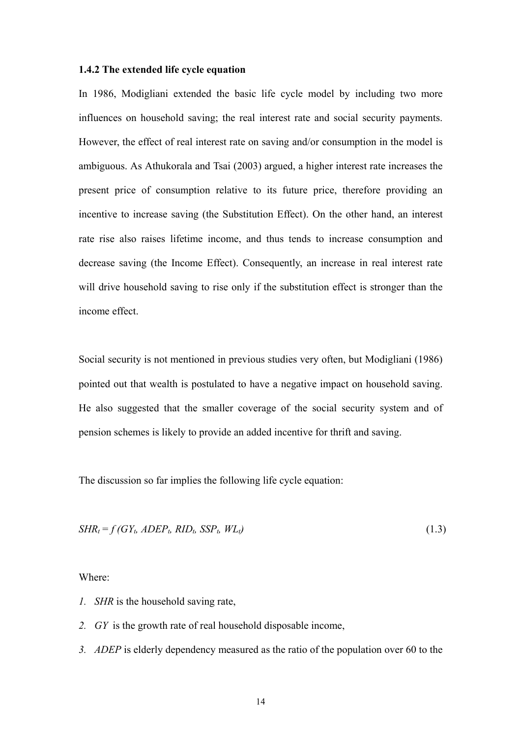#### **1.4.2 The extended life cycle equation**

In 1986, Modigliani extended the basic life cycle model by including two more influences on household saving; the real interest rate and social security payments. However, the effect of real interest rate on saving and/or consumption in the model is ambiguous. As Athukorala and Tsai (2003) argued, a higher interest rate increases the present price of consumption relative to its future price, therefore providing an incentive to increase saving (the Substitution Effect). On the other hand, an interest rate rise also raises lifetime income, and thus tends to increase consumption and decrease saving (the Income Effect). Consequently, an increase in real interest rate will drive household saving to rise only if the substitution effect is stronger than the income effect.

Social security is not mentioned in previous studies very often, but Modigliani (1986) pointed out that wealth is postulated to have a negative impact on household saving. He also suggested that the smaller coverage of the social security system and of pension schemes is likely to provide an added incentive for thrift and saving.

The discussion so far implies the following life cycle equation:

$$
SHR_t = f(GY_t, ADEP_t, RID_t, SSP_t, WL_t)
$$
\n
$$
(1.3)
$$

Where:

- *1. SHR* is the household saving rate,
- *2. GY* is the growth rate of real household disposable income,
- *3. ADEP* is elderly dependency measured as the ratio of the population over 60 to the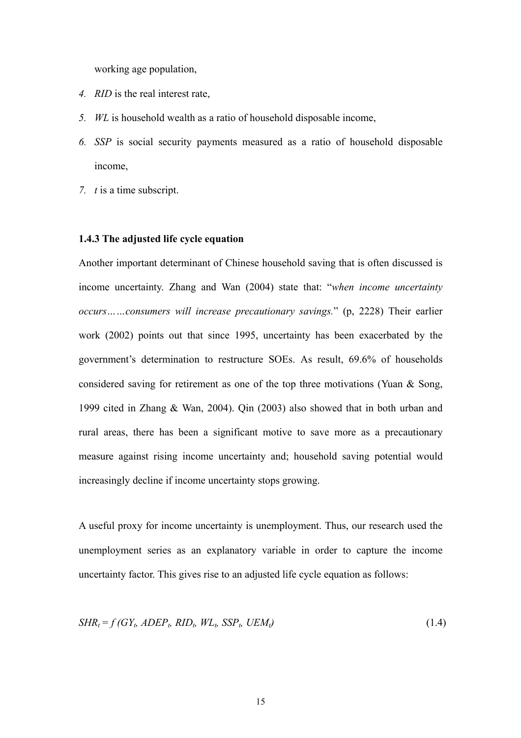working age population,

- *4. RID* is the real interest rate,
- *5. WL* is household wealth as a ratio of household disposable income,
- *6. SSP* is social security payments measured as a ratio of household disposable income,
- *7. t* is a time subscript.

#### **1.4.3 The adjusted life cycle equation**

Another important determinant of Chinese household saving that is often discussed is income uncertainty. Zhang and Wan (2004) state that: "*when income uncertainty occurs……consumers will increase precautionary savings.*" (p, 2228) Their earlier work (2002) points out that since 1995, uncertainty has been exacerbated by the government's determination to restructure SOEs. As result, 69.6% of households considered saving for retirement as one of the top three motivations (Yuan & Song, 1999 cited in Zhang & Wan, 2004). Qin (2003) also showed that in both urban and rural areas, there has been a significant motive to save more as a precautionary measure against rising income uncertainty and; household saving potential would increasingly decline if income uncertainty stops growing.

A useful proxy for income uncertainty is unemployment. Thus, our research used the unemployment series as an explanatory variable in order to capture the income uncertainty factor. This gives rise to an adjusted life cycle equation as follows:

$$
SHR_t = f(GY_t, ADEP_t, RID_t, WL_t, SSP_t, UEM_t)
$$
\n
$$
(1.4)
$$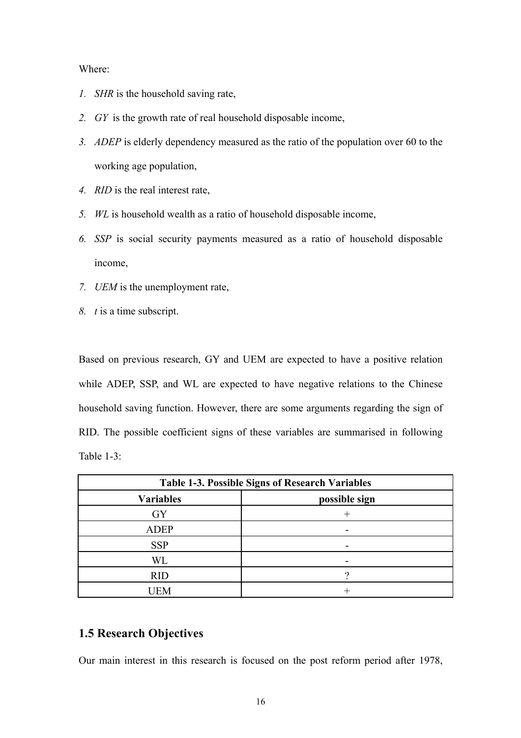#### <span id="page-18-0"></span>Where:

- *1. SHR* is the household saving rate,
- *2. GY* is the growth rate of real household disposable income,
- *3. ADEP* is elderly dependency measured as the ratio of the population over 60 to the working age population,
- *4. RID* is the real interest rate,
- *5. WL* is household wealth as a ratio of household disposable income,
- *6. SSP* is social security payments measured as a ratio of household disposable income,
- *7. UEM* is the unemployment rate,
- *8. t* is a time subscript.

Based on previous research, GY and UEM are expected to have a positive relation while ADEP, SSP, and WL are expected to have negative relations to the Chinese household saving function. However, there are some arguments regarding the sign of RID. The possible coefficient signs of these variables are summarised in following Table 1-3:

| <b>Table 1-3. Possible Signs of Research Variables</b> |               |  |  |
|--------------------------------------------------------|---------------|--|--|
| <b>Variables</b>                                       | possible sign |  |  |
| <b>GY</b>                                              |               |  |  |
| <b>ADEP</b>                                            |               |  |  |
| <b>SSP</b>                                             |               |  |  |
| WL                                                     |               |  |  |
| <b>RID</b>                                             |               |  |  |
| JEM                                                    |               |  |  |

## **1.5 Research Objectives**

Our main interest in this research is focused on the post reform period after 1978,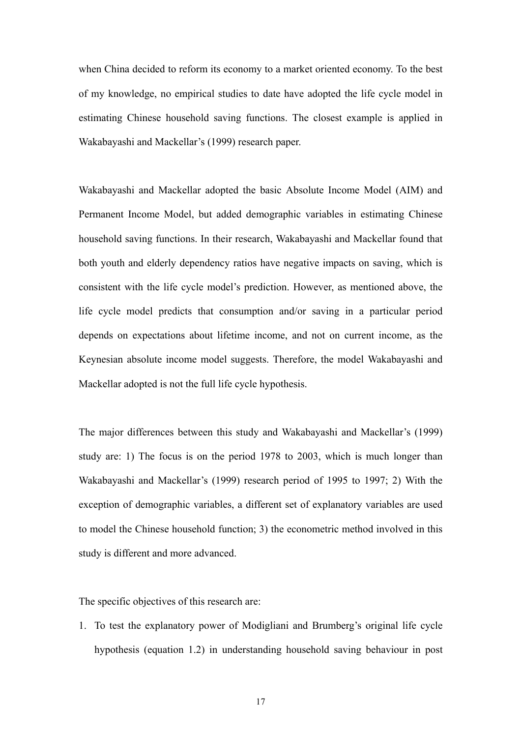when China decided to reform its economy to a market oriented economy. To the best of my knowledge, no empirical studies to date have adopted the life cycle model in estimating Chinese household saving functions. The closest example is applied in Wakabayashi and Mackellar's (1999) research paper.

Wakabayashi and Mackellar adopted the basic Absolute Income Model (AIM) and Permanent Income Model, but added demographic variables in estimating Chinese household saving functions. In their research, Wakabayashi and Mackellar found that both youth and elderly dependency ratios have negative impacts on saving, which is consistent with the life cycle model's prediction. However, as mentioned above, the life cycle model predicts that consumption and/or saving in a particular period depends on expectations about lifetime income, and not on current income, as the Keynesian absolute income model suggests. Therefore, the model Wakabayashi and Mackellar adopted is not the full life cycle hypothesis.

The major differences between this study and Wakabayashi and Mackellar's (1999) study are: 1) The focus is on the period 1978 to 2003, which is much longer than Wakabayashi and Mackellar's (1999) research period of 1995 to 1997; 2) With the exception of demographic variables, a different set of explanatory variables are used to model the Chinese household function; 3) the econometric method involved in this study is different and more advanced.

The specific objectives of this research are:

1. To test the explanatory power of Modigliani and Brumberg's original life cycle hypothesis (equation 1.2) in understanding household saving behaviour in post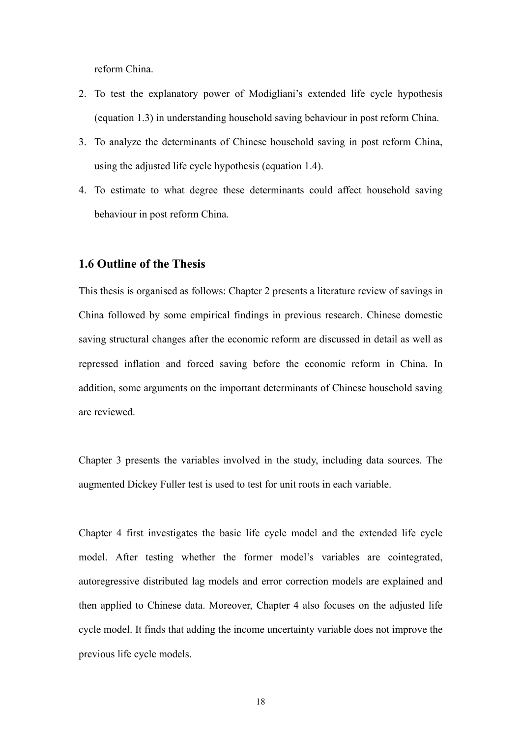<span id="page-20-0"></span>reform China.

- 2. To test the explanatory power of Modigliani's extended life cycle hypothesis (equation 1.3) in understanding household saving behaviour in post reform China.
- 3. To analyze the determinants of Chinese household saving in post reform China, using the adjusted life cycle hypothesis (equation 1.4).
- 4. To estimate to what degree these determinants could affect household saving behaviour in post reform China.

## **1.6 Outline of the Thesis**

This thesis is organised as follows: Chapter 2 presents a literature review of savings in China followed by some empirical findings in previous research. Chinese domestic saving structural changes after the economic reform are discussed in detail as well as repressed inflation and forced saving before the economic reform in China. In addition, some arguments on the important determinants of Chinese household saving are reviewed.

Chapter 3 presents the variables involved in the study, including data sources. The augmented Dickey Fuller test is used to test for unit roots in each variable.

Chapter 4 first investigates the basic life cycle model and the extended life cycle model. After testing whether the former model's variables are cointegrated, autoregressive distributed lag models and error correction models are explained and then applied to Chinese data. Moreover, Chapter 4 also focuses on the adjusted life cycle model. It finds that adding the income uncertainty variable does not improve the previous life cycle models.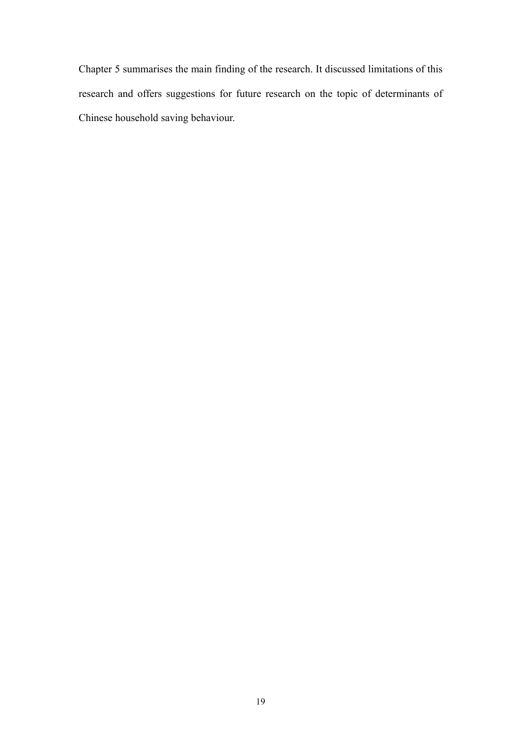Chapter 5 summarises the main finding of the research. It discussed limitations of this research and offers suggestions for future research on the topic of determinants of Chinese household saving behaviour.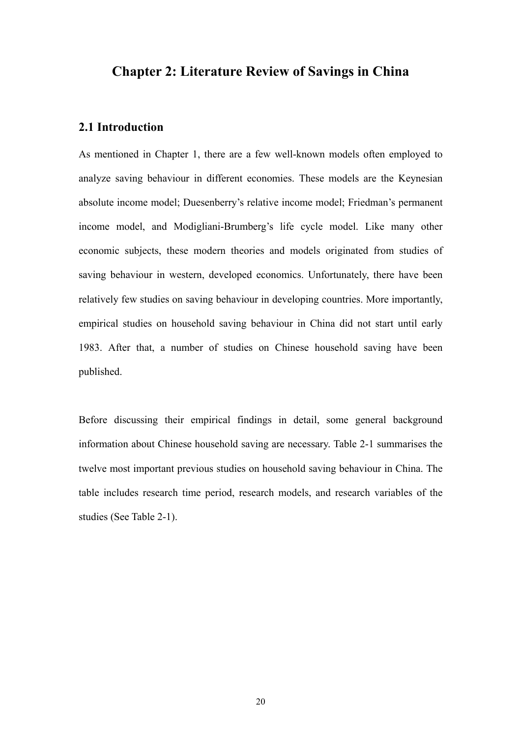## <span id="page-22-0"></span>**Chapter 2: Literature Review of Savings in China**

## **2.1 Introduction**

As mentioned in Chapter 1, there are a few well-known models often employed to analyze saving behaviour in different economies. These models are the Keynesian absolute income model; Duesenberry's relative income model; Friedman's permanent income model, and Modigliani-Brumberg's life cycle model. Like many other economic subjects, these modern theories and models originated from studies of saving behaviour in western, developed economics. Unfortunately, there have been relatively few studies on saving behaviour in developing countries. More importantly, empirical studies on household saving behaviour in China did not start until early 1983. After that, a number of studies on Chinese household saving have been published.

Before discussing their empirical findings in detail, some general background information about Chinese household saving are necessary. Table 2-1 summarises the twelve most important previous studies on household saving behaviour in China. The table includes research time period, research models, and research variables of the studies (See Table 2-1).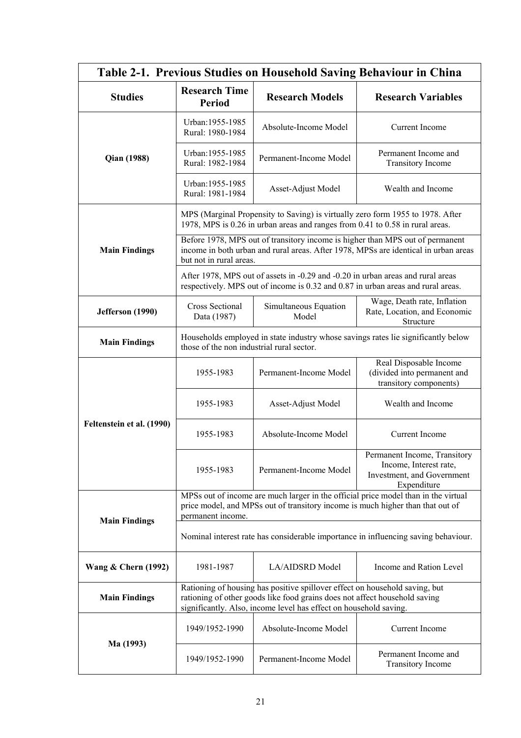<span id="page-23-0"></span>

| Table 2-1. Previous Studies on Household Saving Behaviour in China |                                                                                                                                                                                                                                |                                                                                 |                                                                                                                                                                      |  |  |
|--------------------------------------------------------------------|--------------------------------------------------------------------------------------------------------------------------------------------------------------------------------------------------------------------------------|---------------------------------------------------------------------------------|----------------------------------------------------------------------------------------------------------------------------------------------------------------------|--|--|
| <b>Studies</b>                                                     | <b>Research Time</b><br><b>Period</b>                                                                                                                                                                                          | <b>Research Models</b>                                                          | <b>Research Variables</b>                                                                                                                                            |  |  |
|                                                                    | Urban: 1955-1985<br>Rural: 1980-1984                                                                                                                                                                                           | Absolute-Income Model                                                           | Current Income                                                                                                                                                       |  |  |
| <b>Qian (1988)</b>                                                 | Urban: 1955-1985<br>Rural: 1982-1984                                                                                                                                                                                           | Permanent-Income Model                                                          | Permanent Income and<br><b>Transitory Income</b>                                                                                                                     |  |  |
|                                                                    | Urban: 1955-1985<br>Rural: 1981-1984                                                                                                                                                                                           | Asset-Adjust Model                                                              | Wealth and Income                                                                                                                                                    |  |  |
|                                                                    |                                                                                                                                                                                                                                | 1978, MPS is 0.26 in urban areas and ranges from 0.41 to 0.58 in rural areas.   | MPS (Marginal Propensity to Saving) is virtually zero form 1955 to 1978. After                                                                                       |  |  |
| <b>Main Findings</b>                                               | but not in rural areas.                                                                                                                                                                                                        |                                                                                 | Before 1978, MPS out of transitory income is higher than MPS out of permanent<br>income in both urban and rural areas. After 1978, MPSs are identical in urban areas |  |  |
|                                                                    |                                                                                                                                                                                                                                | After 1978, MPS out of assets in -0.29 and -0.20 in urban areas and rural areas | respectively. MPS out of income is 0.32 and 0.87 in urban areas and rural areas.                                                                                     |  |  |
| Jefferson (1990)                                                   | <b>Cross Sectional</b><br>Data (1987)                                                                                                                                                                                          | Simultaneous Equation<br>Model                                                  | Wage, Death rate, Inflation<br>Rate, Location, and Economic<br>Structure                                                                                             |  |  |
| <b>Main Findings</b>                                               | those of the non industrial rural sector.                                                                                                                                                                                      |                                                                                 | Households employed in state industry whose savings rates lie significantly below                                                                                    |  |  |
|                                                                    | 1955-1983                                                                                                                                                                                                                      | Permanent-Income Model                                                          | Real Disposable Income<br>(divided into permanent and<br>transitory components)                                                                                      |  |  |
|                                                                    | 1955-1983                                                                                                                                                                                                                      | Asset-Adjust Model                                                              | Wealth and Income                                                                                                                                                    |  |  |
| Feltenstein et al. (1990)                                          | 1955-1983                                                                                                                                                                                                                      | Absolute-Income Model                                                           | <b>Current Income</b>                                                                                                                                                |  |  |
|                                                                    | 1955-1983                                                                                                                                                                                                                      | Permanent-Income Model                                                          | Permanent Income, Transitory<br>Income, Interest rate,<br>Investment, and Government<br>Expenditure                                                                  |  |  |
| <b>Main Findings</b>                                               | MPSs out of income are much larger in the official price model than in the virtual<br>price model, and MPSs out of transitory income is much higher than that out of<br>permanent income.                                      |                                                                                 |                                                                                                                                                                      |  |  |
|                                                                    | Nominal interest rate has considerable importance in influencing saving behaviour.                                                                                                                                             |                                                                                 |                                                                                                                                                                      |  |  |
| <b>Wang &amp; Chern (1992)</b>                                     | 1981-1987                                                                                                                                                                                                                      | LA/AIDSRD Model                                                                 | Income and Ration Level                                                                                                                                              |  |  |
| <b>Main Findings</b>                                               | Rationing of housing has positive spillover effect on household saving, but<br>rationing of other goods like food grains does not affect household saving<br>significantly. Also, income level has effect on household saving. |                                                                                 |                                                                                                                                                                      |  |  |
|                                                                    | 1949/1952-1990                                                                                                                                                                                                                 | Absolute-Income Model                                                           | Current Income                                                                                                                                                       |  |  |
| Ma (1993)                                                          | 1949/1952-1990                                                                                                                                                                                                                 | Permanent-Income Model                                                          | Permanent Income and<br><b>Transitory Income</b>                                                                                                                     |  |  |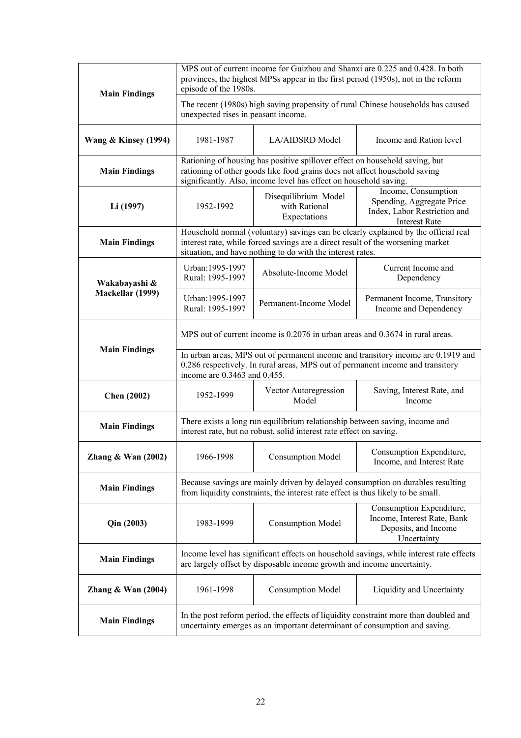| <b>Main Findings</b>                                                                                                                                                                       | MPS out of current income for Guizhou and Shanxi are 0.225 and 0.428. In both<br>provinces, the highest MPSs appear in the first period (1950s), not in the reform<br>episode of the 1980s.                                    |                                                                                                                                               |                                                                                                          |  |
|--------------------------------------------------------------------------------------------------------------------------------------------------------------------------------------------|--------------------------------------------------------------------------------------------------------------------------------------------------------------------------------------------------------------------------------|-----------------------------------------------------------------------------------------------------------------------------------------------|----------------------------------------------------------------------------------------------------------|--|
|                                                                                                                                                                                            | The recent (1980s) high saving propensity of rural Chinese households has caused<br>unexpected rises in peasant income.                                                                                                        |                                                                                                                                               |                                                                                                          |  |
| <b>Wang &amp; Kinsey (1994)</b>                                                                                                                                                            | 1981-1987                                                                                                                                                                                                                      | LA/AIDSRD Model                                                                                                                               | Income and Ration level                                                                                  |  |
| <b>Main Findings</b>                                                                                                                                                                       | Rationing of housing has positive spillover effect on household saving, but<br>rationing of other goods like food grains does not affect household saving<br>significantly. Also, income level has effect on household saving. |                                                                                                                                               |                                                                                                          |  |
| Li (1997)                                                                                                                                                                                  | 1952-1992                                                                                                                                                                                                                      | Disequilibrium Model<br>with Rational<br>Expectations                                                                                         | Income, Consumption<br>Spending, Aggregate Price<br>Index, Labor Restriction and<br><b>Interest Rate</b> |  |
| <b>Main Findings</b>                                                                                                                                                                       |                                                                                                                                                                                                                                | interest rate, while forced savings are a direct result of the worsening market<br>situation, and have nothing to do with the interest rates. | Household normal (voluntary) savings can be clearly explained by the official real                       |  |
| Wakabayashi &                                                                                                                                                                              | Urban: 1995-1997<br>Rural: 1995-1997                                                                                                                                                                                           | Absolute-Income Model                                                                                                                         | Current Income and<br>Dependency                                                                         |  |
| Mackellar (1999)                                                                                                                                                                           | Urban: 1995-1997<br>Rural: 1995-1997                                                                                                                                                                                           | Permanent-Income Model                                                                                                                        | Permanent Income, Transitory<br>Income and Dependency                                                    |  |
|                                                                                                                                                                                            | MPS out of current income is 0.2076 in urban areas and 0.3674 in rural areas.                                                                                                                                                  |                                                                                                                                               |                                                                                                          |  |
| <b>Main Findings</b>                                                                                                                                                                       | In urban areas, MPS out of permanent income and transitory income are 0.1919 and<br>0.286 respectively. In rural areas, MPS out of permanent income and transitory<br>income are 0.3463 and 0.455.                             |                                                                                                                                               |                                                                                                          |  |
| <b>Chen</b> (2002)                                                                                                                                                                         | 1952-1999                                                                                                                                                                                                                      | Vector Autoregression<br>Model                                                                                                                | Saving, Interest Rate, and<br>Income                                                                     |  |
| <b>Main Findings</b>                                                                                                                                                                       | There exists a long run equilibrium relationship between saving, income and<br>interest rate, but no robust, solid interest rate effect on saving.                                                                             |                                                                                                                                               |                                                                                                          |  |
| Zhang & Wan $(2002)$                                                                                                                                                                       | 1966-1998                                                                                                                                                                                                                      | <b>Consumption Model</b>                                                                                                                      | Consumption Expenditure<br>Income, and Interest Rate                                                     |  |
| <b>Main Findings</b>                                                                                                                                                                       | Because savings are mainly driven by delayed consumption on durables resulting<br>from liquidity constraints, the interest rate effect is thus likely to be small.                                                             |                                                                                                                                               |                                                                                                          |  |
| Qin (2003)                                                                                                                                                                                 | 1983-1999                                                                                                                                                                                                                      | <b>Consumption Model</b>                                                                                                                      | Consumption Expenditure,<br>Income, Interest Rate, Bank<br>Deposits, and Income<br>Uncertainty           |  |
| <b>Main Findings</b>                                                                                                                                                                       | Income level has significant effects on household savings, while interest rate effects<br>are largely offset by disposable income growth and income uncertainty.                                                               |                                                                                                                                               |                                                                                                          |  |
| 1961-1998<br>Zhang $&$ Wan (2004)<br><b>Consumption Model</b>                                                                                                                              |                                                                                                                                                                                                                                | Liquidity and Uncertainty                                                                                                                     |                                                                                                          |  |
| In the post reform period, the effects of liquidity constraint more than doubled and<br><b>Main Findings</b><br>uncertainty emerges as an important determinant of consumption and saving. |                                                                                                                                                                                                                                |                                                                                                                                               |                                                                                                          |  |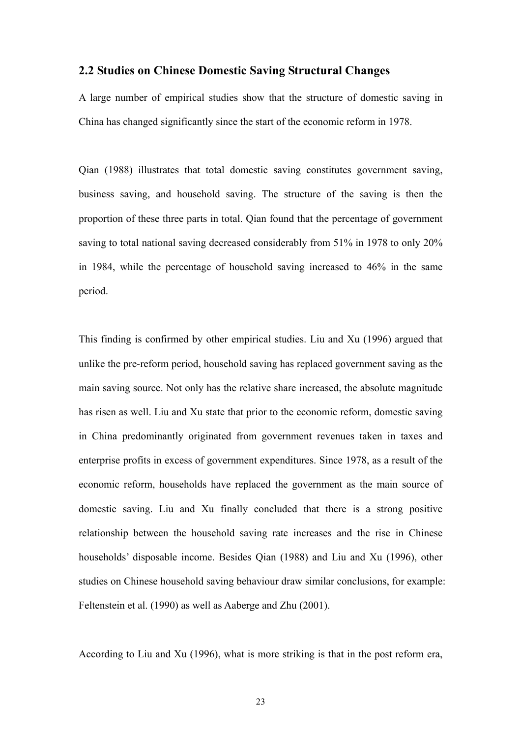#### <span id="page-25-0"></span>**2.2 Studies on Chinese Domestic Saving Structural Changes**

A large number of empirical studies show that the structure of domestic saving in China has changed significantly since the start of the economic reform in 1978.

Qian (1988) illustrates that total domestic saving constitutes government saving, business saving, and household saving. The structure of the saving is then the proportion of these three parts in total. Qian found that the percentage of government saving to total national saving decreased considerably from 51% in 1978 to only 20% in 1984, while the percentage of household saving increased to 46% in the same period.

This finding is confirmed by other empirical studies. Liu and Xu (1996) argued that unlike the pre-reform period, household saving has replaced government saving as the main saving source. Not only has the relative share increased, the absolute magnitude has risen as well. Liu and Xu state that prior to the economic reform, domestic saving in China predominantly originated from government revenues taken in taxes and enterprise profits in excess of government expenditures. Since 1978, as a result of the economic reform, households have replaced the government as the main source of domestic saving. Liu and Xu finally concluded that there is a strong positive relationship between the household saving rate increases and the rise in Chinese households' disposable income. Besides Qian (1988) and Liu and Xu (1996), other studies on Chinese household saving behaviour draw similar conclusions, for example: Feltenstein et al. (1990) as well as Aaberge and Zhu (2001).

According to Liu and Xu (1996), what is more striking is that in the post reform era,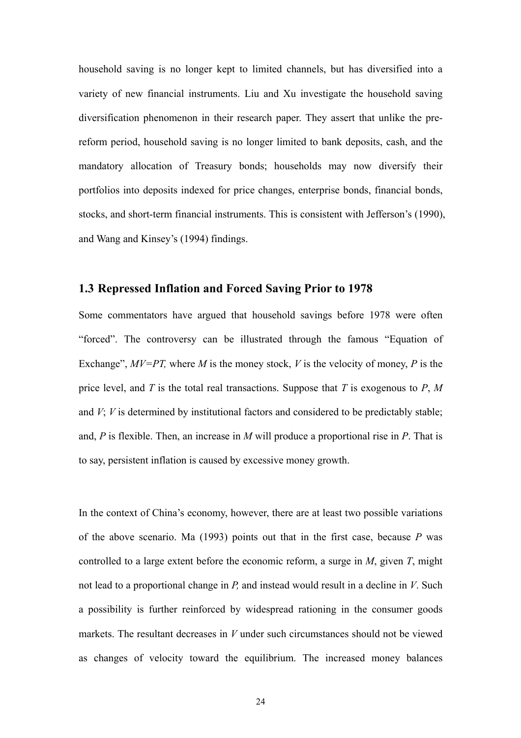<span id="page-26-0"></span>household saving is no longer kept to limited channels, but has diversified into a variety of new financial instruments. Liu and Xu investigate the household saving diversification phenomenon in their research paper. They assert that unlike the prereform period, household saving is no longer limited to bank deposits, cash, and the mandatory allocation of Treasury bonds; households may now diversify their portfolios into deposits indexed for price changes, enterprise bonds, financial bonds, stocks, and short-term financial instruments. This is consistent with Jefferson's (1990), and Wang and Kinsey's (1994) findings.

## **1.3 Repressed Inflation and Forced Saving Prior to 1978**

Some commentators have argued that household savings before 1978 were often "forced". The controversy can be illustrated through the famous "Equation of Exchange",  $MV=PT$ , where M is the money stock, V is the velocity of money, P is the price level, and *T* is the total real transactions. Suppose that *T* is exogenous to *P*, *M* and *V*; *V* is determined by institutional factors and considered to be predictably stable; and, *P* is flexible. Then, an increase in *M* will produce a proportional rise in *P*. That is to say, persistent inflation is caused by excessive money growth.

In the context of China's economy, however, there are at least two possible variations of the above scenario. Ma (1993) points out that in the first case, because *P* was controlled to a large extent before the economic reform, a surge in *M*, given *T*, might not lead to a proportional change in *P,* and instead would result in a decline in *V*. Such a possibility is further reinforced by widespread rationing in the consumer goods markets. The resultant decreases in *V* under such circumstances should not be viewed as changes of velocity toward the equilibrium. The increased money balances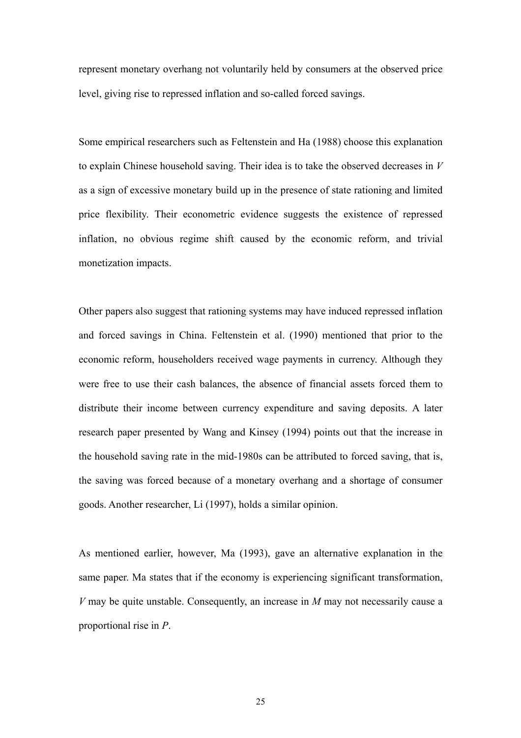represent monetary overhang not voluntarily held by consumers at the observed price level, giving rise to repressed inflation and so-called forced savings.

Some empirical researchers such as Feltenstein and Ha (1988) choose this explanation to explain Chinese household saving. Their idea is to take the observed decreases in *V* as a sign of excessive monetary build up in the presence of state rationing and limited price flexibility. Their econometric evidence suggests the existence of repressed inflation, no obvious regime shift caused by the economic reform, and trivial monetization impacts.

Other papers also suggest that rationing systems may have induced repressed inflation and forced savings in China. Feltenstein et al. (1990) mentioned that prior to the economic reform, householders received wage payments in currency. Although they were free to use their cash balances, the absence of financial assets forced them to distribute their income between currency expenditure and saving deposits. A later research paper presented by Wang and Kinsey (1994) points out that the increase in the household saving rate in the mid-1980s can be attributed to forced saving, that is, the saving was forced because of a monetary overhang and a shortage of consumer goods. Another researcher, Li (1997), holds a similar opinion.

As mentioned earlier, however, Ma (1993), gave an alternative explanation in the same paper. Ma states that if the economy is experiencing significant transformation, *V* may be quite unstable. Consequently, an increase in *M* may not necessarily cause a proportional rise in *P*.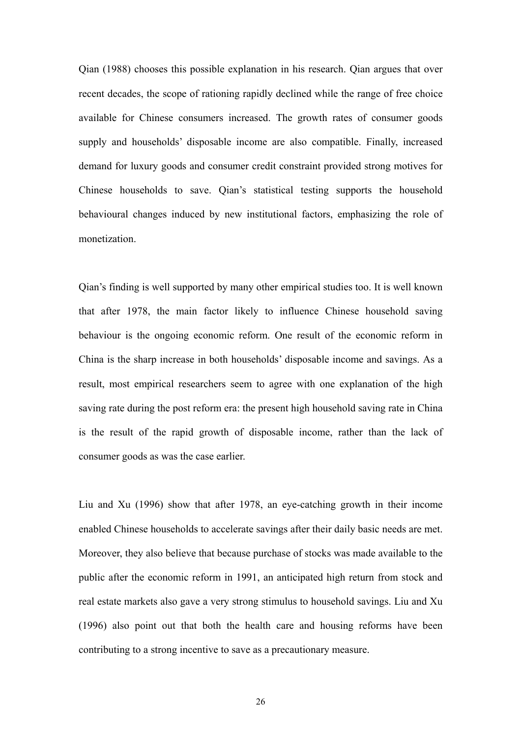Qian (1988) chooses this possible explanation in his research. Qian argues that over recent decades, the scope of rationing rapidly declined while the range of free choice available for Chinese consumers increased. The growth rates of consumer goods supply and households' disposable income are also compatible. Finally, increased demand for luxury goods and consumer credit constraint provided strong motives for Chinese households to save. Qian's statistical testing supports the household behavioural changes induced by new institutional factors, emphasizing the role of monetization.

Qian's finding is well supported by many other empirical studies too. It is well known that after 1978, the main factor likely to influence Chinese household saving behaviour is the ongoing economic reform. One result of the economic reform in China is the sharp increase in both households' disposable income and savings. As a result, most empirical researchers seem to agree with one explanation of the high saving rate during the post reform era: the present high household saving rate in China is the result of the rapid growth of disposable income, rather than the lack of consumer goods as was the case earlier.

Liu and Xu (1996) show that after 1978, an eye-catching growth in their income enabled Chinese households to accelerate savings after their daily basic needs are met. Moreover, they also believe that because purchase of stocks was made available to the public after the economic reform in 1991, an anticipated high return from stock and real estate markets also gave a very strong stimulus to household savings. Liu and Xu (1996) also point out that both the health care and housing reforms have been contributing to a strong incentive to save as a precautionary measure.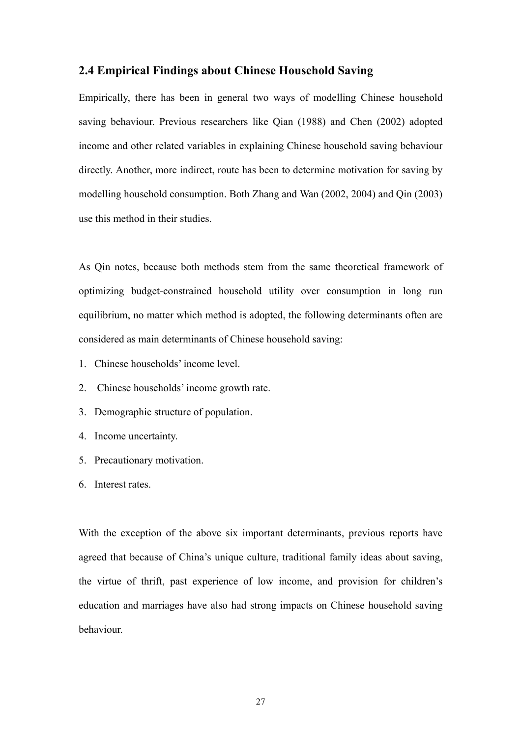#### <span id="page-29-0"></span>**2.4 Empirical Findings about Chinese Household Saving**

Empirically, there has been in general two ways of modelling Chinese household saving behaviour. Previous researchers like Qian (1988) and Chen (2002) adopted income and other related variables in explaining Chinese household saving behaviour directly. Another, more indirect, route has been to determine motivation for saving by modelling household consumption. Both Zhang and Wan (2002, 2004) and Qin (2003) use this method in their studies.

As Qin notes, because both methods stem from the same theoretical framework of optimizing budget-constrained household utility over consumption in long run equilibrium, no matter which method is adopted, the following determinants often are considered as main determinants of Chinese household saving:

- 1. Chinese households' income level.
- 2. Chinese households' income growth rate.
- 3. Demographic structure of population.
- 4. Income uncertainty.
- 5. Precautionary motivation.
- 6. Interest rates.

With the exception of the above six important determinants, previous reports have agreed that because of China's unique culture, traditional family ideas about saving, the virtue of thrift, past experience of low income, and provision for children's education and marriages have also had strong impacts on Chinese household saving behaviour.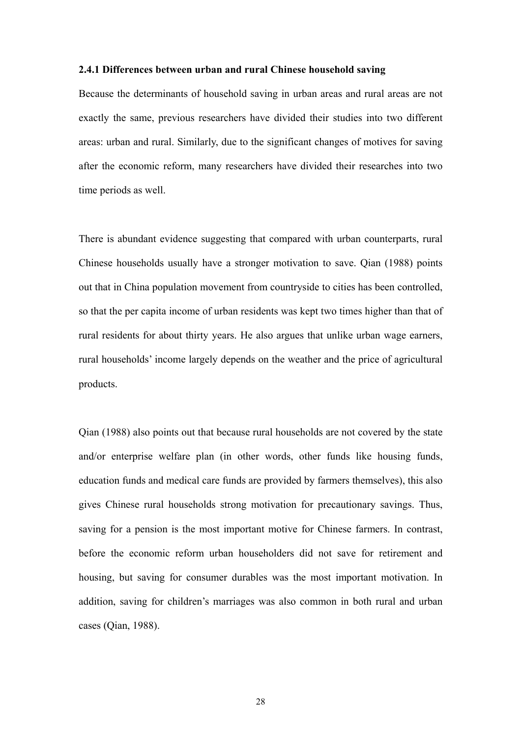#### **2.4.1 Differences between urban and rural Chinese household saving**

Because the determinants of household saving in urban areas and rural areas are not exactly the same, previous researchers have divided their studies into two different areas: urban and rural. Similarly, due to the significant changes of motives for saving after the economic reform, many researchers have divided their researches into two time periods as well.

There is abundant evidence suggesting that compared with urban counterparts, rural Chinese households usually have a stronger motivation to save. Qian (1988) points out that in China population movement from countryside to cities has been controlled, so that the per capita income of urban residents was kept two times higher than that of rural residents for about thirty years. He also argues that unlike urban wage earners, rural households' income largely depends on the weather and the price of agricultural products.

Qian (1988) also points out that because rural households are not covered by the state and/or enterprise welfare plan (in other words, other funds like housing funds, education funds and medical care funds are provided by farmers themselves), this also gives Chinese rural households strong motivation for precautionary savings. Thus, saving for a pension is the most important motive for Chinese farmers. In contrast, before the economic reform urban householders did not save for retirement and housing, but saving for consumer durables was the most important motivation. In addition, saving for children's marriages was also common in both rural and urban cases (Qian, 1988).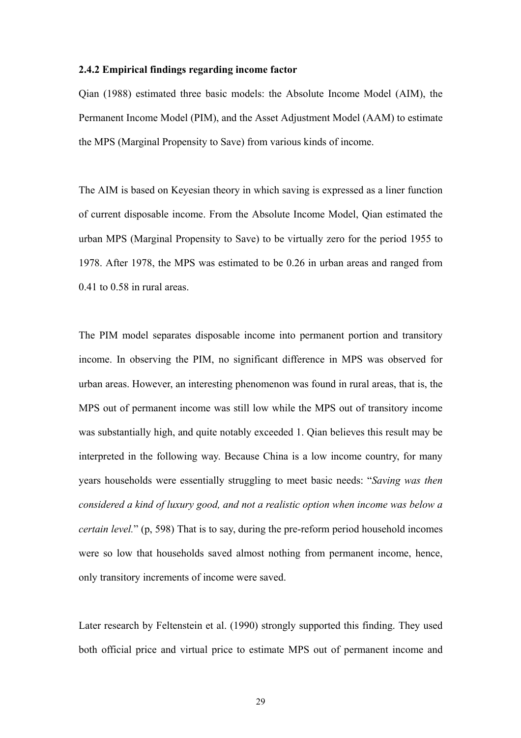#### **2.4.2 Empirical findings regarding income factor**

Qian (1988) estimated three basic models: the Absolute Income Model (AIM), the Permanent Income Model (PIM), and the Asset Adjustment Model (AAM) to estimate the MPS (Marginal Propensity to Save) from various kinds of income.

The AIM is based on Keyesian theory in which saving is expressed as a liner function of current disposable income. From the Absolute Income Model, Qian estimated the urban MPS (Marginal Propensity to Save) to be virtually zero for the period 1955 to 1978. After 1978, the MPS was estimated to be 0.26 in urban areas and ranged from 0.41 to 0.58 in rural areas.

The PIM model separates disposable income into permanent portion and transitory income. In observing the PIM, no significant difference in MPS was observed for urban areas. However, an interesting phenomenon was found in rural areas, that is, the MPS out of permanent income was still low while the MPS out of transitory income was substantially high, and quite notably exceeded 1. Qian believes this result may be interpreted in the following way. Because China is a low income country, for many years households were essentially struggling to meet basic needs: "*Saving was then considered a kind of luxury good, and not a realistic option when income was below a certain level.*" (p, 598) That is to say, during the pre-reform period household incomes were so low that households saved almost nothing from permanent income, hence, only transitory increments of income were saved.

Later research by Feltenstein et al. (1990) strongly supported this finding. They used both official price and virtual price to estimate MPS out of permanent income and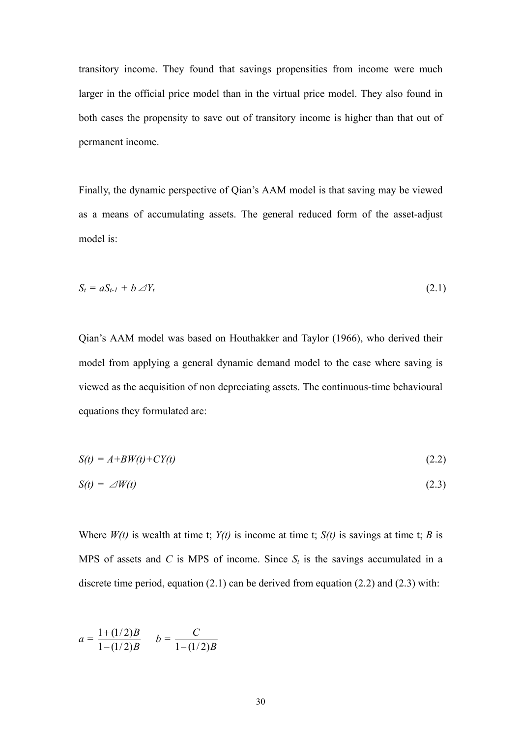transitory income. They found that savings propensities from income were much larger in the official price model than in the virtual price model. They also found in both cases the propensity to save out of transitory income is higher than that out of permanent income.

Finally, the dynamic perspective of Qian's AAM model is that saving may be viewed as a means of accumulating assets. The general reduced form of the asset-adjust model is:

$$
S_t = aS_{t-1} + b \angle Y_t \tag{2.1}
$$

Qian's AAM model was based on Houthakker and Taylor (1966), who derived their model from applying a general dynamic demand model to the case where saving is viewed as the acquisition of non depreciating assets. The continuous-time behavioural equations they formulated are:

$$
S(t) = A + BW(t) + CY(t)
$$
\n
$$
(2.2)
$$

$$
S(t) = \angle W(t) \tag{2.3}
$$

Where  $W(t)$  is wealth at time t;  $Y(t)$  is income at time t;  $S(t)$  is savings at time t; *B* is MPS of assets and *C* is MPS of income. Since  $S_t$  is the savings accumulated in a discrete time period, equation  $(2.1)$  can be derived from equation  $(2.2)$  and  $(2.3)$  with:

$$
a = \frac{1 + (1/2)B}{1 - (1/2)B} \qquad b = \frac{C}{1 - (1/2)B}
$$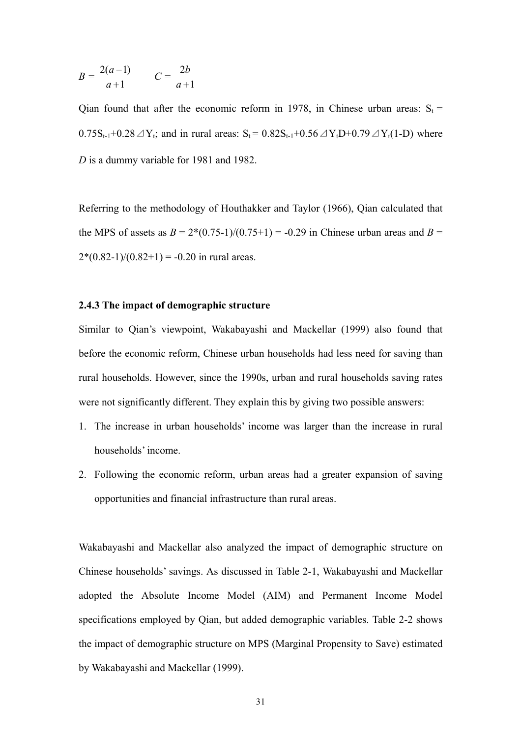$$
B = \frac{2(a-1)}{a+1} \qquad C = \frac{2b}{a+1}
$$

Qian found that after the economic reform in 1978, in Chinese urban areas:  $S_t$  =  $0.75S_{t-1}+0.28\ \text{A}Y_t$ ; and in rural areas:  $S_t = 0.82S_{t-1}+0.56\ \text{A}Y_tD+0.79\ \text{A}Y_t(1-D)$  where *D* is a dummy variable for 1981 and 1982.

Referring to the methodology of Houthakker and Taylor (1966), Qian calculated that the MPS of assets as  $B = 2*(0.75-1)/(0.75+1) = -0.29$  in Chinese urban areas and  $B =$  $2*(0.82-1)/(0.82+1) = -0.20$  in rural areas.

### **2.4.3 The impact of demographic structure**

Similar to Qian's viewpoint, Wakabayashi and Mackellar (1999) also found that before the economic reform, Chinese urban households had less need for saving than rural households. However, since the 1990s, urban and rural households saving rates were not significantly different. They explain this by giving two possible answers:

- 1. The increase in urban households' income was larger than the increase in rural households' income.
- 2. Following the economic reform, urban areas had a greater expansion of saving opportunities and financial infrastructure than rural areas.

Wakabayashi and Mackellar also analyzed the impact of demographic structure on Chinese households' savings. As discussed in Table 2-1, Wakabayashi and Mackellar adopted the Absolute Income Model (AIM) and Permanent Income Model specifications employed by Qian, but added demographic variables. Table 2-2 shows the impact of demographic structure on MPS (Marginal Propensity to Save) estimated by Wakabayashi and Mackellar (1999).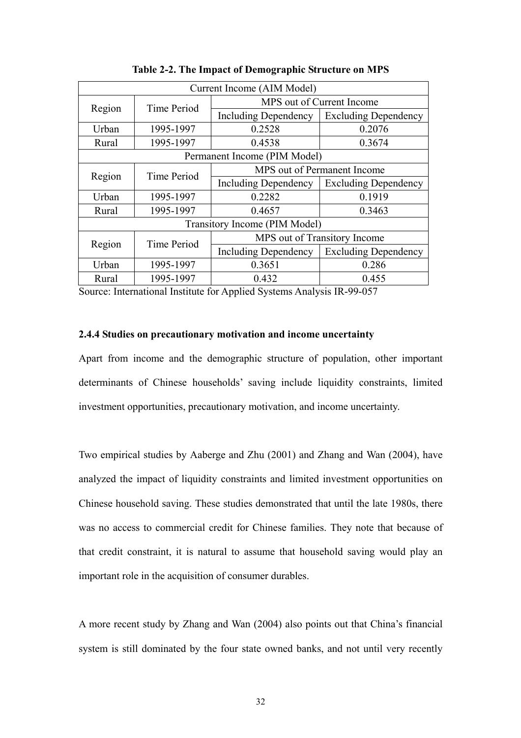<span id="page-34-0"></span>

| Current Income (AIM Model)    |                                            |                              |                             |  |
|-------------------------------|--------------------------------------------|------------------------------|-----------------------------|--|
|                               |                                            | MPS out of Current Income    |                             |  |
| <b>Time Period</b><br>Region  |                                            | <b>Including Dependency</b>  | <b>Excluding Dependency</b> |  |
| Urban                         | 1995-1997                                  | 0.2528                       | 0.2076                      |  |
| Rural                         | 1995-1997                                  | 0.4538                       | 0.3674                      |  |
|                               |                                            | Permanent Income (PIM Model) |                             |  |
|                               | MPS out of Permanent Income<br>Time Period |                              |                             |  |
| Region                        |                                            | Including Dependency         | <b>Excluding Dependency</b> |  |
| Urban                         | 1995-1997                                  | 0.2282                       | 0.1919                      |  |
| Rural                         | 1995-1997                                  | 0.4657                       | 0.3463                      |  |
| Transitory Income (PIM Model) |                                            |                              |                             |  |
| Region                        | Time Period                                | MPS out of Transitory Income |                             |  |
|                               |                                            | <b>Including Dependency</b>  | <b>Excluding Dependency</b> |  |
| Urban                         | 1995-1997                                  | 0.3651                       | 0.286                       |  |
| Rural                         | 1995-1997                                  | 0.432                        | 0.455                       |  |

**Table 2-2. The Impact of Demographic Structure on MPS** 

Source: International Institute for Applied Systems Analysis IR-99-057

## **2.4.4 Studies on precautionary motivation and income uncertainty**

Apart from income and the demographic structure of population, other important determinants of Chinese households' saving include liquidity constraints, limited investment opportunities, precautionary motivation, and income uncertainty.

Two empirical studies by Aaberge and Zhu (2001) and Zhang and Wan (2004), have analyzed the impact of liquidity constraints and limited investment opportunities on Chinese household saving. These studies demonstrated that until the late 1980s, there was no access to commercial credit for Chinese families. They note that because of that credit constraint, it is natural to assume that household saving would play an important role in the acquisition of consumer durables.

A more recent study by Zhang and Wan (2004) also points out that China's financial system is still dominated by the four state owned banks, and not until very recently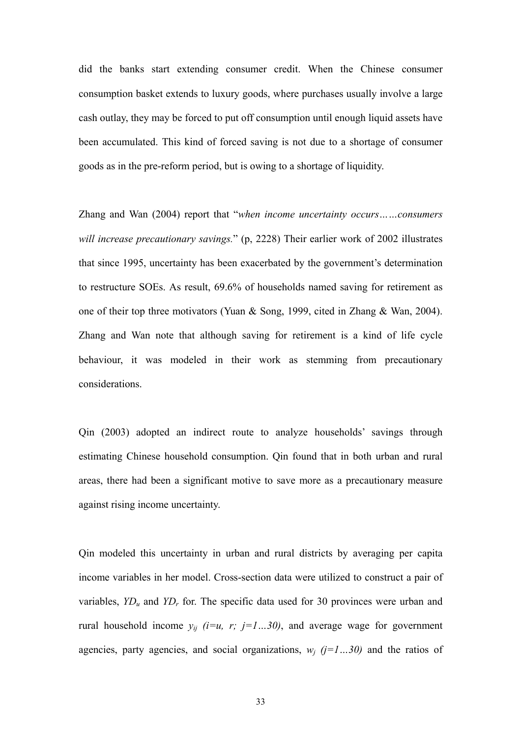did the banks start extending consumer credit. When the Chinese consumer consumption basket extends to luxury goods, where purchases usually involve a large cash outlay, they may be forced to put off consumption until enough liquid assets have been accumulated. This kind of forced saving is not due to a shortage of consumer goods as in the pre-reform period, but is owing to a shortage of liquidity.

Zhang and Wan (2004) report that "*when income uncertainty occurs……consumers will increase precautionary savings.*" (p, 2228) Their earlier work of 2002 illustrates that since 1995, uncertainty has been exacerbated by the government's determination to restructure SOEs. As result, 69.6% of households named saving for retirement as one of their top three motivators (Yuan & Song, 1999, cited in Zhang & Wan, 2004). Zhang and Wan note that although saving for retirement is a kind of life cycle behaviour, it was modeled in their work as stemming from precautionary considerations.

Qin (2003) adopted an indirect route to analyze households' savings through estimating Chinese household consumption. Qin found that in both urban and rural areas, there had been a significant motive to save more as a precautionary measure against rising income uncertainty.

Qin modeled this uncertainty in urban and rural districts by averaging per capita income variables in her model. Cross-section data were utilized to construct a pair of variables,  $YD_u$  and  $YD_r$  for. The specific data used for 30 provinces were urban and rural household income  $y_{ii}$  (*i*=*u*, *r*; *j*=*1...30)*, and average wage for government agencies, party agencies, and social organizations,  $w_i$  ( $j=1...30$ ) and the ratios of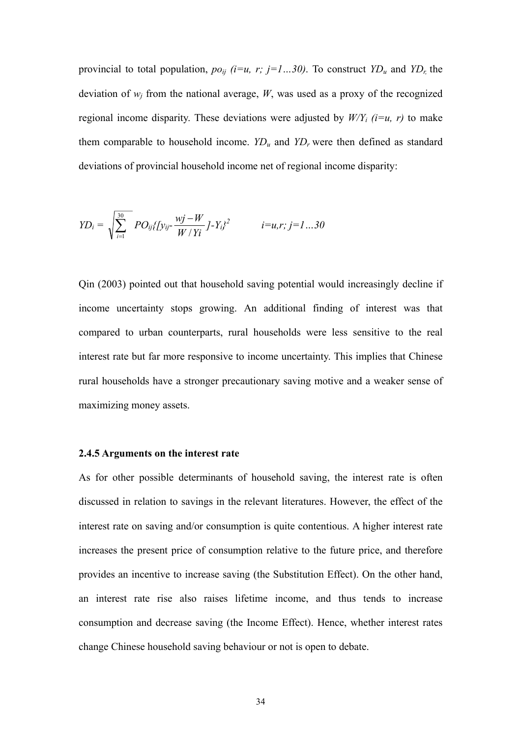provincial to total population,  $po_{ij}$  ( $i=u$ ,  $r$ ;  $j=1...30$ ). To construct  $YD_u$  and  $YD_r$ , the deviation of  $w_i$  from the national average,  $W$ , was used as a proxy of the recognized regional income disparity. These deviations were adjusted by  $W/Y_i$  (*i*=*u*, *r*) to make them comparable to household income.  $YD_u$  and  $YD_r$  were then defined as standard deviations of provincial household income net of regional income disparity:

$$
YD_i = \sqrt{\sum_{i=1}^{30} PO_{ij}\{y_{ij} - \frac{wj - W}{W/Yi}J - Y_i\}^2}
$$
 *i = u, r; j = 1...30*

Qin (2003) pointed out that household saving potential would increasingly decline if income uncertainty stops growing. An additional finding of interest was that compared to urban counterparts, rural households were less sensitive to the real interest rate but far more responsive to income uncertainty. This implies that Chinese rural households have a stronger precautionary saving motive and a weaker sense of maximizing money assets.

#### **2.4.5 Arguments on the interest rate**

As for other possible determinants of household saving, the interest rate is often discussed in relation to savings in the relevant literatures. However, the effect of the interest rate on saving and/or consumption is quite contentious. A higher interest rate increases the present price of consumption relative to the future price, and therefore provides an incentive to increase saving (the Substitution Effect). On the other hand, an interest rate rise also raises lifetime income, and thus tends to increase consumption and decrease saving (the Income Effect). Hence, whether interest rates change Chinese household saving behaviour or not is open to debate.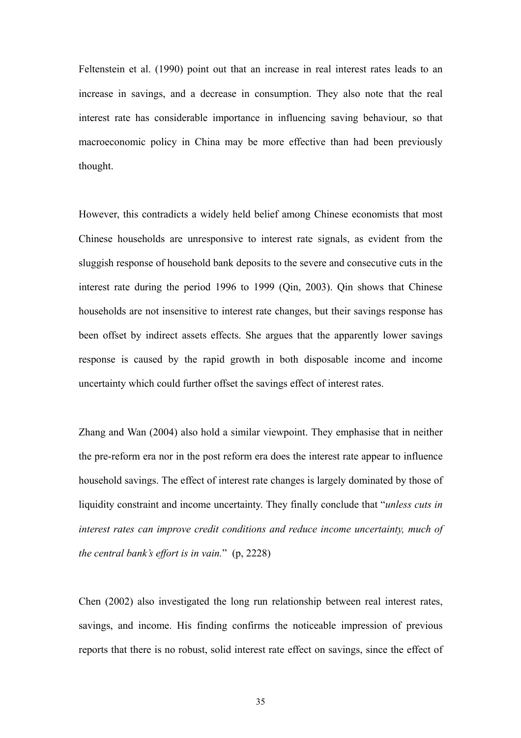Feltenstein et al. (1990) point out that an increase in real interest rates leads to an increase in savings, and a decrease in consumption. They also note that the real interest rate has considerable importance in influencing saving behaviour, so that macroeconomic policy in China may be more effective than had been previously thought.

However, this contradicts a widely held belief among Chinese economists that most Chinese households are unresponsive to interest rate signals, as evident from the sluggish response of household bank deposits to the severe and consecutive cuts in the interest rate during the period 1996 to 1999 (Qin, 2003). Qin shows that Chinese households are not insensitive to interest rate changes, but their savings response has been offset by indirect assets effects. She argues that the apparently lower savings response is caused by the rapid growth in both disposable income and income uncertainty which could further offset the savings effect of interest rates.

Zhang and Wan (2004) also hold a similar viewpoint. They emphasise that in neither the pre-reform era nor in the post reform era does the interest rate appear to influence household savings. The effect of interest rate changes is largely dominated by those of liquidity constraint and income uncertainty. They finally conclude that "*unless cuts in interest rates can improve credit conditions and reduce income uncertainty, much of the central bank's effort is in vain.*" (p, 2228)

Chen (2002) also investigated the long run relationship between real interest rates, savings, and income. His finding confirms the noticeable impression of previous reports that there is no robust, solid interest rate effect on savings, since the effect of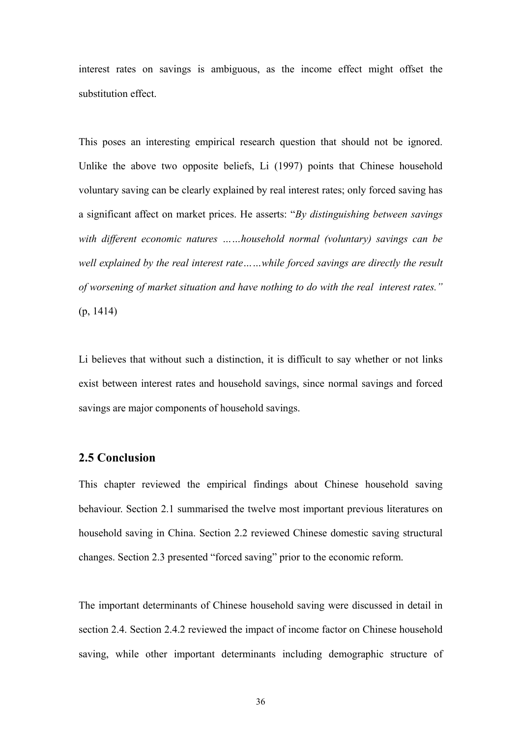interest rates on savings is ambiguous, as the income effect might offset the substitution effect.

This poses an interesting empirical research question that should not be ignored. Unlike the above two opposite beliefs, Li (1997) points that Chinese household voluntary saving can be clearly explained by real interest rates; only forced saving has a significant affect on market prices. He asserts: "*By distinguishing between savings with different economic natures ……household normal (voluntary) savings can be well explained by the real interest rate……while forced savings are directly the result of worsening of market situation and have nothing to do with the real interest rates."* (p, 1414)

Li believes that without such a distinction, it is difficult to say whether or not links exist between interest rates and household savings, since normal savings and forced savings are major components of household savings.

# **2.5 Conclusion**

This chapter reviewed the empirical findings about Chinese household saving behaviour. Section 2.1 summarised the twelve most important previous literatures on household saving in China. Section 2.2 reviewed Chinese domestic saving structural changes. Section 2.3 presented "forced saving" prior to the economic reform.

The important determinants of Chinese household saving were discussed in detail in section 2.4. Section 2.4.2 reviewed the impact of income factor on Chinese household saving, while other important determinants including demographic structure of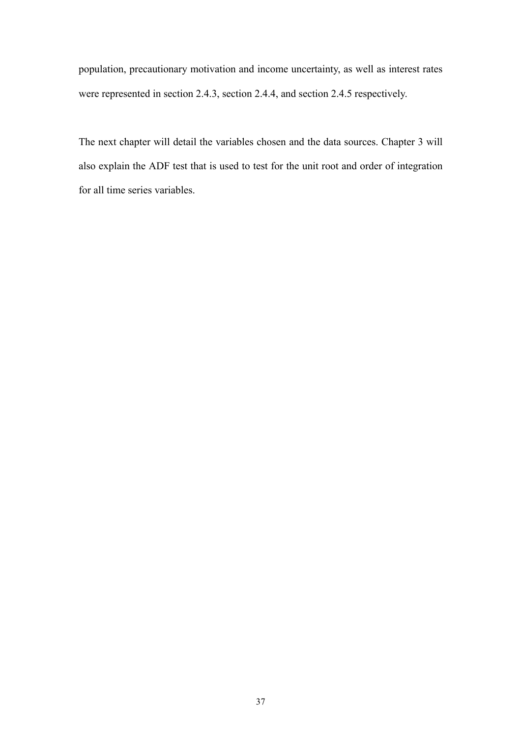population, precautionary motivation and income uncertainty, as well as interest rates were represented in section 2.4.3, section 2.4.4, and section 2.4.5 respectively.

The next chapter will detail the variables chosen and the data sources. Chapter 3 will also explain the ADF test that is used to test for the unit root and order of integration for all time series variables.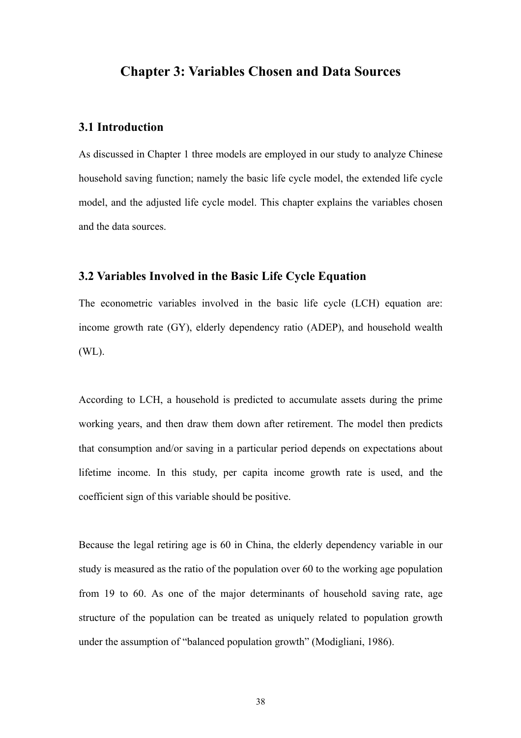# **Chapter 3: Variables Chosen and Data Sources**

# **3.1 Introduction**

As discussed in Chapter 1 three models are employed in our study to analyze Chinese household saving function; namely the basic life cycle model, the extended life cycle model, and the adjusted life cycle model. This chapter explains the variables chosen and the data sources.

### **3.2 Variables Involved in the Basic Life Cycle Equation**

The econometric variables involved in the basic life cycle (LCH) equation are: income growth rate (GY), elderly dependency ratio (ADEP), and household wealth (WL).

According to LCH, a household is predicted to accumulate assets during the prime working years, and then draw them down after retirement. The model then predicts that consumption and/or saving in a particular period depends on expectations about lifetime income. In this study, per capita income growth rate is used, and the coefficient sign of this variable should be positive.

Because the legal retiring age is 60 in China, the elderly dependency variable in our study is measured as the ratio of the population over 60 to the working age population from 19 to 60. As one of the major determinants of household saving rate, age structure of the population can be treated as uniquely related to population growth under the assumption of "balanced population growth" (Modigliani, 1986).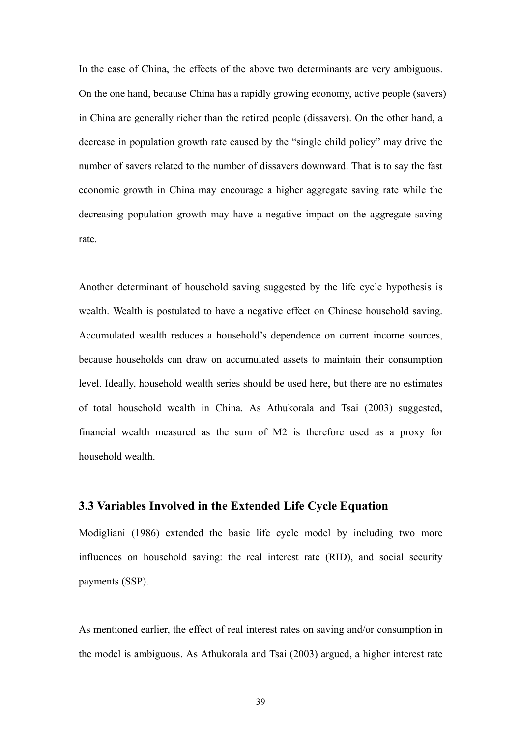In the case of China, the effects of the above two determinants are very ambiguous. On the one hand, because China has a rapidly growing economy, active people (savers) in China are generally richer than the retired people (dissavers). On the other hand, a decrease in population growth rate caused by the "single child policy" may drive the number of savers related to the number of dissavers downward. That is to say the fast economic growth in China may encourage a higher aggregate saving rate while the decreasing population growth may have a negative impact on the aggregate saving rate.

Another determinant of household saving suggested by the life cycle hypothesis is wealth. Wealth is postulated to have a negative effect on Chinese household saving. Accumulated wealth reduces a household's dependence on current income sources, because households can draw on accumulated assets to maintain their consumption level. Ideally, household wealth series should be used here, but there are no estimates of total household wealth in China. As Athukorala and Tsai (2003) suggested, financial wealth measured as the sum of M2 is therefore used as a proxy for household wealth.

## **3.3 Variables Involved in the Extended Life Cycle Equation**

Modigliani (1986) extended the basic life cycle model by including two more influences on household saving: the real interest rate (RID), and social security payments (SSP).

As mentioned earlier, the effect of real interest rates on saving and/or consumption in the model is ambiguous. As Athukorala and Tsai (2003) argued, a higher interest rate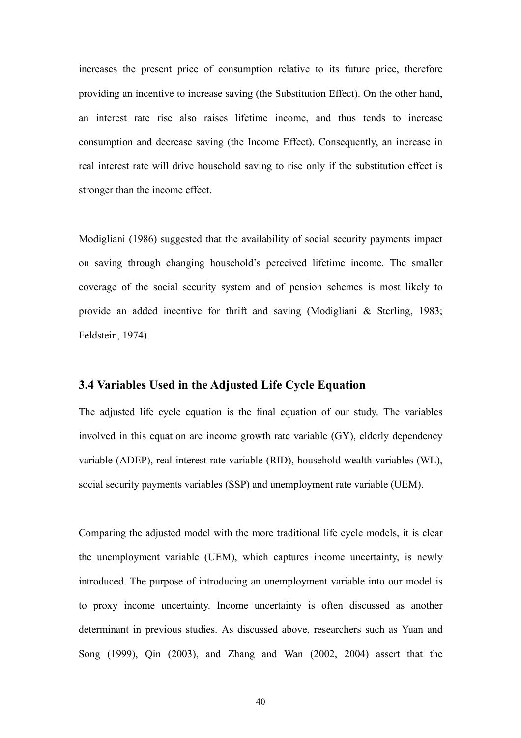increases the present price of consumption relative to its future price, therefore providing an incentive to increase saving (the Substitution Effect). On the other hand, an interest rate rise also raises lifetime income, and thus tends to increase consumption and decrease saving (the Income Effect). Consequently, an increase in real interest rate will drive household saving to rise only if the substitution effect is stronger than the income effect.

Modigliani (1986) suggested that the availability of social security payments impact on saving through changing household's perceived lifetime income. The smaller coverage of the social security system and of pension schemes is most likely to provide an added incentive for thrift and saving (Modigliani & Sterling, 1983; Feldstein, 1974).

# **3.4 Variables Used in the Adjusted Life Cycle Equation**

The adjusted life cycle equation is the final equation of our study. The variables involved in this equation are income growth rate variable (GY), elderly dependency variable (ADEP), real interest rate variable (RID), household wealth variables (WL), social security payments variables (SSP) and unemployment rate variable (UEM).

Comparing the adjusted model with the more traditional life cycle models, it is clear the unemployment variable (UEM), which captures income uncertainty, is newly introduced. The purpose of introducing an unemployment variable into our model is to proxy income uncertainty. Income uncertainty is often discussed as another determinant in previous studies. As discussed above, researchers such as Yuan and Song (1999), Qin (2003), and Zhang and Wan (2002, 2004) assert that the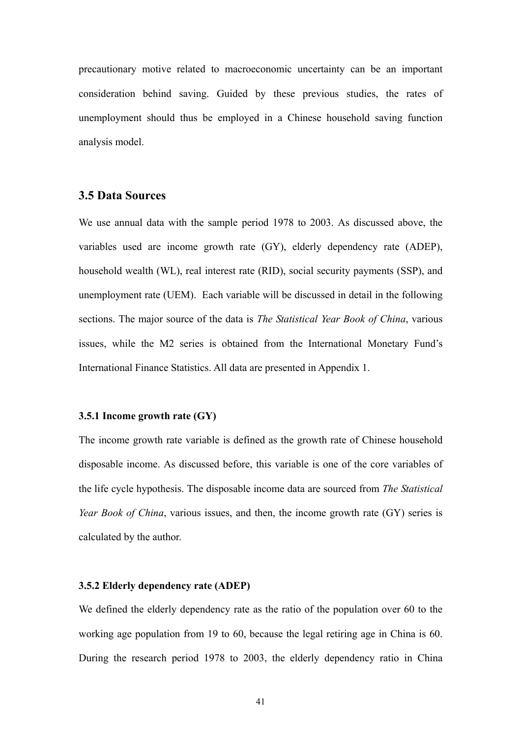precautionary motive related to macroeconomic uncertainty can be an important consideration behind saving. Guided by these previous studies, the rates of unemployment should thus be employed in a Chinese household saving function analysis model.

## **3.5 Data Sources**

We use annual data with the sample period 1978 to 2003. As discussed above, the variables used are income growth rate (GY), elderly dependency rate (ADEP), household wealth (WL), real interest rate (RID), social security payments (SSP), and unemployment rate (UEM). Each variable will be discussed in detail in the following sections. The major source of the data is *The Statistical Year Book of China*, various issues, while the M2 series is obtained from the International Monetary Fund's International Finance Statistics. All data are presented in Appendix 1.

#### **3.5.1 Income growth rate (GY)**

The income growth rate variable is defined as the growth rate of Chinese household disposable income. As discussed before, this variable is one of the core variables of the life cycle hypothesis. The disposable income data are sourced from *The Statistical Year Book of China*, various issues, and then, the income growth rate (GY) series is calculated by the author.

### **3.5.2 Elderly dependency rate (ADEP)**

We defined the elderly dependency rate as the ratio of the population over 60 to the working age population from 19 to 60, because the legal retiring age in China is 60. During the research period 1978 to 2003, the elderly dependency ratio in China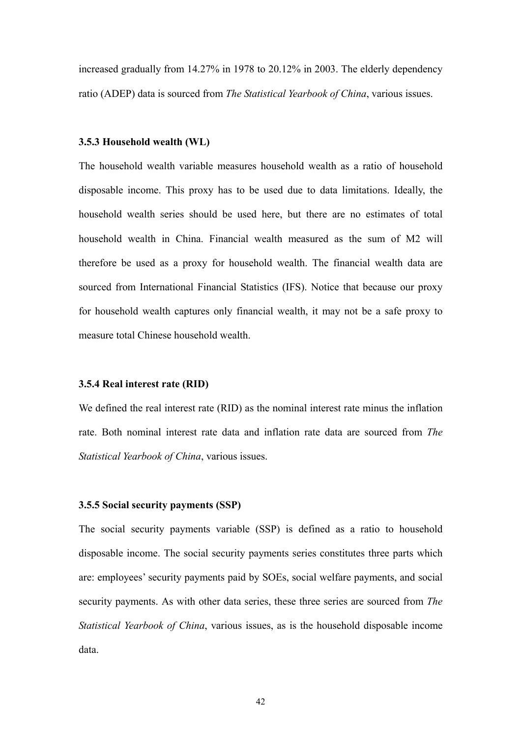increased gradually from 14.27% in 1978 to 20.12% in 2003. The elderly dependency ratio (ADEP) data is sourced from *The Statistical Yearbook of China*, various issues.

#### **3.5.3 Household wealth (WL)**

The household wealth variable measures household wealth as a ratio of household disposable income. This proxy has to be used due to data limitations. Ideally, the household wealth series should be used here, but there are no estimates of total household wealth in China. Financial wealth measured as the sum of M2 will therefore be used as a proxy for household wealth. The financial wealth data are sourced from International Financial Statistics (IFS). Notice that because our proxy for household wealth captures only financial wealth, it may not be a safe proxy to measure total Chinese household wealth.

#### **3.5.4 Real interest rate (RID)**

We defined the real interest rate (RID) as the nominal interest rate minus the inflation rate. Both nominal interest rate data and inflation rate data are sourced from *The Statistical Yearbook of China*, various issues.

#### **3.5.5 Social security payments (SSP)**

The social security payments variable (SSP) is defined as a ratio to household disposable income. The social security payments series constitutes three parts which are: employees' security payments paid by SOEs, social welfare payments, and social security payments. As with other data series, these three series are sourced from *The Statistical Yearbook of China*, various issues, as is the household disposable income data.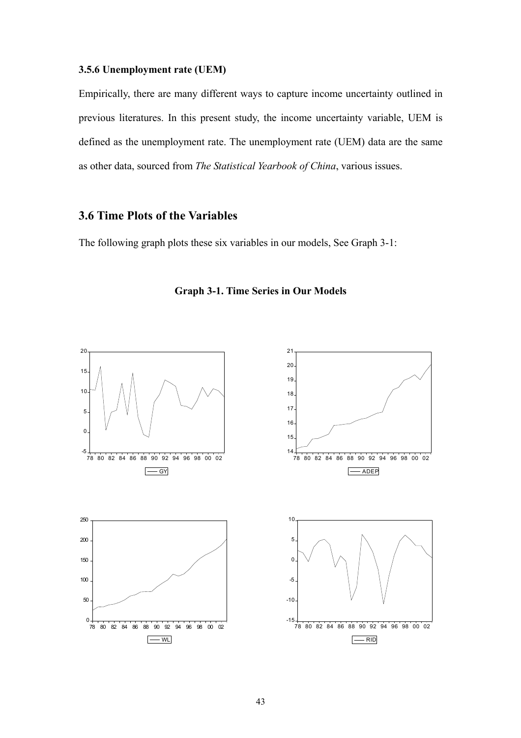### **3.5.6 Unemployment rate (UEM)**

Empirically, there are many different ways to capture income uncertainty outlined in previous literatures. In this present study, the income uncertainty variable, UEM is defined as the unemployment rate. The unemployment rate (UEM) data are the same as other data, sourced from *The Statistical Yearbook of China*, various issues.

# **3.6 Time Plots of the Variables**

The following graph plots these six variables in our models, See Graph 3-1:



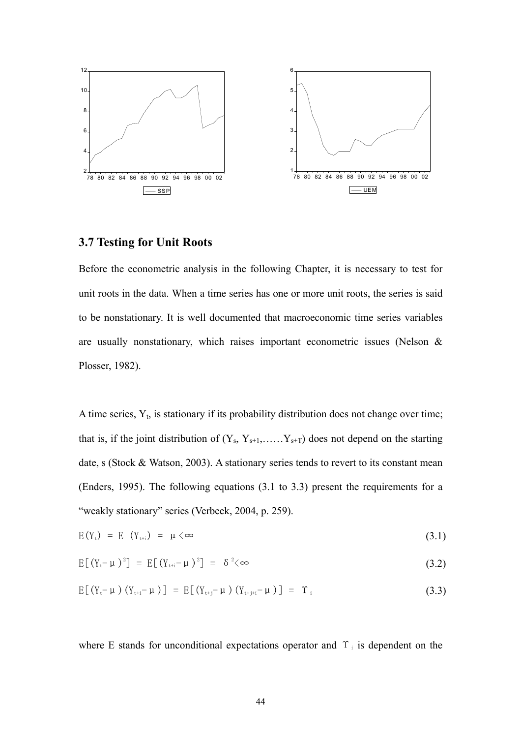

# **3.7 Testing for Unit Roots**

Before the econometric analysis in the following Chapter, it is necessary to test for unit roots in the data. When a time series has one or more unit roots, the series is said to be nonstationary. It is well documented that macroeconomic time series variables are usually nonstationary, which raises important econometric issues (Nelson & Plosser, 1982).

A time series,  $Y_t$ , is stationary if its probability distribution does not change over time; that is, if the joint distribution of  $(Y_s, Y_{s+1}, \ldots, Y_{s+T})$  does not depend on the starting date, s (Stock & Watson, 2003). A stationary series tends to revert to its constant mean (Enders, 1995). The following equations (3.1 to 3.3) present the requirements for a "weakly stationary" series (Verbeek, 2004, p. 259).

$$
E(Y_t) = E(Y_{t+i}) = \mu \langle \infty \tag{3.1}
$$

$$
E[(Y_t - \mu)^2] = E[(Y_{t+i} - \mu)^2] = \delta^2 \langle \infty \tag{3.2}
$$

$$
E[(Y_{t} - \mu) (Y_{t+i} - \mu)] = E[(Y_{t+j} - \mu) (Y_{t+j+i} - \mu)] = \Upsilon_{i}
$$
\n(3.3)

where E stands for unconditional expectations operator and  $\Upsilon_i$  is dependent on the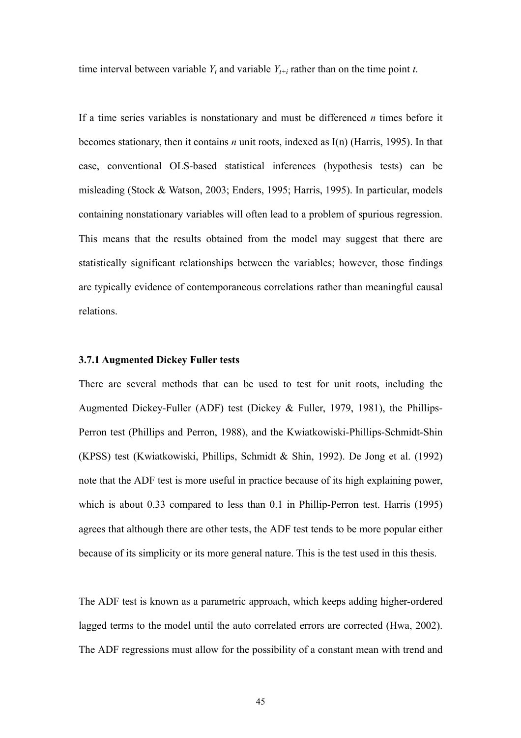time interval between variable  $Y_t$  and variable  $Y_{t+i}$  rather than on the time point *t*.

If a time series variables is nonstationary and must be differenced *n* times before it becomes stationary, then it contains *n* unit roots, indexed as I(n) (Harris, 1995). In that case, conventional OLS-based statistical inferences (hypothesis tests) can be misleading (Stock & Watson, 2003; Enders, 1995; Harris, 1995). In particular, models containing nonstationary variables will often lead to a problem of spurious regression. This means that the results obtained from the model may suggest that there are statistically significant relationships between the variables; however, those findings are typically evidence of contemporaneous correlations rather than meaningful causal relations.

### **3.7.1 Augmented Dickey Fuller tests**

There are several methods that can be used to test for unit roots, including the Augmented Dickey-Fuller (ADF) test (Dickey & Fuller, 1979, 1981), the Phillips-Perron test (Phillips and Perron, 1988), and the Kwiatkowiski-Phillips-Schmidt-Shin (KPSS) test (Kwiatkowiski, Phillips, Schmidt & Shin, 1992). De Jong et al. (1992) note that the ADF test is more useful in practice because of its high explaining power, which is about 0.33 compared to less than 0.1 in Phillip-Perron test. Harris (1995) agrees that although there are other tests, the ADF test tends to be more popular either because of its simplicity or its more general nature. This is the test used in this thesis.

The ADF test is known as a parametric approach, which keeps adding higher-ordered lagged terms to the model until the auto correlated errors are corrected (Hwa, 2002). The ADF regressions must allow for the possibility of a constant mean with trend and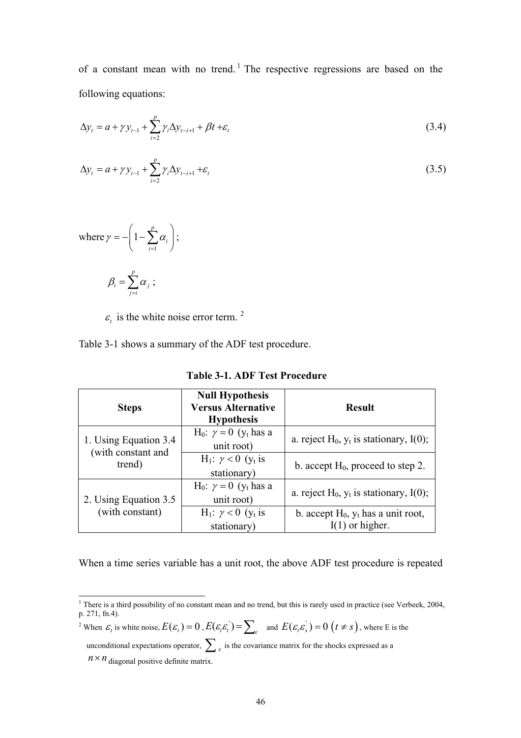of a constant mean with no trend.<sup>[1](#page-48-0)</sup> The respective regressions are based on the following equations:

$$
\Delta y_t = a + \gamma y_{t-1} + \sum_{i=2}^p \gamma_i \Delta y_{t-i+1} + \beta t + \varepsilon_t
$$
\n(3.4)

$$
\Delta y_t = a + \gamma y_{t-1} + \sum_{i=2}^{p} \gamma_i \Delta y_{t-i+1} + \varepsilon_t
$$
\n(3.5)

where 
$$
\gamma = -\left(1 - \sum_{i=1}^{p} \alpha_i\right);
$$

$$
\beta_i = \sum_{j=i}^{\cdot} \alpha_j \; ; \;
$$

 $\varepsilon$ <sub>t</sub> is the white noise error term.<sup>[2](#page-48-1)</sup>

Table 3-1 shows a summary of the ADF test procedure.

| <b>Steps</b>                 | <b>Null Hypothesis</b><br><b>Versus Alternative</b><br><b>Hypothesis</b> | <b>Result</b>                                                 |
|------------------------------|--------------------------------------------------------------------------|---------------------------------------------------------------|
| 1. Using Equation 3.4        | H <sub>0</sub> : $\gamma = 0$ (y <sub>t</sub> has a<br>unit root)        | a. reject $H_0$ , $y_t$ is stationary, I(0);                  |
| (with constant and<br>trend) | H <sub>1</sub> : $\gamma$ < 0 (y <sub>t</sub> is<br>stationary)          | b. accept $H_0$ , proceed to step 2.                          |
| 2. Using Equation 3.5        | H <sub>0</sub> : $\gamma = 0$ (y <sub>t</sub> has a<br>unit root)        | a. reject $H_0$ , $y_t$ is stationary, I(0);                  |
| (with constant)              | $H_1: \gamma < 0$ (y <sub>t</sub> is<br>stationary)                      | b. accept $H_0$ , $y_t$ has a unit root,<br>$I(1)$ or higher. |

**Table 3-1. ADF Test Procedure** 

When a time series variable has a unit root, the above ADF test procedure is repeated

<span id="page-48-1"></span><sup>2</sup> When  $\varepsilon_t$  is white noise,  $E(\varepsilon_t) = 0$ ,  $E(\varepsilon_t \varepsilon_t) = \sum_{\varepsilon}$  and  $E(\varepsilon_t \varepsilon_s) = 0$   $(t \neq s)$ , where E is the

unconditional expectations operator,  $\sum_{\varepsilon}$  is the covariance matrix for the shocks expressed as a

 $n \times n$  diagonal positive definite matrix.

<span id="page-48-0"></span><sup>&</sup>lt;sup>1</sup> There is a third possibility of no constant mean and no trend, but this is rarely used in practice (see Verbeek, 2004, p. 271, fn.4).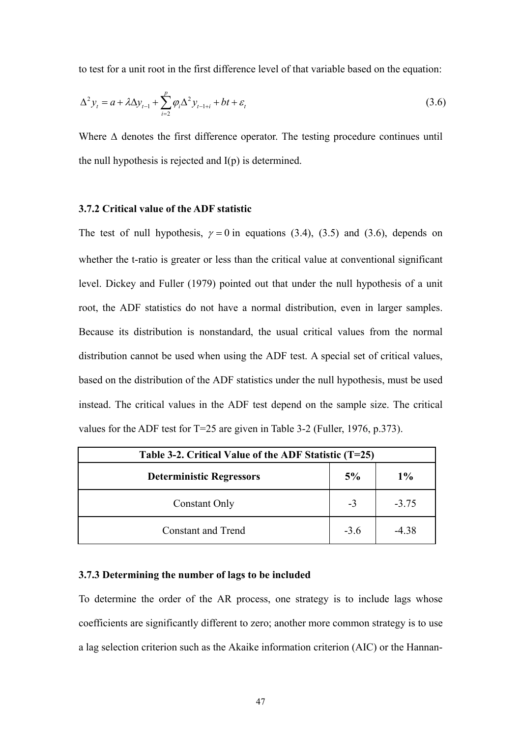to test for a unit root in the first difference level of that variable based on the equation:

$$
\Delta^2 y_t = a + \lambda \Delta y_{t-1} + \sum_{i=2}^p \varphi_i \Delta^2 y_{t-1+i} + bt + \varepsilon_t
$$
\n(3.6)

Where  $\Delta$  denotes the first difference operator. The testing procedure continues until the null hypothesis is rejected and I(p) is determined.

### **3.7.2 Critical value of the ADF statistic**

The test of null hypothesis,  $\gamma = 0$  in equations (3.4), (3.5) and (3.6), depends on whether the t-ratio is greater or less than the critical value at conventional significant level. Dickey and Fuller (1979) pointed out that under the null hypothesis of a unit root, the ADF statistics do not have a normal distribution, even in larger samples. Because its distribution is nonstandard, the usual critical values from the normal distribution cannot be used when using the ADF test. A special set of critical values, based on the distribution of the ADF statistics under the null hypothesis, must be used instead. The critical values in the ADF test depend on the sample size. The critical values for the ADF test for T=25 are given in Table 3-2 (Fuller, 1976, p.373).

| Table 3-2. Critical Value of the ADF Statistic $(T=25)$ |        |         |  |  |
|---------------------------------------------------------|--------|---------|--|--|
| <b>Deterministic Regressors</b>                         | 5%     | $1\%$   |  |  |
| <b>Constant Only</b>                                    | $-3$   | $-3.75$ |  |  |
| <b>Constant and Trend</b>                               | $-3.6$ | $-4.38$ |  |  |

### **3.7.3 Determining the number of lags to be included**

To determine the order of the AR process, one strategy is to include lags whose coefficients are significantly different to zero; another more common strategy is to use a lag selection criterion such as the Akaike information criterion (AIC) or the Hannan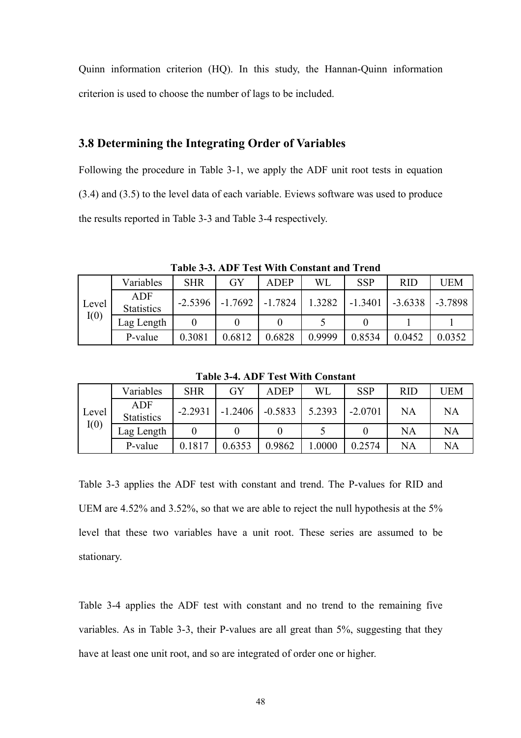Quinn information criterion (HQ). In this study, the Hannan-Quinn information criterion is used to choose the number of lags to be included.

# **3.8 Determining the Integrating Order of Variables**

Following the procedure in Table 3-1, we apply the ADF unit root tests in equation (3.4) and (3.5) to the level data of each variable. Eviews software was used to produce the results reported in Table 3-3 and Table 3-4 respectively.

|       | Variables                       | <b>SHR</b> | GY        | <b>ADEP</b> | WL     | <b>SSP</b> | <b>RID</b> | <b>UEM</b> |
|-------|---------------------------------|------------|-----------|-------------|--------|------------|------------|------------|
| Level | <b>ADF</b><br><b>Statistics</b> | $-2.5396$  | $-1.7692$ | $-1.7824$   | 1.3282 | $-1.3401$  | $-3.6338$  | $-3.7898$  |
| I(0)  | Lag Length                      |            |           |             |        |            |            |            |
|       | P-value                         | 0.3081     | 0.6812    | 0.6828      | 0.9999 | 0.8534     | 0.0452     | 0.0352     |

**Table 3-3. ADF Test With Constant and Trend** 

**Table 3-4. ADF Test With Constant** 

|       | Variables                | <b>SHR</b> | GY        | <b>ADEP</b> | <b>WL</b> | <b>SSP</b> | <b>RID</b> | UEM |
|-------|--------------------------|------------|-----------|-------------|-----------|------------|------------|-----|
| Level | ADF<br><b>Statistics</b> | $-2.2931$  | $-1.2406$ | $-0.5833$   | 5.2393    | $-2.0701$  | NA         | NA  |
| I(0)  | Lag Length               |            |           |             |           |            | <b>NA</b>  | NA  |
|       | P-value                  | 0.1817     | 0.6353    | 0.9862      | .0000     | 0.2574     | NA         | NA  |

Table 3-3 applies the ADF test with constant and trend. The P-values for RID and UEM are 4.52% and 3.52%, so that we are able to reject the null hypothesis at the 5% level that these two variables have a unit root. These series are assumed to be stationary.

Table 3-4 applies the ADF test with constant and no trend to the remaining five variables. As in Table 3-3, their P-values are all great than 5%, suggesting that they have at least one unit root, and so are integrated of order one or higher.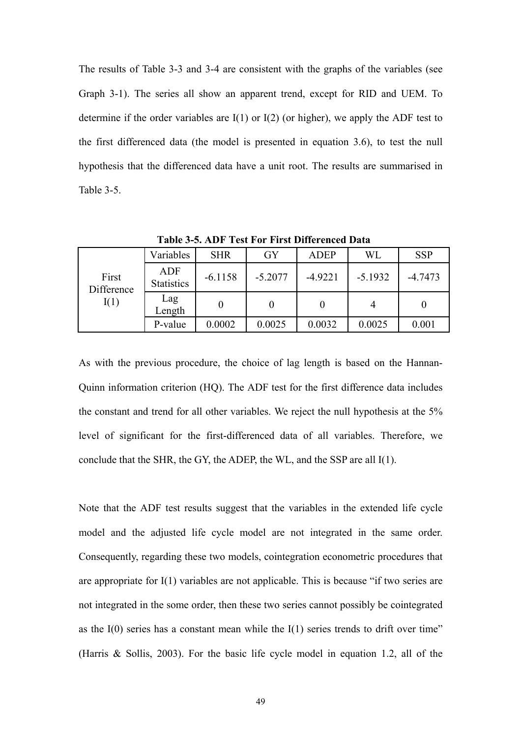The results of Table 3-3 and 3-4 are consistent with the graphs of the variables (see Graph 3-1). The series all show an apparent trend, except for RID and UEM. To determine if the order variables are  $I(1)$  or  $I(2)$  (or higher), we apply the ADF test to the first differenced data (the model is presented in equation 3.6), to test the null hypothesis that the differenced data have a unit root. The results are summarised in Table 3-5.

|                     | Variables                       | <b>SHR</b> | GY        | <b>ADEP</b> | WL        | <b>SSP</b> |
|---------------------|---------------------------------|------------|-----------|-------------|-----------|------------|
| First<br>Difference | <b>ADF</b><br><b>Statistics</b> | $-6.1158$  | $-5.2077$ | $-4.9221$   | $-5.1932$ | $-4.7473$  |
| I(1)                | Lag<br>Length                   |            |           |             |           |            |
|                     | P-value                         | 0.0002     | 0.0025    | 0.0032      | 0.0025    | 0.001      |

**Table 3-5. ADF Test For First Differenced Data** 

As with the previous procedure, the choice of lag length is based on the Hannan-Quinn information criterion (HQ). The ADF test for the first difference data includes the constant and trend for all other variables. We reject the null hypothesis at the 5% level of significant for the first-differenced data of all variables. Therefore, we conclude that the SHR, the GY, the ADEP, the WL, and the SSP are all I(1).

Note that the ADF test results suggest that the variables in the extended life cycle model and the adjusted life cycle model are not integrated in the same order. Consequently, regarding these two models, cointegration econometric procedures that are appropriate for I(1) variables are not applicable. This is because "if two series are not integrated in the some order, then these two series cannot possibly be cointegrated as the  $I(0)$  series has a constant mean while the  $I(1)$  series trends to drift over time" (Harris & Sollis, 2003). For the basic life cycle model in equation 1.2, all of the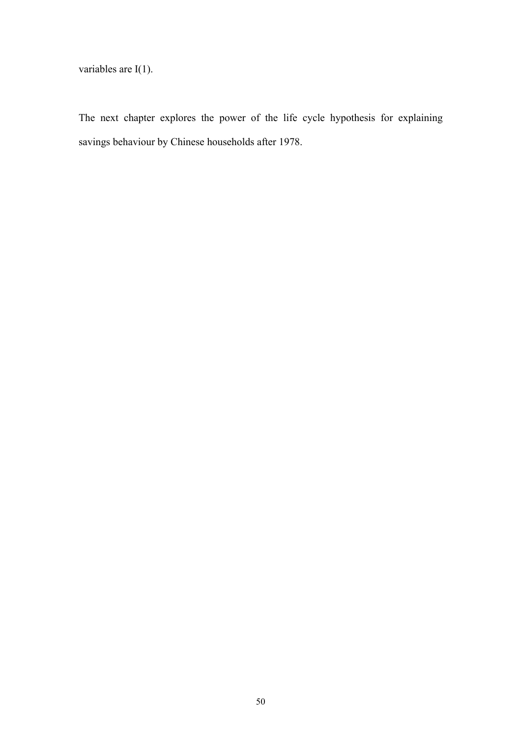variables are I(1).

The next chapter explores the power of the life cycle hypothesis for explaining savings behaviour by Chinese households after 1978.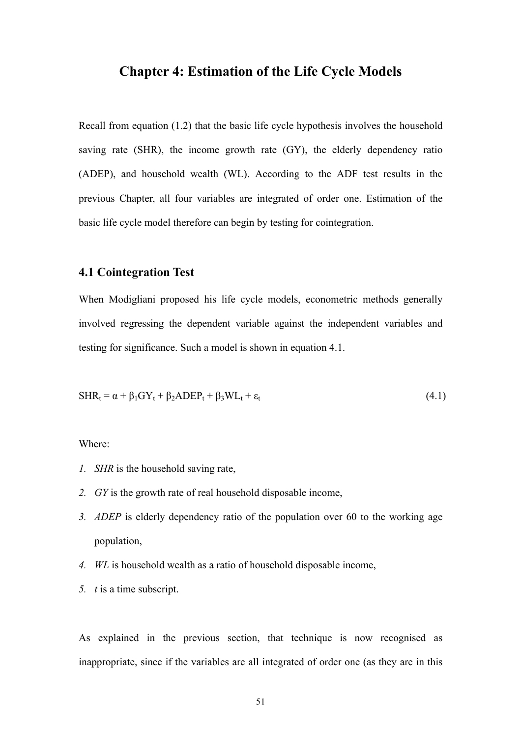# **Chapter 4: Estimation of the Life Cycle Models**

Recall from equation (1.2) that the basic life cycle hypothesis involves the household saving rate (SHR), the income growth rate (GY), the elderly dependency ratio (ADEP), and household wealth (WL). According to the ADF test results in the previous Chapter, all four variables are integrated of order one. Estimation of the basic life cycle model therefore can begin by testing for cointegration.

### **4.1 Cointegration Test**

When Modigliani proposed his life cycle models, econometric methods generally involved regressing the dependent variable against the independent variables and testing for significance. Such a model is shown in equation 4.1.

$$
SHR_t = \alpha + \beta_1 GY_t + \beta_2 ADEP_t + \beta_3 WL_t + \varepsilon_t
$$
\n(4.1)

Where:

- *1. SHR* is the household saving rate,
- *2. GY* is the growth rate of real household disposable income,
- *3. ADEP* is elderly dependency ratio of the population over 60 to the working age population,
- *4. WL* is household wealth as a ratio of household disposable income,
- *5. t* is a time subscript.

As explained in the previous section, that technique is now recognised as inappropriate, since if the variables are all integrated of order one (as they are in this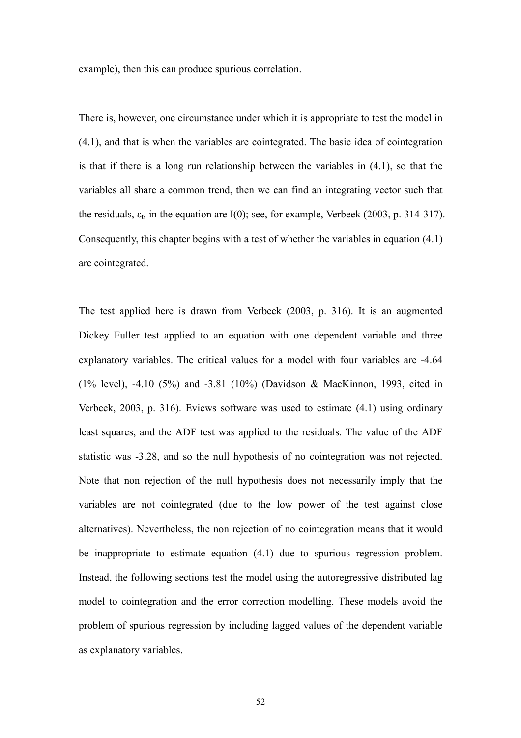example), then this can produce spurious correlation.

There is, however, one circumstance under which it is appropriate to test the model in (4.1), and that is when the variables are cointegrated. The basic idea of cointegration is that if there is a long run relationship between the variables in (4.1), so that the variables all share a common trend, then we can find an integrating vector such that the residuals,  $\varepsilon_t$ , in the equation are I(0); see, for example, Verbeek (2003, p. 314-317). Consequently, this chapter begins with a test of whether the variables in equation (4.1) are cointegrated.

The test applied here is drawn from Verbeek (2003, p. 316). It is an augmented Dickey Fuller test applied to an equation with one dependent variable and three explanatory variables. The critical values for a model with four variables are -4.64 (1% level), -4.10 (5%) and -3.81 (10%) (Davidson & MacKinnon, 1993, cited in Verbeek, 2003, p. 316). Eviews software was used to estimate (4.1) using ordinary least squares, and the ADF test was applied to the residuals. The value of the ADF statistic was -3.28, and so the null hypothesis of no cointegration was not rejected. Note that non rejection of the null hypothesis does not necessarily imply that the variables are not cointegrated (due to the low power of the test against close alternatives). Nevertheless, the non rejection of no cointegration means that it would be inappropriate to estimate equation (4.1) due to spurious regression problem. Instead, the following sections test the model using the autoregressive distributed lag model to cointegration and the error correction modelling. These models avoid the problem of spurious regression by including lagged values of the dependent variable as explanatory variables.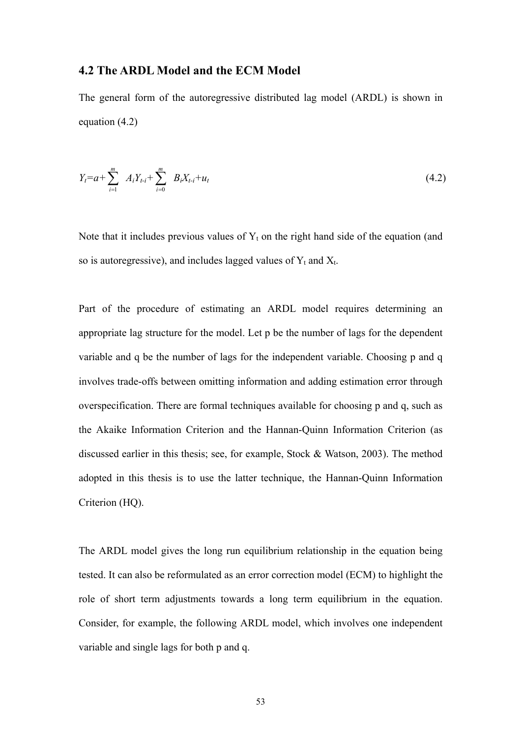## **4.2 The ARDL Model and the ECM Model**

The general form of the autoregressive distributed lag model (ARDL) is shown in equation (4.2)

$$
Y_t = a + \sum_{i=1}^m A_i Y_{t-i} + \sum_{i=0}^m B_i X_{t-i} + u_t
$$
\n(4.2)

Note that it includes previous values of  $Y_t$  on the right hand side of the equation (and so is autoregressive), and includes lagged values of  $Y_t$  and  $X_t$ .

Part of the procedure of estimating an ARDL model requires determining an appropriate lag structure for the model. Let p be the number of lags for the dependent variable and q be the number of lags for the independent variable. Choosing p and q involves trade-offs between omitting information and adding estimation error through overspecification. There are formal techniques available for choosing p and q, such as the Akaike Information Criterion and the Hannan-Quinn Information Criterion (as discussed earlier in this thesis; see, for example, Stock & Watson, 2003). The method adopted in this thesis is to use the latter technique, the Hannan-Quinn Information Criterion (HQ).

The ARDL model gives the long run equilibrium relationship in the equation being tested. It can also be reformulated as an error correction model (ECM) to highlight the role of short term adjustments towards a long term equilibrium in the equation. Consider, for example, the following ARDL model, which involves one independent variable and single lags for both p and q.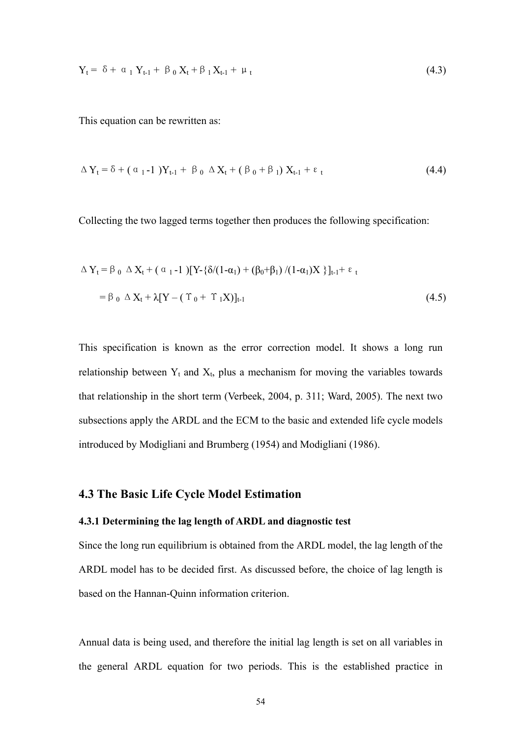$$
Y_{t} = \delta + \alpha_{1} Y_{t-1} + \beta_{0} X_{t} + \beta_{1} X_{t-1} + \mu_{t}
$$
\n(4.3)

This equation can be rewritten as:

$$
\Delta Y_{t} = \delta + (\alpha_{1} - 1)Y_{t-1} + \beta_{0} \Delta X_{t} + (\beta_{0} + \beta_{1})X_{t-1} + \epsilon_{t}
$$
\n(4.4)

Collecting the two lagged terms together then produces the following specification:

$$
\Delta Y_{t} = \beta_{0} \Delta X_{t} + (\alpha_{1} - 1) [Y - {\delta/(1 - \alpha_{1}) + (\beta_{0} + \beta_{1}) / (1 - \alpha_{1})X} \}_{t-1} + \varepsilon_{t}
$$
  
=  $\beta_{0} \Delta X_{t} + \lambda [Y - (\Upsilon_{0} + \Upsilon_{1}X)]_{t-1}$  (4.5)

This specification is known as the error correction model. It shows a long run relationship between  $Y_t$  and  $X_t$ , plus a mechanism for moving the variables towards that relationship in the short term (Verbeek, 2004, p. 311; Ward, 2005). The next two subsections apply the ARDL and the ECM to the basic and extended life cycle models introduced by Modigliani and Brumberg (1954) and Modigliani (1986).

# **4.3 The Basic Life Cycle Model Estimation**

#### **4.3.1 Determining the lag length of ARDL and diagnostic test**

Since the long run equilibrium is obtained from the ARDL model, the lag length of the ARDL model has to be decided first. As discussed before, the choice of lag length is based on the Hannan-Quinn information criterion.

Annual data is being used, and therefore the initial lag length is set on all variables in the general ARDL equation for two periods. This is the established practice in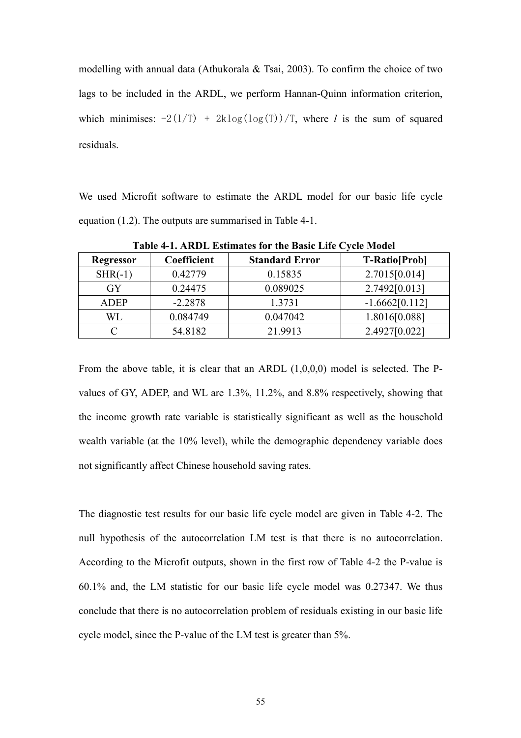modelling with annual data (Athukorala & Tsai, 2003). To confirm the choice of two lags to be included in the ARDL, we perform Hannan-Quinn information criterion, which minimises:  $-2(1/T)$  +  $2k\log(\log(T))/T$ , where *l* is the sum of squared residuals.

We used Microfit software to estimate the ARDL model for our basic life cycle equation (1.2). The outputs are summarised in Table 4-1.

| <b>Regressor</b> | Coefficient | <b>Standard Error</b> | <b>T-Ratio</b> [Prob] |  |
|------------------|-------------|-----------------------|-----------------------|--|
| $SHR(-1)$        | 0.42779     | 0.15835               | 2.7015[0.014]         |  |
| GY               | 0.24475     | 0.089025              | 2.7492[0.013]         |  |
| <b>ADEP</b>      | $-2.2878$   | 1.3731                | $-1.6662[0.112]$      |  |
| WL               | 0.084749    | 0.047042              | 1.8016[0.088]         |  |
|                  | 54.8182     | 21.9913               | 2.4927[0.022]         |  |

**Table 4-1. ARDL Estimates for the Basic Life Cycle Model** 

From the above table, it is clear that an ARDL (1,0,0,0) model is selected. The Pvalues of GY, ADEP, and WL are 1.3%, 11.2%, and 8.8% respectively, showing that the income growth rate variable is statistically significant as well as the household wealth variable (at the 10% level), while the demographic dependency variable does not significantly affect Chinese household saving rates.

The diagnostic test results for our basic life cycle model are given in Table 4-2. The null hypothesis of the autocorrelation LM test is that there is no autocorrelation. According to the Microfit outputs, shown in the first row of Table 4-2 the P-value is 60.1% and, the LM statistic for our basic life cycle model was 0.27347. We thus conclude that there is no autocorrelation problem of residuals existing in our basic life cycle model, since the P-value of the LM test is greater than 5%.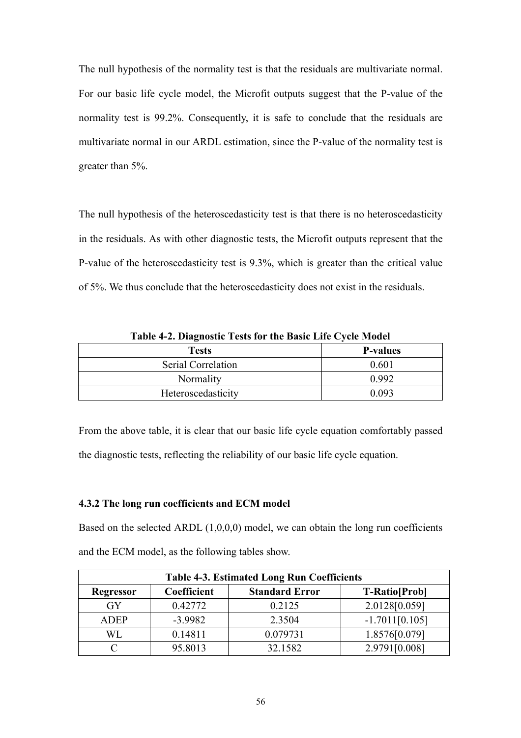The null hypothesis of the normality test is that the residuals are multivariate normal. For our basic life cycle model, the Microfit outputs suggest that the P-value of the normality test is 99.2%. Consequently, it is safe to conclude that the residuals are multivariate normal in our ARDL estimation, since the P-value of the normality test is greater than 5%.

The null hypothesis of the heteroscedasticity test is that there is no heteroscedasticity in the residuals. As with other diagnostic tests, the Microfit outputs represent that the P-value of the heteroscedasticity test is 9.3%, which is greater than the critical value of 5%. We thus conclude that the heteroscedasticity does not exist in the residuals.

**Table 4-2. Diagnostic Tests for the Basic Life Cycle Model** 

| <b>Tests</b>       | <b>P-values</b> |
|--------------------|-----------------|
| Serial Correlation | 0.601           |
| Normality          | 0.992           |
| Heteroscedasticity | 0.093           |

From the above table, it is clear that our basic life cycle equation comfortably passed the diagnostic tests, reflecting the reliability of our basic life cycle equation.

### **4.3.2 The long run coefficients and ECM model**

Based on the selected ARDL  $(1,0,0,0)$  model, we can obtain the long run coefficients and the ECM model, as the following tables show.

| <b>Table 4-3. Estimated Long Run Coefficients</b> |                                                               |          |                  |  |  |  |
|---------------------------------------------------|---------------------------------------------------------------|----------|------------------|--|--|--|
| <b>Regressor</b>                                  | Coefficient<br><b>Standard Error</b><br><b>T-Ratio</b> [Prob] |          |                  |  |  |  |
| GY                                                | 0.42772                                                       | 0.2125   | 2.0128[0.059]    |  |  |  |
| <b>ADEP</b>                                       | $-3.9982$                                                     | 2.3504   | $-1.7011[0.105]$ |  |  |  |
| WL                                                | 0.14811                                                       | 0.079731 | 1.8576[0.079]    |  |  |  |
|                                                   | 95.8013                                                       | 32.1582  | 2.9791[0.008]    |  |  |  |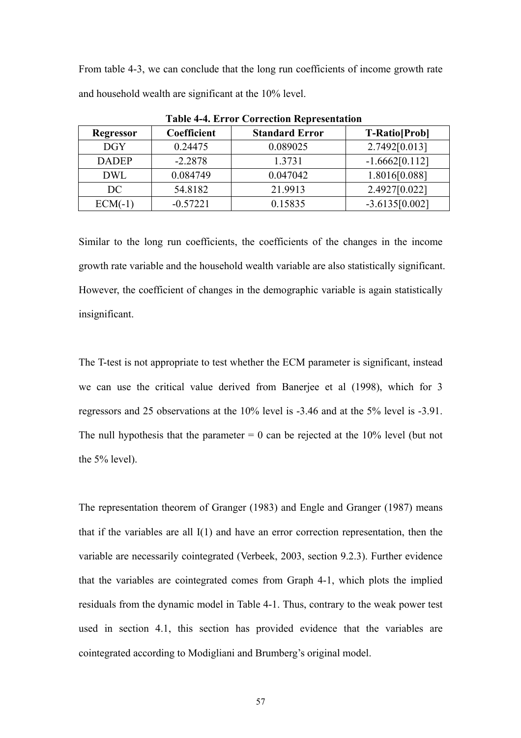From table 4-3, we can conclude that the long run coefficients of income growth rate and household wealth are significant at the 10% level.

| Table +-+. Ellul Correction Representation |             |                       |                       |  |  |
|--------------------------------------------|-------------|-----------------------|-----------------------|--|--|
| <b>Regressor</b>                           | Coefficient | <b>Standard Error</b> | <b>T-Ratio</b> [Prob] |  |  |
| <b>DGY</b>                                 | 0.24475     | 0.089025              | 2.7492[0.013]         |  |  |
| <b>DADEP</b>                               | $-2.2878$   | 1.3731                | $-1.6662[0.112]$      |  |  |
| <b>DWL</b>                                 | 0.084749    | 0.047042              | 1.8016[0.088]         |  |  |
| DC                                         | 54.8182     | 21.9913               | 2.4927[0.022]         |  |  |
| $ECM(-1)$                                  | $-0.57221$  | 0.15835               | $-3.6135[0.002]$      |  |  |

**Table 4-4. Error Correction Representation** 

Similar to the long run coefficients, the coefficients of the changes in the income growth rate variable and the household wealth variable are also statistically significant. However, the coefficient of changes in the demographic variable is again statistically insignificant.

The T-test is not appropriate to test whether the ECM parameter is significant, instead we can use the critical value derived from Banerjee et al (1998), which for 3 regressors and 25 observations at the 10% level is -3.46 and at the 5% level is -3.91. The null hypothesis that the parameter  $= 0$  can be rejected at the 10% level (but not the 5% level).

The representation theorem of Granger (1983) and Engle and Granger (1987) means that if the variables are all I(1) and have an error correction representation, then the variable are necessarily cointegrated (Verbeek, 2003, section 9.2.3). Further evidence that the variables are cointegrated comes from Graph 4-1, which plots the implied residuals from the dynamic model in Table 4-1. Thus, contrary to the weak power test used in section 4.1, this section has provided evidence that the variables are cointegrated according to Modigliani and Brumberg's original model.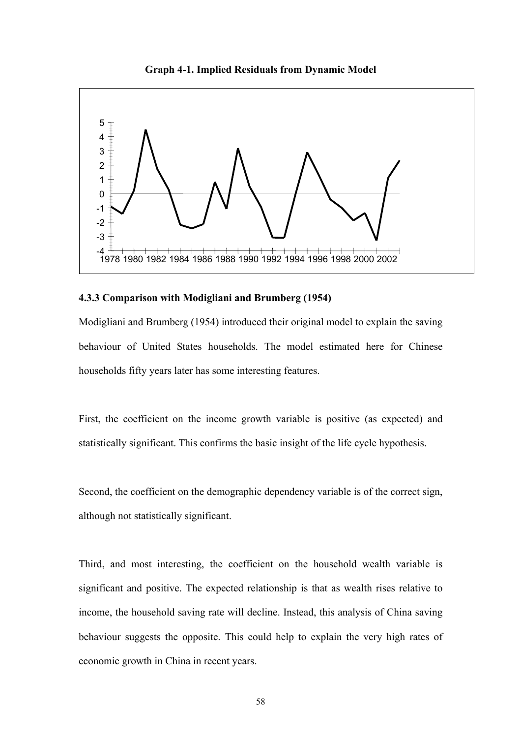

**Graph 4-1. Implied Residuals from Dynamic Model** 

#### **4.3.3 Comparison with Modigliani and Brumberg (1954)**

Modigliani and Brumberg (1954) introduced their original model to explain the saving behaviour of United States households. The model estimated here for Chinese households fifty years later has some interesting features.

First, the coefficient on the income growth variable is positive (as expected) and statistically significant. This confirms the basic insight of the life cycle hypothesis.

Second, the coefficient on the demographic dependency variable is of the correct sign, although not statistically significant.

Third, and most interesting, the coefficient on the household wealth variable is significant and positive. The expected relationship is that as wealth rises relative to income, the household saving rate will decline. Instead, this analysis of China saving behaviour suggests the opposite. This could help to explain the very high rates of economic growth in China in recent years.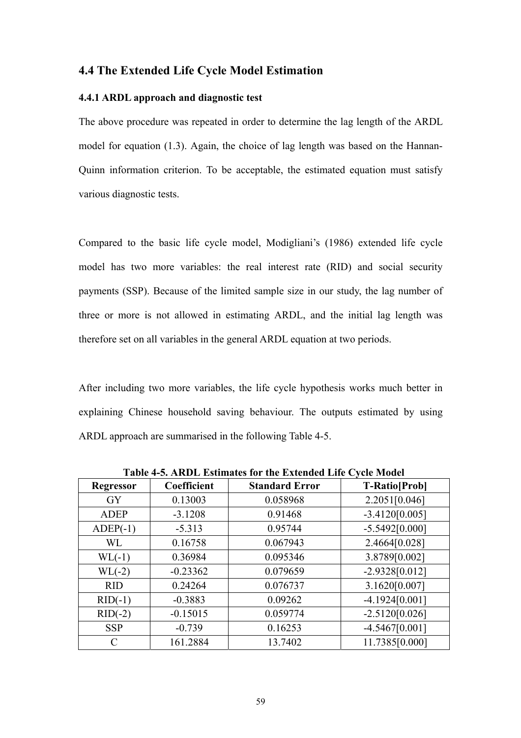# **4.4 The Extended Life Cycle Model Estimation**

#### **4.4.1 ARDL approach and diagnostic test**

The above procedure was repeated in order to determine the lag length of the ARDL model for equation (1.3). Again, the choice of lag length was based on the Hannan-Quinn information criterion. To be acceptable, the estimated equation must satisfy various diagnostic tests.

Compared to the basic life cycle model, Modigliani's (1986) extended life cycle model has two more variables: the real interest rate (RID) and social security payments (SSP). Because of the limited sample size in our study, the lag number of three or more is not allowed in estimating ARDL, and the initial lag length was therefore set on all variables in the general ARDL equation at two periods.

After including two more variables, the life cycle hypothesis works much better in explaining Chinese household saving behaviour. The outputs estimated by using ARDL approach are summarised in the following Table 4-5.

| Table 4-5. ARDL Estimates for the Extended Ene Cycle model |             |                       |                      |  |  |  |
|------------------------------------------------------------|-------------|-----------------------|----------------------|--|--|--|
| <b>Regressor</b>                                           | Coefficient | <b>Standard Error</b> | <b>T-Ratio[Prob]</b> |  |  |  |
| <b>GY</b>                                                  | 0.13003     | 0.058968              | 2.2051[0.046]        |  |  |  |
| <b>ADEP</b>                                                | $-3.1208$   | 0.91468               | $-3.4120[0.005]$     |  |  |  |
| $ADEP(-1)$                                                 | $-5.313$    | 0.95744               | $-5.5492[0.000]$     |  |  |  |
| WL                                                         | 0.16758     | 0.067943              | 2.4664[0.028]        |  |  |  |
| $WL(-1)$                                                   | 0.36984     | 0.095346              | 3.8789[0.002]        |  |  |  |
| $WL(-2)$                                                   | $-0.23362$  | 0.079659              | $-2.9328[0.012]$     |  |  |  |
| <b>RID</b>                                                 | 0.24264     | 0.076737              | 3.1620[0.007]        |  |  |  |
| $RID(-1)$                                                  | $-0.3883$   | 0.09262               | $-4.1924[0.001]$     |  |  |  |
| $RID(-2)$                                                  | $-0.15015$  | 0.059774              | $-2.5120[0.026]$     |  |  |  |
| <b>SSP</b>                                                 | $-0.739$    | 0.16253               | $-4.5467[0.001]$     |  |  |  |
|                                                            | 161.2884    | 13.7402               | 11.7385[0.000]       |  |  |  |

**Table 4-5. ARDL Estimates for the Extended Life Cycle Model**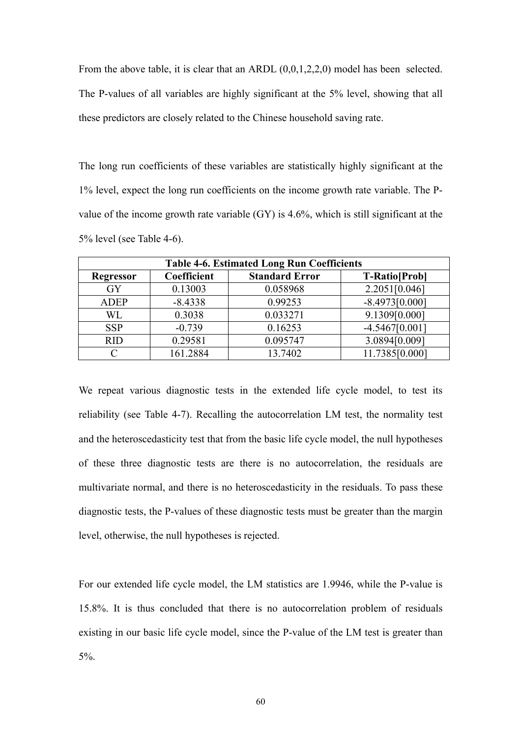From the above table, it is clear that an ARDL  $(0,0,1,2,2,0)$  model has been selected. The P-values of all variables are highly significant at the 5% level, showing that all these predictors are closely related to the Chinese household saving rate.

The long run coefficients of these variables are statistically highly significant at the 1% level, expect the long run coefficients on the income growth rate variable. The Pvalue of the income growth rate variable (GY) is 4.6%, which is still significant at the 5% level (see Table 4-6).

| <b>Table 4-6. Estimated Long Run Coefficients</b> |             |                       |                      |  |  |
|---------------------------------------------------|-------------|-----------------------|----------------------|--|--|
| <b>Regressor</b>                                  | Coefficient | <b>Standard Error</b> | <b>T-Ratio[Prob]</b> |  |  |
| <b>GY</b>                                         | 0.13003     | 0.058968              | 2.2051[0.046]        |  |  |
| <b>ADEP</b>                                       | $-8.4338$   | 0.99253               | $-8.4973[0.000]$     |  |  |
| WL                                                | 0.3038      | 0.033271              | 9.1309[0.000]        |  |  |
| <b>SSP</b>                                        | $-0.739$    | 0.16253               | $-4.5467[0.001]$     |  |  |
| R <sub>ID</sub>                                   | 0.29581     | 0.095747              | 3.0894[0.009]        |  |  |
|                                                   | 161.2884    | 13.7402               | 11.7385[0.000]       |  |  |

We repeat various diagnostic tests in the extended life cycle model, to test its reliability (see Table 4-7). Recalling the autocorrelation LM test, the normality test and the heteroscedasticity test that from the basic life cycle model, the null hypotheses of these three diagnostic tests are there is no autocorrelation, the residuals are multivariate normal, and there is no heteroscedasticity in the residuals. To pass these diagnostic tests, the P-values of these diagnostic tests must be greater than the margin level, otherwise, the null hypotheses is rejected.

For our extended life cycle model, the LM statistics are 1.9946, while the P-value is 15.8%. It is thus concluded that there is no autocorrelation problem of residuals existing in our basic life cycle model, since the P-value of the LM test is greater than 5%.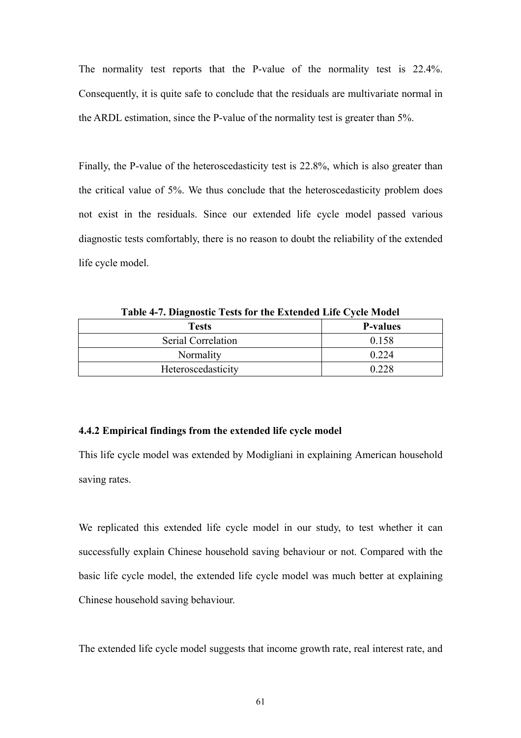The normality test reports that the P-value of the normality test is 22.4%. Consequently, it is quite safe to conclude that the residuals are multivariate normal in the ARDL estimation, since the P-value of the normality test is greater than 5%.

Finally, the P-value of the heteroscedasticity test is 22.8%, which is also greater than the critical value of 5%. We thus conclude that the heteroscedasticity problem does not exist in the residuals. Since our extended life cycle model passed various diagnostic tests comfortably, there is no reason to doubt the reliability of the extended life cycle model.

| - - - - - - - - - - - |                 |  |  |  |
|-----------------------|-----------------|--|--|--|
| <b>Tests</b>          | <b>P-values</b> |  |  |  |
| Serial Correlation    | 0.158           |  |  |  |
| Normality             | 0 2 2 4         |  |  |  |
| Heteroscedasticity    | በ ንንՋ           |  |  |  |

**Table 4-7. Diagnostic Tests for the Extended Life Cycle Model** 

#### **4.4.2 Empirical findings from the extended life cycle model**

This life cycle model was extended by Modigliani in explaining American household saving rates.

We replicated this extended life cycle model in our study, to test whether it can successfully explain Chinese household saving behaviour or not. Compared with the basic life cycle model, the extended life cycle model was much better at explaining Chinese household saving behaviour.

The extended life cycle model suggests that income growth rate, real interest rate, and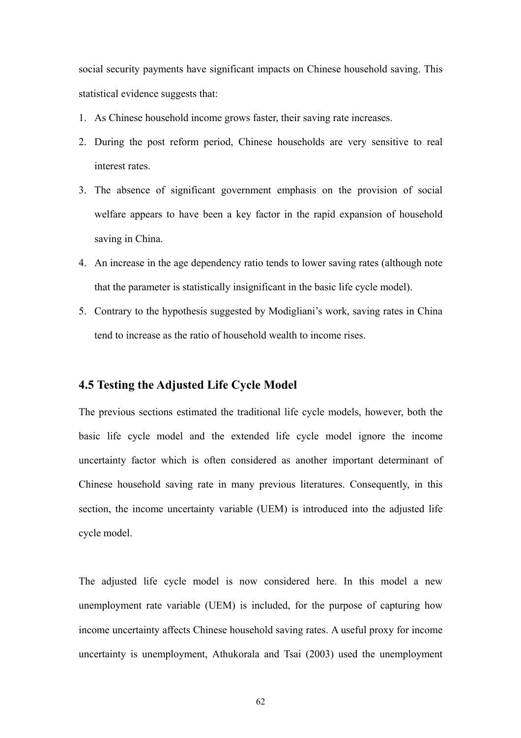social security payments have significant impacts on Chinese household saving. This statistical evidence suggests that:

- 1. As Chinese household income grows faster, their saving rate increases.
- 2. During the post reform period, Chinese households are very sensitive to real interest rates.
- 3. The absence of significant government emphasis on the provision of social welfare appears to have been a key factor in the rapid expansion of household saving in China.
- 4. An increase in the age dependency ratio tends to lower saving rates (although note that the parameter is statistically insignificant in the basic life cycle model).
- 5. Contrary to the hypothesis suggested by Modigliani's work, saving rates in China tend to increase as the ratio of household wealth to income rises.

# **4.5 Testing the Adjusted Life Cycle Model**

The previous sections estimated the traditional life cycle models, however, both the basic life cycle model and the extended life cycle model ignore the income uncertainty factor which is often considered as another important determinant of Chinese household saving rate in many previous literatures. Consequently, in this section, the income uncertainty variable (UEM) is introduced into the adjusted life cycle model.

The adjusted life cycle model is now considered here. In this model a new unemployment rate variable (UEM) is included, for the purpose of capturing how income uncertainty affects Chinese household saving rates. A useful proxy for income uncertainty is unemployment, Athukorala and Tsai (2003) used the unemployment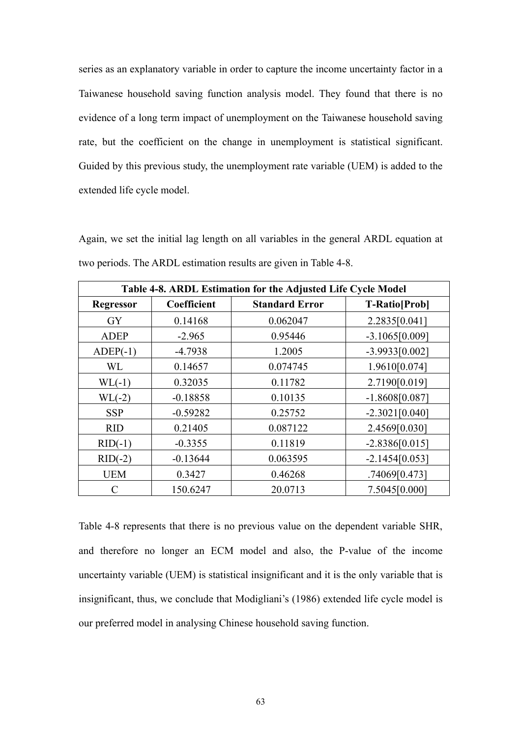series as an explanatory variable in order to capture the income uncertainty factor in a Taiwanese household saving function analysis model. They found that there is no evidence of a long term impact of unemployment on the Taiwanese household saving rate, but the coefficient on the change in unemployment is statistical significant. Guided by this previous study, the unemployment rate variable (UEM) is added to the extended life cycle model.

Again, we set the initial lag length on all variables in the general ARDL equation at two periods. The ARDL estimation results are given in Table 4-8.

| Table 4-8. ARDL Estimation for the Adjusted Life Cycle Model |             |                       |                      |
|--------------------------------------------------------------|-------------|-----------------------|----------------------|
| <b>Regressor</b>                                             | Coefficient | <b>Standard Error</b> | <b>T-Ratio[Prob]</b> |
| <b>GY</b>                                                    | 0.14168     | 0.062047              | 2.2835[0.041]        |
| <b>ADEP</b>                                                  | $-2.965$    | 0.95446               | $-3.1065[0.009]$     |
| $ADEP(-1)$                                                   | $-4.7938$   | 1.2005                | $-3.9933[0.002]$     |
| <b>WL</b>                                                    | 0.14657     | 0.074745              | 1.9610[0.074]        |
| $WL(-1)$                                                     | 0.32035     | 0.11782               | 2.7190[0.019]        |
| $WL(-2)$                                                     | $-0.18858$  | 0.10135               | $-1.8608[0.087]$     |
| <b>SSP</b>                                                   | $-0.59282$  | 0.25752               | $-2.3021[0.040]$     |
| <b>RID</b>                                                   | 0.21405     | 0.087122              | 2.4569[0.030]        |
| $RID(-1)$                                                    | $-0.3355$   | 0.11819               | $-2.8386[0.015]$     |
| $RID(-2)$                                                    | $-0.13644$  | 0.063595              | $-2.1454[0.053]$     |
| <b>UEM</b>                                                   | 0.3427      | 0.46268               | .74069[0.473]        |
| C                                                            | 150.6247    | 20.0713               | 7.5045[0.000]        |

Table 4-8 represents that there is no previous value on the dependent variable SHR, and therefore no longer an ECM model and also, the P-value of the income uncertainty variable (UEM) is statistical insignificant and it is the only variable that is insignificant, thus, we conclude that Modigliani's (1986) extended life cycle model is our preferred model in analysing Chinese household saving function.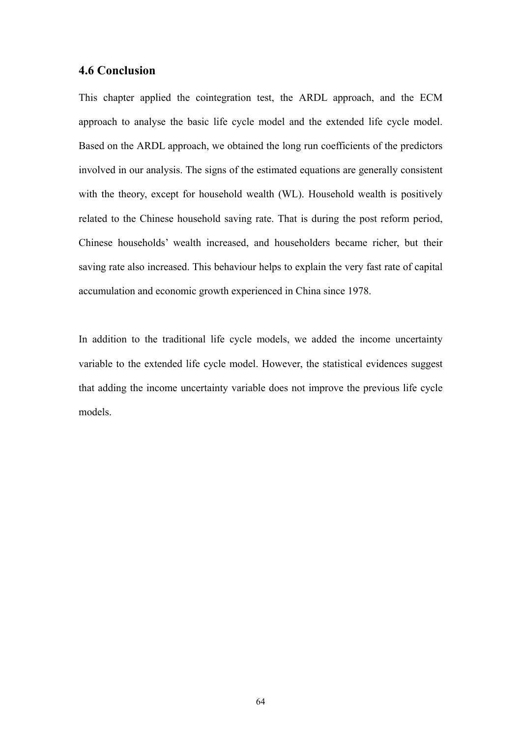# **4.6 Conclusion**

This chapter applied the cointegration test, the ARDL approach, and the ECM approach to analyse the basic life cycle model and the extended life cycle model. Based on the ARDL approach, we obtained the long run coefficients of the predictors involved in our analysis. The signs of the estimated equations are generally consistent with the theory, except for household wealth (WL). Household wealth is positively related to the Chinese household saving rate. That is during the post reform period, Chinese households' wealth increased, and householders became richer, but their saving rate also increased. This behaviour helps to explain the very fast rate of capital accumulation and economic growth experienced in China since 1978.

In addition to the traditional life cycle models, we added the income uncertainty variable to the extended life cycle model. However, the statistical evidences suggest that adding the income uncertainty variable does not improve the previous life cycle models.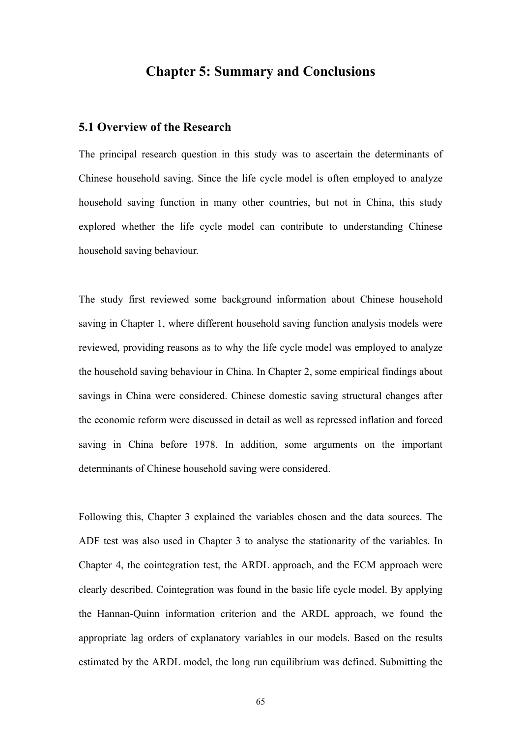# **Chapter 5: Summary and Conclusions**

# **5.1 Overview of the Research**

The principal research question in this study was to ascertain the determinants of Chinese household saving. Since the life cycle model is often employed to analyze household saving function in many other countries, but not in China, this study explored whether the life cycle model can contribute to understanding Chinese household saving behaviour.

The study first reviewed some background information about Chinese household saving in Chapter 1, where different household saving function analysis models were reviewed, providing reasons as to why the life cycle model was employed to analyze the household saving behaviour in China. In Chapter 2, some empirical findings about savings in China were considered. Chinese domestic saving structural changes after the economic reform were discussed in detail as well as repressed inflation and forced saving in China before 1978. In addition, some arguments on the important determinants of Chinese household saving were considered.

Following this, Chapter 3 explained the variables chosen and the data sources. The ADF test was also used in Chapter 3 to analyse the stationarity of the variables. In Chapter 4, the cointegration test, the ARDL approach, and the ECM approach were clearly described. Cointegration was found in the basic life cycle model. By applying the Hannan-Quinn information criterion and the ARDL approach, we found the appropriate lag orders of explanatory variables in our models. Based on the results estimated by the ARDL model, the long run equilibrium was defined. Submitting the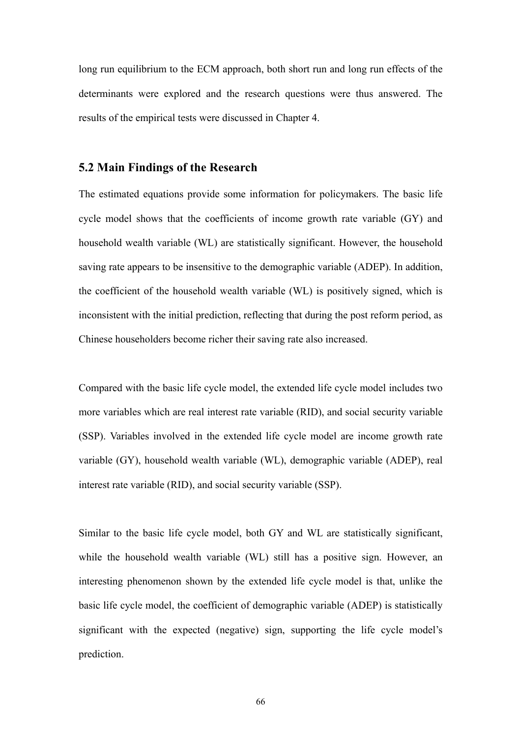long run equilibrium to the ECM approach, both short run and long run effects of the determinants were explored and the research questions were thus answered. The results of the empirical tests were discussed in Chapter 4.

# **5.2 Main Findings of the Research**

The estimated equations provide some information for policymakers. The basic life cycle model shows that the coefficients of income growth rate variable (GY) and household wealth variable (WL) are statistically significant. However, the household saving rate appears to be insensitive to the demographic variable (ADEP). In addition, the coefficient of the household wealth variable (WL) is positively signed, which is inconsistent with the initial prediction, reflecting that during the post reform period, as Chinese householders become richer their saving rate also increased.

Compared with the basic life cycle model, the extended life cycle model includes two more variables which are real interest rate variable (RID), and social security variable (SSP). Variables involved in the extended life cycle model are income growth rate variable (GY), household wealth variable (WL), demographic variable (ADEP), real interest rate variable (RID), and social security variable (SSP).

Similar to the basic life cycle model, both GY and WL are statistically significant, while the household wealth variable (WL) still has a positive sign. However, an interesting phenomenon shown by the extended life cycle model is that, unlike the basic life cycle model, the coefficient of demographic variable (ADEP) is statistically significant with the expected (negative) sign, supporting the life cycle model's prediction.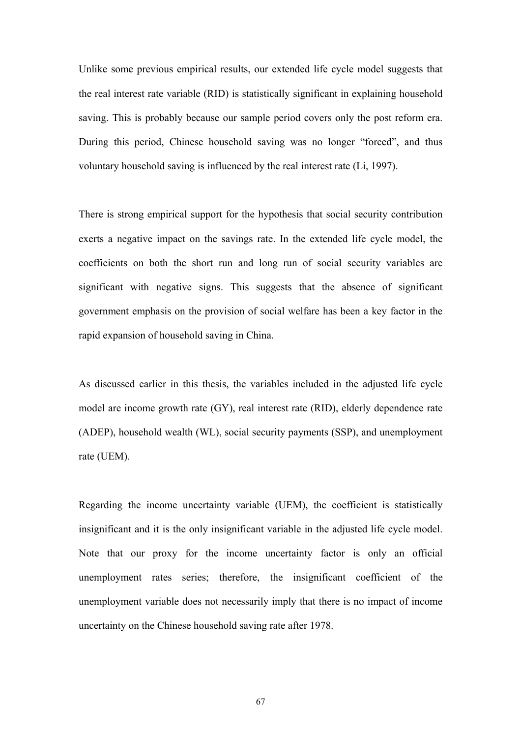Unlike some previous empirical results, our extended life cycle model suggests that the real interest rate variable (RID) is statistically significant in explaining household saving. This is probably because our sample period covers only the post reform era. During this period, Chinese household saving was no longer "forced", and thus voluntary household saving is influenced by the real interest rate (Li, 1997).

There is strong empirical support for the hypothesis that social security contribution exerts a negative impact on the savings rate. In the extended life cycle model, the coefficients on both the short run and long run of social security variables are significant with negative signs. This suggests that the absence of significant government emphasis on the provision of social welfare has been a key factor in the rapid expansion of household saving in China.

As discussed earlier in this thesis, the variables included in the adjusted life cycle model are income growth rate (GY), real interest rate (RID), elderly dependence rate (ADEP), household wealth (WL), social security payments (SSP), and unemployment rate (UEM).

Regarding the income uncertainty variable (UEM), the coefficient is statistically insignificant and it is the only insignificant variable in the adjusted life cycle model. Note that our proxy for the income uncertainty factor is only an official unemployment rates series; therefore, the insignificant coefficient of the unemployment variable does not necessarily imply that there is no impact of income uncertainty on the Chinese household saving rate after 1978.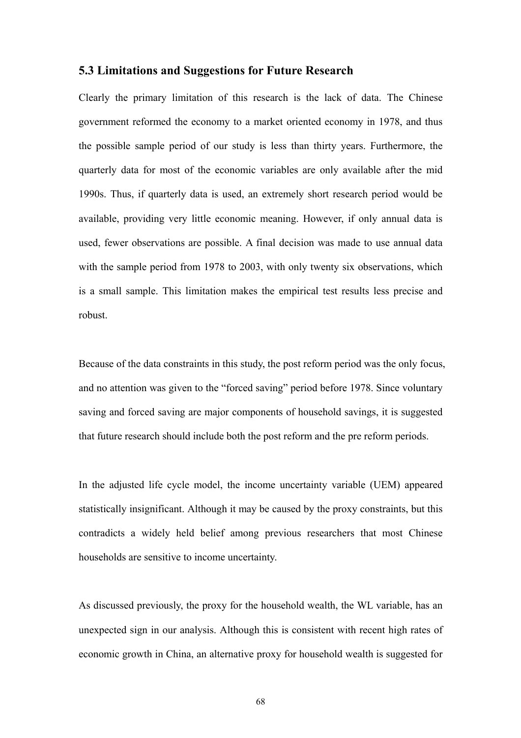### **5.3 Limitations and Suggestions for Future Research**

Clearly the primary limitation of this research is the lack of data. The Chinese government reformed the economy to a market oriented economy in 1978, and thus the possible sample period of our study is less than thirty years. Furthermore, the quarterly data for most of the economic variables are only available after the mid 1990s. Thus, if quarterly data is used, an extremely short research period would be available, providing very little economic meaning. However, if only annual data is used, fewer observations are possible. A final decision was made to use annual data with the sample period from 1978 to 2003, with only twenty six observations, which is a small sample. This limitation makes the empirical test results less precise and robust.

Because of the data constraints in this study, the post reform period was the only focus, and no attention was given to the "forced saving" period before 1978. Since voluntary saving and forced saving are major components of household savings, it is suggested that future research should include both the post reform and the pre reform periods.

In the adjusted life cycle model, the income uncertainty variable (UEM) appeared statistically insignificant. Although it may be caused by the proxy constraints, but this contradicts a widely held belief among previous researchers that most Chinese households are sensitive to income uncertainty.

As discussed previously, the proxy for the household wealth, the WL variable, has an unexpected sign in our analysis. Although this is consistent with recent high rates of economic growth in China, an alternative proxy for household wealth is suggested for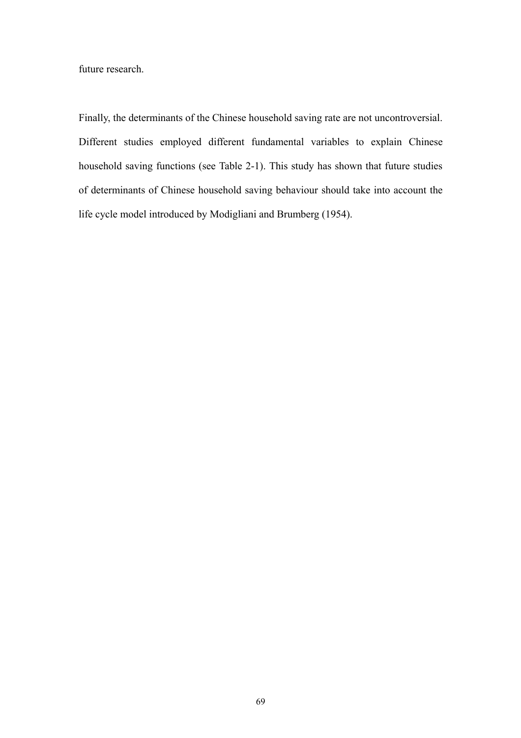future research.

Finally, the determinants of the Chinese household saving rate are not uncontroversial. Different studies employed different fundamental variables to explain Chinese household saving functions (see Table 2-1). This study has shown that future studies of determinants of Chinese household saving behaviour should take into account the life cycle model introduced by Modigliani and Brumberg (1954).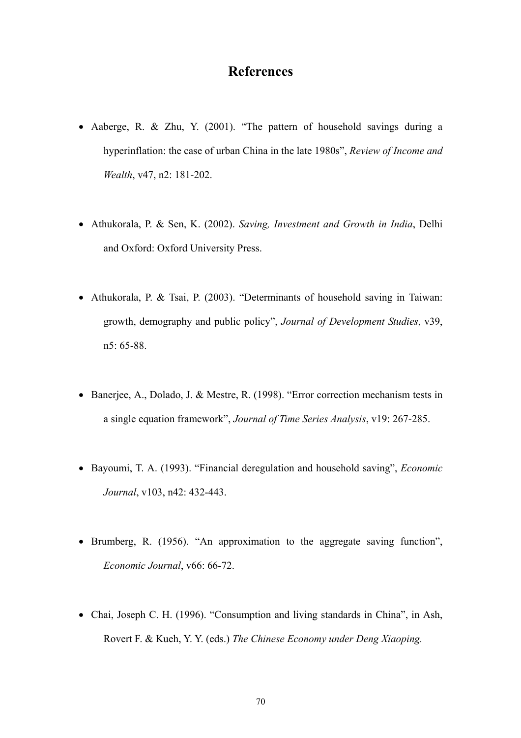## **References**

- Aaberge, R. & Zhu, Y. (2001). "The pattern of household savings during a hyperinflation: the case of urban China in the late 1980s", *Review of Income and Wealth*, v47, n2: 181-202.
- Athukorala, P. & Sen, K. (2002). *Saving, Investment and Growth in India*, Delhi and Oxford: Oxford University Press.
- Athukorala, P. & Tsai, P. (2003). "Determinants of household saving in Taiwan: growth, demography and public policy", *Journal of Development Studies*, v39, n5: 65-88.
- Banerjee, A., Dolado, J. & Mestre, R. (1998). "Error correction mechanism tests in a single equation framework", *Journal of Time Series Analysis*, v19: 267-285.
- Bayoumi, T. A. (1993). "Financial deregulation and household saving", *Economic Journal*, v103, n42: 432-443.
- Brumberg, R. (1956). "An approximation to the aggregate saving function", *Economic Journal*, v66: 66-72.
- Chai, Joseph C. H. (1996). "Consumption and living standards in China", in Ash, Rovert F. & Kueh, Y. Y. (eds.) *The Chinese Economy under Deng Xiaoping.*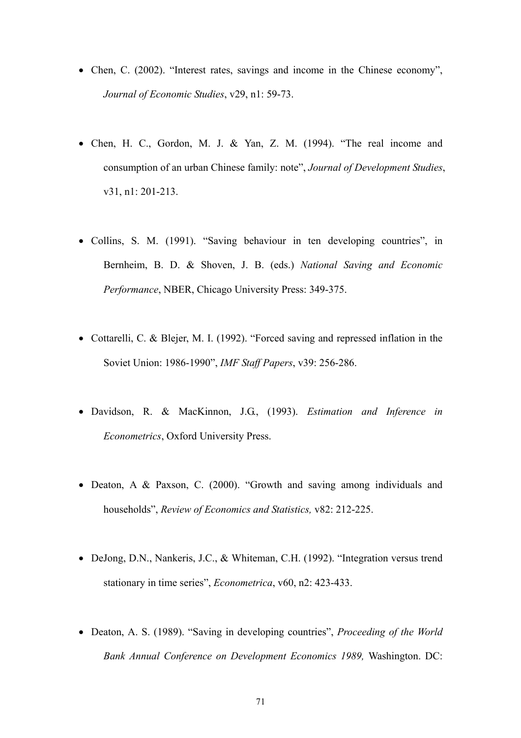- Chen, C. (2002). "Interest rates, savings and income in the Chinese economy", *Journal of Economic Studies*, v29, n1: 59-73.
- Chen, H. C., Gordon, M. J. & Yan, Z. M. (1994). "The real income and consumption of an urban Chinese family: note", *Journal of Development Studies*, v31, n1: 201-213.
- Collins, S. M. (1991). "Saving behaviour in ten developing countries", in Bernheim, B. D. & Shoven, J. B. (eds.) *National Saving and Economic Performance*, NBER, Chicago University Press: 349-375.
- Cottarelli, C. & Blejer, M. I. (1992). "Forced saving and repressed inflation in the Soviet Union: 1986-1990", *IMF Staff Papers*, v39: 256-286.
- Davidson, R. & MacKinnon, J.G., (1993). *Estimation and Inference in Econometrics*, Oxford University Press.
- Deaton, A & Paxson, C. (2000). "Growth and saving among individuals and households", *Review of Economics and Statistics,* v82: 212-225.
- DeJong, D.N., Nankeris, J.C., & Whiteman, C.H. (1992). "Integration versus trend stationary in time series", *Econometrica*, v60, n2: 423-433.
- Deaton, A. S. (1989). "Saving in developing countries", *Proceeding of the World Bank Annual Conference on Development Economics 1989,* Washington. DC: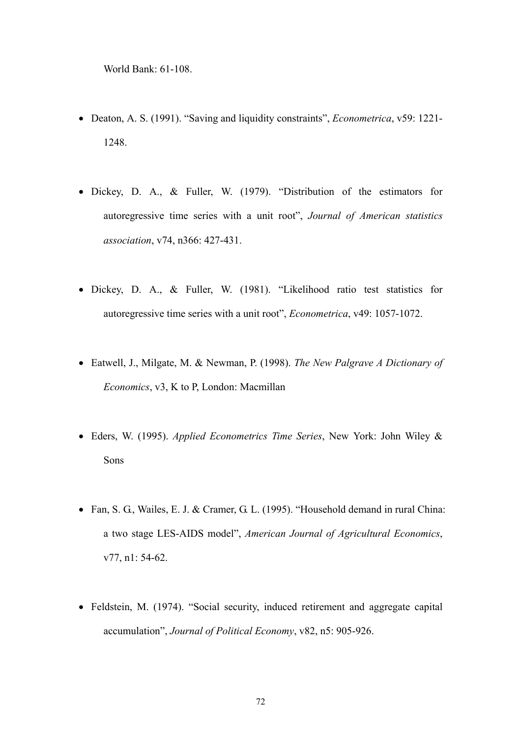World Bank: 61-108.

- Deaton, A. S. (1991). "Saving and liquidity constraints", *Econometrica*, v59: 1221- 1248.
- Dickey, D. A., & Fuller, W. (1979). "Distribution of the estimators for autoregressive time series with a unit root", *Journal of American statistics association*, v74, n366: 427-431.
- Dickey, D. A., & Fuller, W. (1981). "Likelihood ratio test statistics for autoregressive time series with a unit root", *Econometrica*, v49: 1057-1072.
- Eatwell, J., Milgate, M. & Newman, P. (1998). *The New Palgrave A Dictionary of Economics*, v3, K to P, London: Macmillan
- Eders, W. (1995). *Applied Econometrics Time Series*, New York: John Wiley & Sons
- Fan, S. G., Wailes, E. J. & Cramer, G. L. (1995). "Household demand in rural China: a two stage LES-AIDS model", *American Journal of Agricultural Economics*, v77, n1: 54-62.
- Feldstein, M. (1974). "Social security, induced retirement and aggregate capital accumulation", *Journal of Political Economy*, v82, n5: 905-926.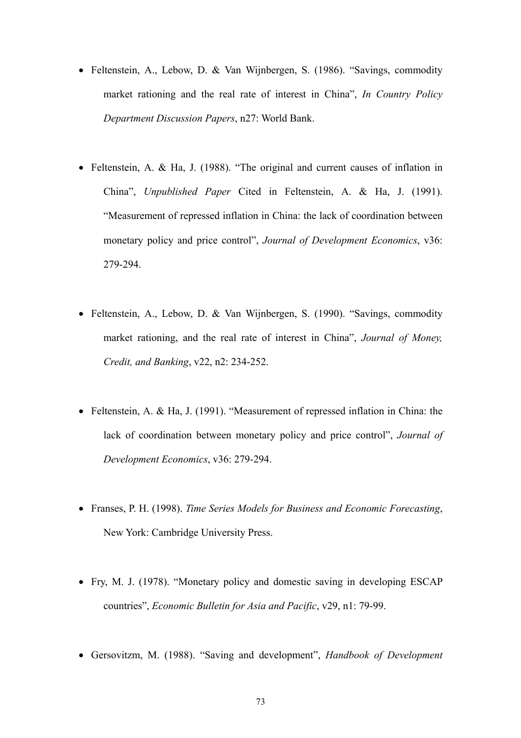- Feltenstein, A., Lebow, D. & Van Wijnbergen, S. (1986). "Savings, commodity market rationing and the real rate of interest in China", *In Country Policy Department Discussion Papers*, n27: World Bank.
- Feltenstein, A. & Ha, J. (1988). "The original and current causes of inflation in China", *Unpublished Paper* Cited in Feltenstein, A. & Ha, J. (1991). "Measurement of repressed inflation in China: the lack of coordination between monetary policy and price control", *Journal of Development Economics*, v36: 279-294.
- Feltenstein, A., Lebow, D. & Van Wijnbergen, S. (1990). "Savings, commodity market rationing, and the real rate of interest in China", *Journal of Money, Credit, and Banking*, v22, n2: 234-252.
- Feltenstein, A. & Ha, J. (1991). "Measurement of repressed inflation in China: the lack of coordination between monetary policy and price control", *Journal of Development Economics*, v36: 279-294.
- Franses, P. H. (1998). *Time Series Models for Business and Economic Forecasting*, New York: Cambridge University Press.
- Fry, M. J. (1978). "Monetary policy and domestic saving in developing ESCAP countries", *Economic Bulletin for Asia and Pacific*, v29, n1: 79-99.
- Gersovitzm, M. (1988). "Saving and development", *Handbook of Development*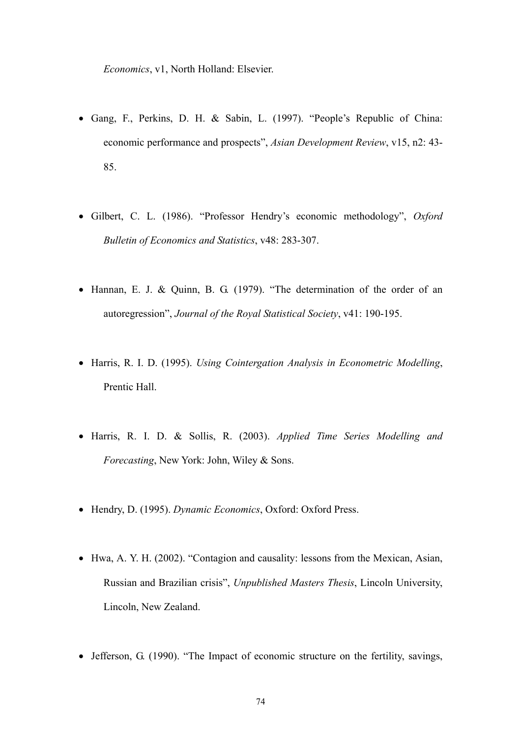*Economics*, v1, North Holland: Elsevier.

- Gang, F., Perkins, D. H. & Sabin, L. (1997). "People's Republic of China: economic performance and prospects", *Asian Development Review*, v15, n2: 43- 85.
- Gilbert, C. L. (1986). "Professor Hendry's economic methodology", *Oxford Bulletin of Economics and Statistics*, v48: 283-307.
- Hannan, E. J. & Quinn, B. G. (1979). "The determination of the order of an autoregression", *Journal of the Royal Statistical Society*, v41: 190-195.
- Harris, R. I. D. (1995). *Using Cointergation Analysis in Econometric Modelling*, Prentic Hall.
- Harris, R. I. D. & Sollis, R. (2003). *Applied Time Series Modelling and Forecasting*, New York: John, Wiley & Sons.
- Hendry, D. (1995). *Dynamic Economics*, Oxford: Oxford Press.
- Hwa, A. Y. H. (2002). "Contagion and causality: lessons from the Mexican, Asian, Russian and Brazilian crisis", *Unpublished Masters Thesis*, Lincoln University, Lincoln, New Zealand.
- Jefferson, G. (1990). "The Impact of economic structure on the fertility, savings,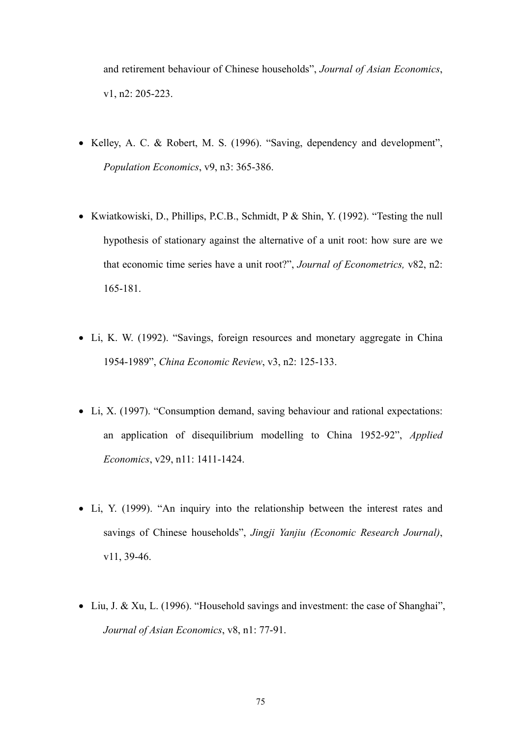and retirement behaviour of Chinese households", *Journal of Asian Economics*, v1, n2: 205-223.

- Kelley, A. C. & Robert, M. S. (1996). "Saving, dependency and development", *Population Economics*, v9, n3: 365-386.
- Kwiatkowiski, D., Phillips, P.C.B., Schmidt, P & Shin, Y. (1992). "Testing the null hypothesis of stationary against the alternative of a unit root: how sure are we that economic time series have a unit root?", *Journal of Econometrics,* v82, n2: 165-181.
- Li, K. W. (1992). "Savings, foreign resources and monetary aggregate in China 1954-1989", *China Economic Review*, v3, n2: 125-133.
- Li, X. (1997). "Consumption demand, saving behaviour and rational expectations: an application of disequilibrium modelling to China 1952-92", *Applied Economics*, v29, n11: 1411-1424.
- Li, Y. (1999). "An inquiry into the relationship between the interest rates and savings of Chinese households", *Jingji Yanjiu (Economic Research Journal)*, v11, 39-46.
- Liu, J. & Xu, L. (1996). "Household savings and investment: the case of Shanghai", *Journal of Asian Economics*, v8, n1: 77-91.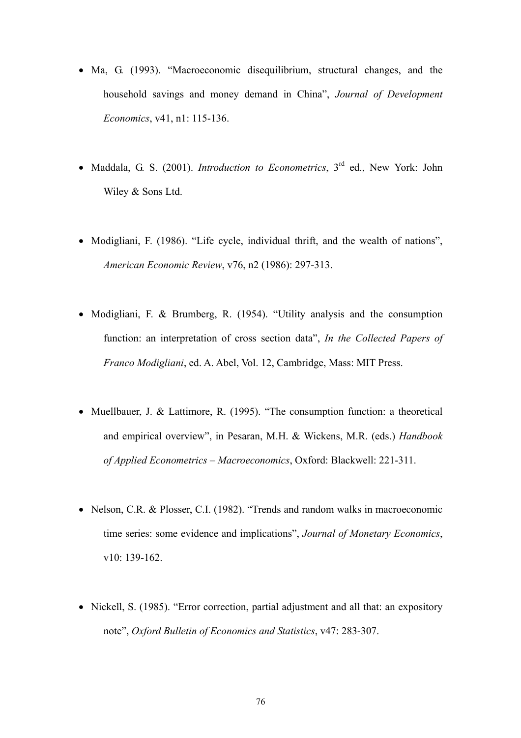- Ma, G. (1993). "Macroeconomic disequilibrium, structural changes, and the household savings and money demand in China", *Journal of Development Economics*, v41, n1: 115-136.
- Maddala, G. S. (2001). *Introduction to Econometrics*, 3<sup>rd</sup> ed., New York: John Wiley & Sons Ltd.
- Modigliani, F. (1986). "Life cycle, individual thrift, and the wealth of nations", *American Economic Review*, v76, n2 (1986): 297-313.
- Modigliani, F. & Brumberg, R. (1954). "Utility analysis and the consumption function: an interpretation of cross section data", *In the Collected Papers of Franco Modigliani*, ed. A. Abel, Vol. 12, Cambridge, Mass: MIT Press.
- Muellbauer, J. & Lattimore, R. (1995). "The consumption function: a theoretical and empirical overview", in Pesaran, M.H. & Wickens, M.R. (eds.) *Handbook of Applied Econometrics – Macroeconomics*, Oxford: Blackwell: 221-311.
- Nelson, C.R. & Plosser, C.I. (1982). "Trends and random walks in macroeconomic time series: some evidence and implications", *Journal of Monetary Economics*, v10: 139-162.
- Nickell, S. (1985). "Error correction, partial adjustment and all that: an expository note", *Oxford Bulletin of Economics and Statistics*, v47: 283-307.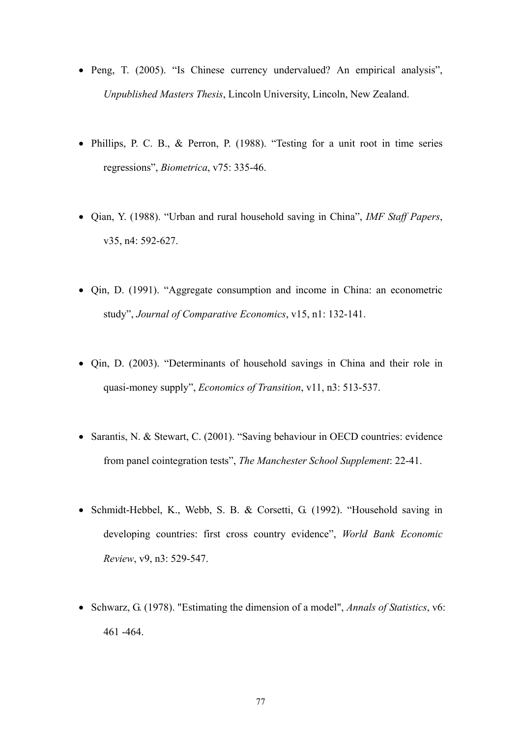- Peng, T. (2005). "Is Chinese currency undervalued? An empirical analysis", *Unpublished Masters Thesis*, Lincoln University, Lincoln, New Zealand.
- Phillips, P. C. B., & Perron, P. (1988). "Testing for a unit root in time series regressions", *Biometrica*, v75: 335-46.
- Qian, Y. (1988). "Urban and rural household saving in China", *IMF Staff Papers*, v35, n4: 592-627.
- Qin, D. (1991). "Aggregate consumption and income in China: an econometric study", *Journal of Comparative Economics*, v15, n1: 132-141.
- Qin, D. (2003). "Determinants of household savings in China and their role in quasi-money supply", *Economics of Transition*, v11, n3: 513-537.
- Sarantis, N. & Stewart, C. (2001). "Saving behaviour in OECD countries: evidence from panel cointegration tests", *The Manchester School Supplement*: 22-41.
- Schmidt-Hebbel, K., Webb, S. B. & Corsetti, G. (1992). "Household saving in developing countries: first cross country evidence", *World Bank Economic Review*, v9, n3: 529-547.
- Schwarz, G. (1978). "Estimating the dimension of a model", *Annals of Statistics*, v6: 461 -464.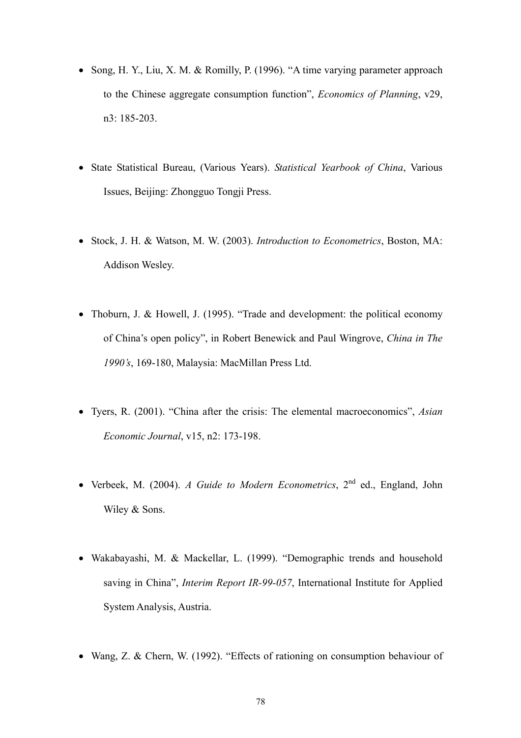- Song, H. Y., Liu, X. M. & Romilly, P. (1996). "A time varying parameter approach to the Chinese aggregate consumption function", *Economics of Planning*, v29, n3: 185-203.
- State Statistical Bureau, (Various Years). *Statistical Yearbook of China*, Various Issues, Beijing: Zhongguo Tongji Press.
- Stock, J. H. & Watson, M. W. (2003). *Introduction to Econometrics*, Boston, MA: Addison Wesley.
- Thoburn, J. & Howell, J. (1995). "Trade and development: the political economy of China's open policy", in Robert Benewick and Paul Wingrove, *China in The 1990's*, 169-180, Malaysia: MacMillan Press Ltd.
- Tyers, R. (2001). "China after the crisis: The elemental macroeconomics", *Asian Economic Journal*, v15, n2: 173-198.
- Verbeek, M. (2004). *A Guide to Modern Econometrics*, 2nd ed., England, John Wiley & Sons.
- Wakabayashi, M. & Mackellar, L. (1999). "Demographic trends and household saving in China", *Interim Report IR-99-057*, International Institute for Applied System Analysis, Austria.
- Wang, Z. & Chern, W. (1992). "Effects of rationing on consumption behaviour of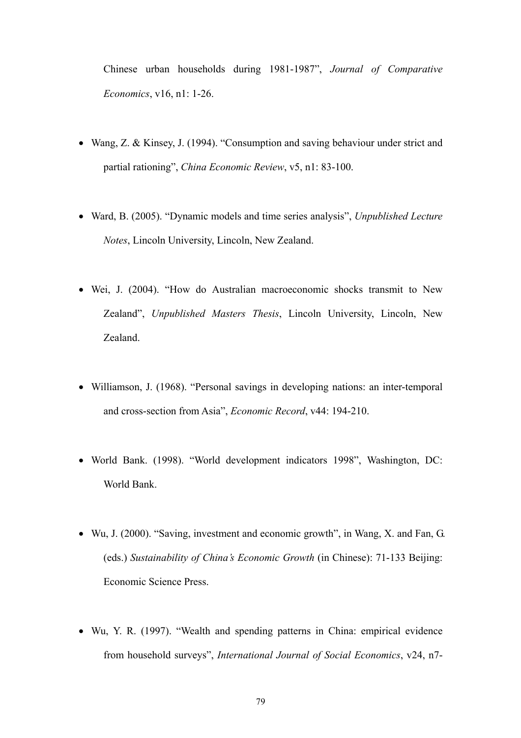Chinese urban households during 1981-1987", *Journal of Comparative Economics*, v16, n1: 1-26.

- Wang, Z. & Kinsey, J. (1994). "Consumption and saving behaviour under strict and partial rationing", *China Economic Review*, v5, n1: 83-100.
- Ward, B. (2005). "Dynamic models and time series analysis", *Unpublished Lecture Notes*, Lincoln University, Lincoln, New Zealand.
- Wei, J. (2004). "How do Australian macroeconomic shocks transmit to New Zealand", *Unpublished Masters Thesis*, Lincoln University, Lincoln, New Zealand.
- Williamson, J. (1968). "Personal savings in developing nations: an inter-temporal and cross-section from Asia", *Economic Record*, v44: 194-210.
- World Bank. (1998). "World development indicators 1998", Washington, DC: World Bank.
- Wu, J. (2000). "Saving, investment and economic growth", in Wang, X. and Fan, G. (eds.) *Sustainability of China's Economic Growth* (in Chinese): 71-133 Beijing: Economic Science Press.
- Wu, Y. R. (1997). "Wealth and spending patterns in China: empirical evidence from household surveys", *International Journal of Social Economics*, v24, n7-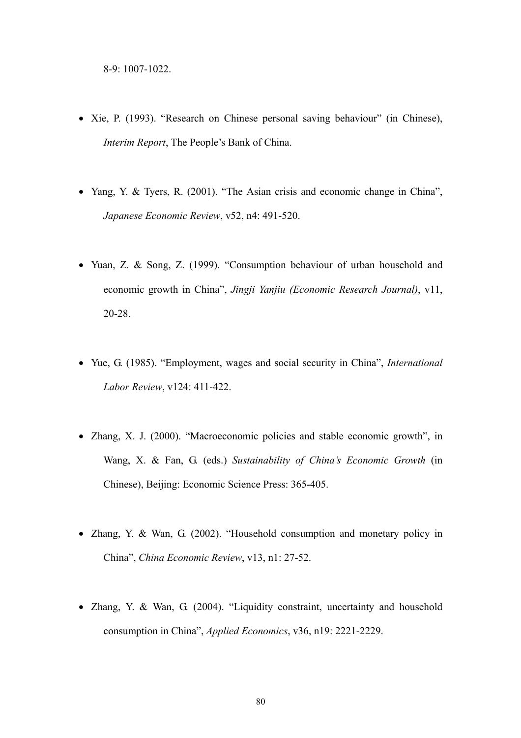- Xie, P. (1993). "Research on Chinese personal saving behaviour" (in Chinese), *Interim Report*, The People's Bank of China.
- Yang, Y. & Tyers, R. (2001). "The Asian crisis and economic change in China", *Japanese Economic Review*, v52, n4: 491-520.
- Yuan, Z. & Song, Z. (1999). "Consumption behaviour of urban household and economic growth in China", *Jingji Yanjiu (Economic Research Journal)*, v11, 20-28.
- Yue, G. (1985). "Employment, wages and social security in China", *International Labor Review*, v124: 411-422.
- Zhang, X. J. (2000). "Macroeconomic policies and stable economic growth", in Wang, X. & Fan, G. (eds.) *Sustainability of China's Economic Growth* (in Chinese), Beijing: Economic Science Press: 365-405.
- Zhang, Y. & Wan, G. (2002). "Household consumption and monetary policy in China", *China Economic Review*, v13, n1: 27-52.
- Zhang, Y. & Wan, G. (2004). "Liquidity constraint, uncertainty and household consumption in China", *Applied Economics*, v36, n19: 2221-2229.